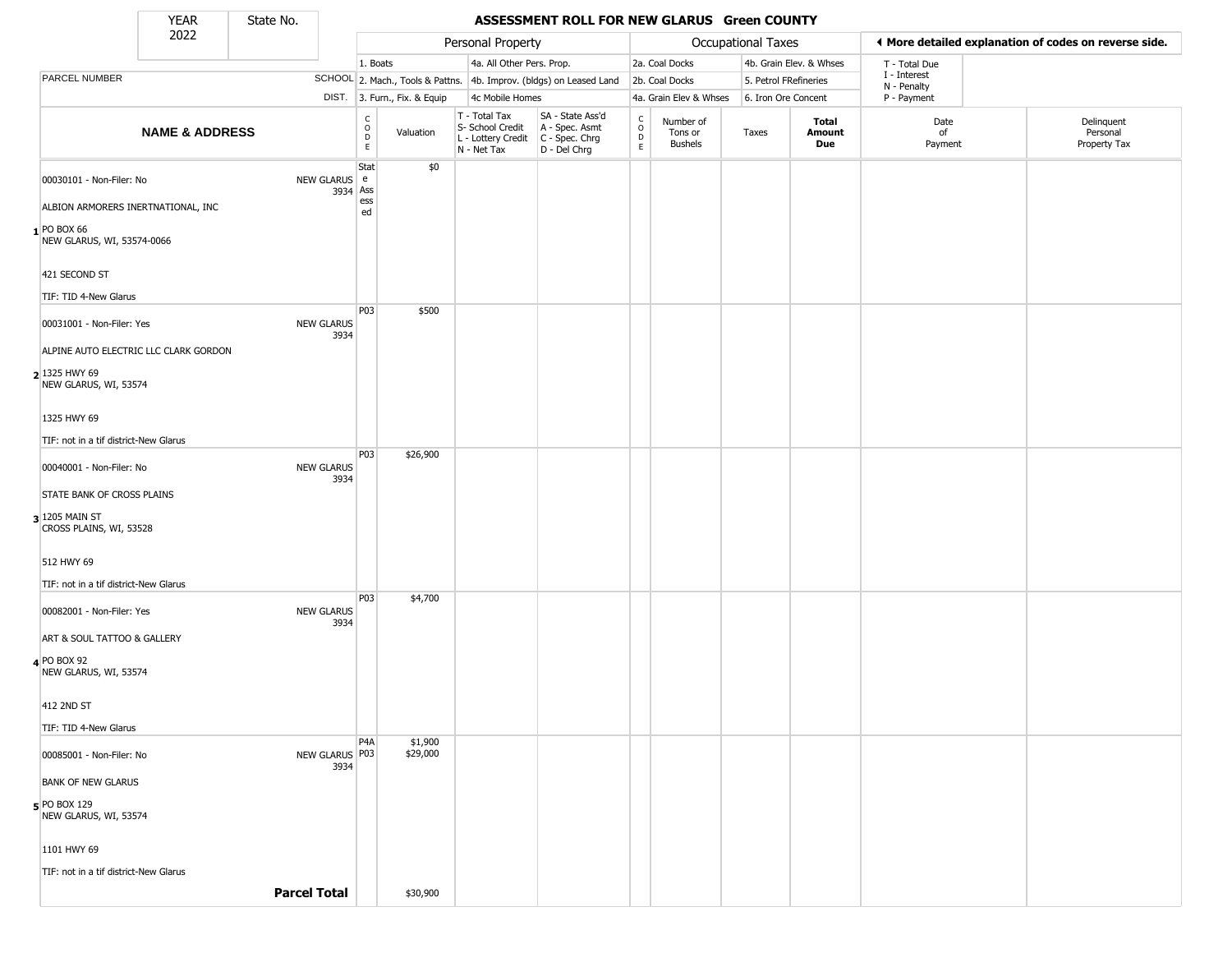State No.

Г

### YEAR **ASSESSMENT ROLL FOR NEW GLARUS Green COUNTY**

|                                           | .<br>2022                 | --------            |                           |                                                          |                              | Personal Property                                                      |                                                                        |                                                |                                        | Occupational Taxes    |                         | ♦ More detailed explanation of codes on reverse side. |                                        |
|-------------------------------------------|---------------------------|---------------------|---------------------------|----------------------------------------------------------|------------------------------|------------------------------------------------------------------------|------------------------------------------------------------------------|------------------------------------------------|----------------------------------------|-----------------------|-------------------------|-------------------------------------------------------|----------------------------------------|
|                                           |                           |                     |                           | 1. Boats                                                 |                              | 4a. All Other Pers. Prop.                                              |                                                                        |                                                | 2a. Coal Docks                         |                       | 4b. Grain Elev. & Whses | T - Total Due                                         |                                        |
| PARCEL NUMBER                             |                           |                     |                           |                                                          |                              |                                                                        | SCHOOL 2. Mach., Tools & Pattns. 4b. Improv. (bldgs) on Leased Land    |                                                | 2b. Coal Docks                         | 5. Petrol FRefineries |                         | I - Interest<br>N - Penalty                           |                                        |
|                                           |                           |                     |                           |                                                          | DIST. 3. Furn., Fix. & Equip | 4c Mobile Homes                                                        |                                                                        |                                                | 4a. Grain Elev & Whses                 | 6. Iron Ore Concent   |                         | P - Payment                                           |                                        |
|                                           | <b>NAME &amp; ADDRESS</b> |                     |                           | $\begin{matrix} 0 \\ 0 \\ 0 \end{matrix}$<br>$\mathsf E$ | Valuation                    | T - Total Tax<br>S- School Credit<br>L - Lottery Credit<br>N - Net Tax | SA - State Ass'd<br>A - Spec. Asmt<br>$C - Spec. Chrg$<br>D - Del Chrg | $\begin{matrix} 0 \\ 0 \\ D \end{matrix}$<br>E | Number of<br>Tons or<br><b>Bushels</b> | Taxes                 | Total<br>Amount<br>Due  | Date<br>οf<br>Payment                                 | Delinquent<br>Personal<br>Property Tax |
| 00030101 - Non-Filer: No                  |                           |                     | NEW GLARUS e<br>3934 Ass  | Stat                                                     | \$0                          |                                                                        |                                                                        |                                                |                                        |                       |                         |                                                       |                                        |
| ALBION ARMORERS INERTNATIONAL, INC        |                           |                     |                           | ess<br>ed                                                |                              |                                                                        |                                                                        |                                                |                                        |                       |                         |                                                       |                                        |
| 1 PO BOX 66<br>NEW GLARUS, WI, 53574-0066 |                           |                     |                           |                                                          |                              |                                                                        |                                                                        |                                                |                                        |                       |                         |                                                       |                                        |
| 421 SECOND ST                             |                           |                     |                           |                                                          |                              |                                                                        |                                                                        |                                                |                                        |                       |                         |                                                       |                                        |
| TIF: TID 4-New Glarus                     |                           |                     |                           | P03                                                      | \$500                        |                                                                        |                                                                        |                                                |                                        |                       |                         |                                                       |                                        |
| 00031001 - Non-Filer: Yes                 |                           |                     | <b>NEW GLARUS</b><br>3934 |                                                          |                              |                                                                        |                                                                        |                                                |                                        |                       |                         |                                                       |                                        |
| ALPINE AUTO ELECTRIC LLC CLARK GORDON     |                           |                     |                           |                                                          |                              |                                                                        |                                                                        |                                                |                                        |                       |                         |                                                       |                                        |
| 2 1325 HWY 69<br>NEW GLARUS, WI, 53574    |                           |                     |                           |                                                          |                              |                                                                        |                                                                        |                                                |                                        |                       |                         |                                                       |                                        |
| 1325 HWY 69                               |                           |                     |                           |                                                          |                              |                                                                        |                                                                        |                                                |                                        |                       |                         |                                                       |                                        |
| TIF: not in a tif district-New Glarus     |                           |                     |                           |                                                          |                              |                                                                        |                                                                        |                                                |                                        |                       |                         |                                                       |                                        |
| 00040001 - Non-Filer: No                  |                           |                     | <b>NEW GLARUS</b><br>3934 | P03                                                      | \$26,900                     |                                                                        |                                                                        |                                                |                                        |                       |                         |                                                       |                                        |
| STATE BANK OF CROSS PLAINS                |                           |                     |                           |                                                          |                              |                                                                        |                                                                        |                                                |                                        |                       |                         |                                                       |                                        |
| 3 1205 MAIN ST<br>CROSS PLAINS, WI, 53528 |                           |                     |                           |                                                          |                              |                                                                        |                                                                        |                                                |                                        |                       |                         |                                                       |                                        |
| 512 HWY 69                                |                           |                     |                           |                                                          |                              |                                                                        |                                                                        |                                                |                                        |                       |                         |                                                       |                                        |
| TIF: not in a tif district-New Glarus     |                           |                     |                           | P03                                                      | \$4,700                      |                                                                        |                                                                        |                                                |                                        |                       |                         |                                                       |                                        |
| 00082001 - Non-Filer: Yes                 |                           |                     | <b>NEW GLARUS</b><br>3934 |                                                          |                              |                                                                        |                                                                        |                                                |                                        |                       |                         |                                                       |                                        |
| ART & SOUL TATTOO & GALLERY               |                           |                     |                           |                                                          |                              |                                                                        |                                                                        |                                                |                                        |                       |                         |                                                       |                                        |
| 4 PO BOX 92<br>NEW GLARUS, WI, 53574      |                           |                     |                           |                                                          |                              |                                                                        |                                                                        |                                                |                                        |                       |                         |                                                       |                                        |
| 412 2ND ST                                |                           |                     |                           |                                                          |                              |                                                                        |                                                                        |                                                |                                        |                       |                         |                                                       |                                        |
| TIF: TID 4-New Glarus                     |                           |                     |                           |                                                          |                              |                                                                        |                                                                        |                                                |                                        |                       |                         |                                                       |                                        |
| 00085001 - Non-Filer: No                  |                           |                     | NEW GLARUS P03<br>3934    | P4A                                                      | \$1,900<br>\$29,000          |                                                                        |                                                                        |                                                |                                        |                       |                         |                                                       |                                        |
| <b>BANK OF NEW GLARUS</b>                 |                           |                     |                           |                                                          |                              |                                                                        |                                                                        |                                                |                                        |                       |                         |                                                       |                                        |
| $5$ PO BOX 129<br>NEW GLARUS, WI, 53574   |                           |                     |                           |                                                          |                              |                                                                        |                                                                        |                                                |                                        |                       |                         |                                                       |                                        |
| 1101 HWY 69                               |                           |                     |                           |                                                          |                              |                                                                        |                                                                        |                                                |                                        |                       |                         |                                                       |                                        |
| TIF: not in a tif district-New Glarus     |                           |                     |                           |                                                          |                              |                                                                        |                                                                        |                                                |                                        |                       |                         |                                                       |                                        |
|                                           |                           | <b>Parcel Total</b> |                           |                                                          | \$30,900                     |                                                                        |                                                                        |                                                |                                        |                       |                         |                                                       |                                        |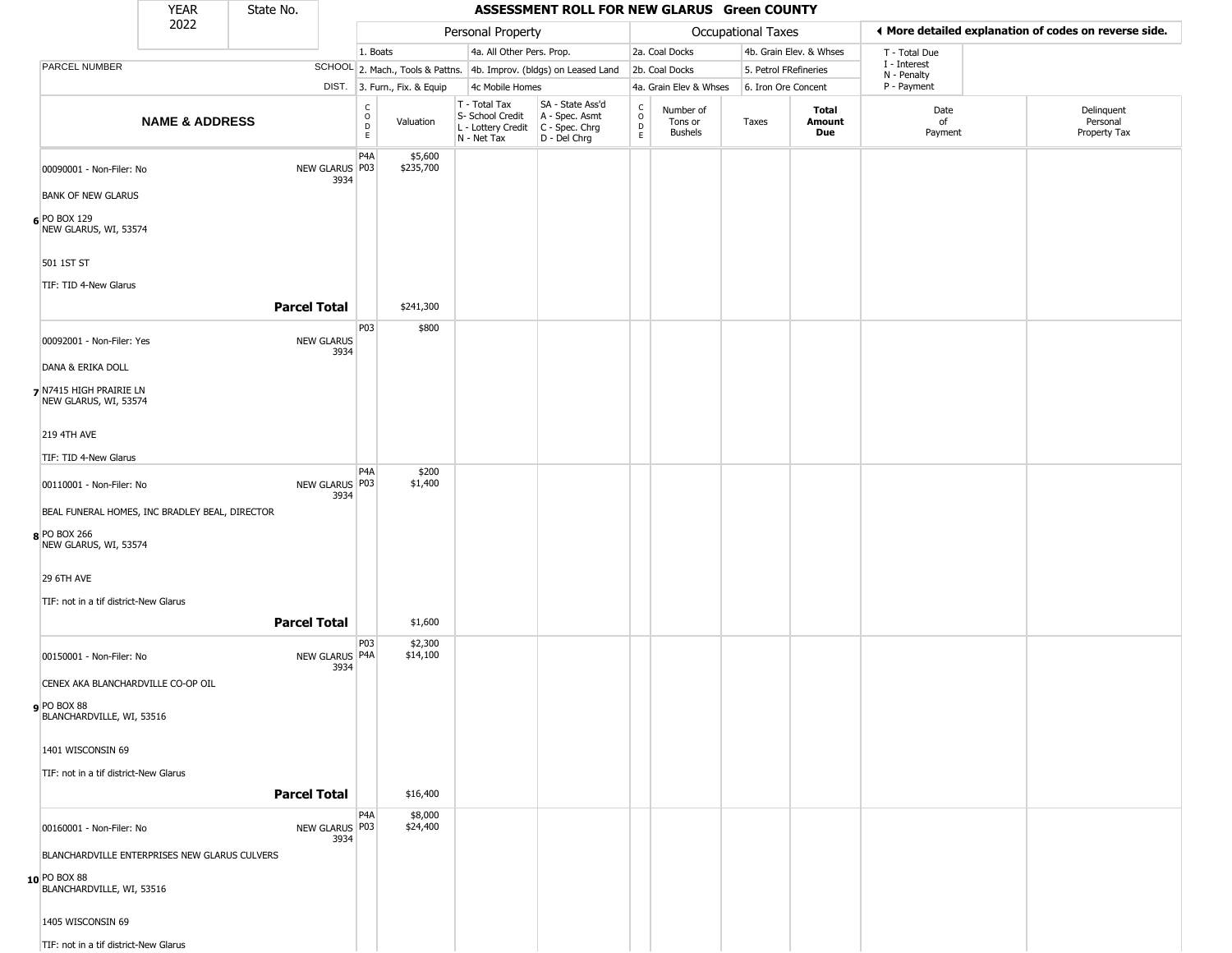|                                                                | YEAR                      | State No.           |                           |                                |                              |                                                                        | ASSESSMENT ROLL FOR NEW GLARUS Green COUNTY                          |                                     |                                        |                       |                         |                            |                                                       |
|----------------------------------------------------------------|---------------------------|---------------------|---------------------------|--------------------------------|------------------------------|------------------------------------------------------------------------|----------------------------------------------------------------------|-------------------------------------|----------------------------------------|-----------------------|-------------------------|----------------------------|-------------------------------------------------------|
|                                                                | 2022                      |                     |                           |                                |                              | Personal Property                                                      |                                                                      |                                     |                                        | Occupational Taxes    |                         |                            | ♦ More detailed explanation of codes on reverse side. |
|                                                                |                           |                     |                           | 1. Boats                       |                              | 4a. All Other Pers. Prop.                                              |                                                                      |                                     | 2a. Coal Docks                         |                       | 4b. Grain Elev. & Whses | T - Total Due              |                                                       |
| <b>PARCEL NUMBER</b>                                           |                           |                     |                           |                                |                              |                                                                        | SCHOOL 2. Mach., Tools & Pattns. 4b. Improv. (bldgs) on Leased Land  |                                     | 2b. Coal Docks                         | 5. Petrol FRefineries |                         | I - Interest               |                                                       |
|                                                                |                           |                     |                           |                                | DIST. 3. Furn., Fix. & Equip | 4c Mobile Homes                                                        |                                                                      |                                     | 4a. Grain Elev & Whses                 | 6. Iron Ore Concent   |                         | N - Penalty<br>P - Payment |                                                       |
|                                                                | <b>NAME &amp; ADDRESS</b> |                     |                           | $\rm _o^C$<br>D<br>$\mathsf E$ | Valuation                    | T - Total Tax<br>S- School Credit<br>L - Lottery Credit<br>N - Net Tax | SA - State Ass'd<br>A - Spec. Asmt<br>C - Spec. Chrg<br>D - Del Chrg | $_{\rm o}^{\rm c}$<br>$\frac{D}{E}$ | Number of<br>Tons or<br><b>Bushels</b> | Taxes                 | Total<br>Amount<br>Due  | Date<br>of<br>Payment      | Delinquent<br>Personal<br>Property Tax                |
| 00090001 - Non-Filer: No<br><b>BANK OF NEW GLARUS</b>          |                           |                     | NEW GLARUS P03<br>3934    | P4A                            | \$5,600<br>\$235,700         |                                                                        |                                                                      |                                     |                                        |                       |                         |                            |                                                       |
| 6 PO BOX 129<br>NEW GLARUS, WI, 53574                          |                           |                     |                           |                                |                              |                                                                        |                                                                      |                                     |                                        |                       |                         |                            |                                                       |
| 501 1ST ST                                                     |                           |                     |                           |                                |                              |                                                                        |                                                                      |                                     |                                        |                       |                         |                            |                                                       |
| TIF: TID 4-New Glarus                                          |                           | <b>Parcel Total</b> |                           |                                | \$241,300                    |                                                                        |                                                                      |                                     |                                        |                       |                         |                            |                                                       |
| 00092001 - Non-Filer: Yes                                      |                           |                     | <b>NEW GLARUS</b><br>3934 | P03                            | \$800                        |                                                                        |                                                                      |                                     |                                        |                       |                         |                            |                                                       |
| DANA & ERIKA DOLL                                              |                           |                     |                           |                                |                              |                                                                        |                                                                      |                                     |                                        |                       |                         |                            |                                                       |
| 7 N7415 HIGH PRAIRIE LN<br>NEW GLARUS, WI, 53574               |                           |                     |                           |                                |                              |                                                                        |                                                                      |                                     |                                        |                       |                         |                            |                                                       |
| <b>219 4TH AVE</b>                                             |                           |                     |                           |                                |                              |                                                                        |                                                                      |                                     |                                        |                       |                         |                            |                                                       |
| TIF: TID 4-New Glarus                                          |                           |                     |                           |                                |                              |                                                                        |                                                                      |                                     |                                        |                       |                         |                            |                                                       |
| 00110001 - Non-Filer: No                                       |                           |                     | NEW GLARUS P03<br>3934    | P4A                            | \$200<br>\$1,400             |                                                                        |                                                                      |                                     |                                        |                       |                         |                            |                                                       |
| BEAL FUNERAL HOMES, INC BRADLEY BEAL, DIRECTOR<br>8 PO BOX 266 |                           |                     |                           |                                |                              |                                                                        |                                                                      |                                     |                                        |                       |                         |                            |                                                       |
| NEW GLARUS, WI, 53574                                          |                           |                     |                           |                                |                              |                                                                        |                                                                      |                                     |                                        |                       |                         |                            |                                                       |
| 29 6TH AVE                                                     |                           |                     |                           |                                |                              |                                                                        |                                                                      |                                     |                                        |                       |                         |                            |                                                       |
| TIF: not in a tif district-New Glarus                          |                           |                     |                           |                                |                              |                                                                        |                                                                      |                                     |                                        |                       |                         |                            |                                                       |
|                                                                |                           | <b>Parcel Total</b> |                           |                                | \$1,600                      |                                                                        |                                                                      |                                     |                                        |                       |                         |                            |                                                       |
| 00150001 - Non-Filer: No                                       |                           |                     | NEW GLARUS P4A<br>3934    | P03                            | \$2,300<br>\$14,100          |                                                                        |                                                                      |                                     |                                        |                       |                         |                            |                                                       |
| CENEX AKA BLANCHARDVILLE CO-OP OIL                             |                           |                     |                           |                                |                              |                                                                        |                                                                      |                                     |                                        |                       |                         |                            |                                                       |
| <b>9</b> PO BOX 88<br>BLANCHARDVILLE, WI, 53516                |                           |                     |                           |                                |                              |                                                                        |                                                                      |                                     |                                        |                       |                         |                            |                                                       |
| 1401 WISCONSIN 69                                              |                           |                     |                           |                                |                              |                                                                        |                                                                      |                                     |                                        |                       |                         |                            |                                                       |
| TIF: not in a tif district-New Glarus                          |                           | <b>Parcel Total</b> |                           |                                | \$16,400                     |                                                                        |                                                                      |                                     |                                        |                       |                         |                            |                                                       |
|                                                                |                           |                     |                           | P <sub>4</sub> A               | \$8,000                      |                                                                        |                                                                      |                                     |                                        |                       |                         |                            |                                                       |
| 00160001 - Non-Filer: No                                       |                           |                     | NEW GLARUS P03<br>3934    |                                | \$24,400                     |                                                                        |                                                                      |                                     |                                        |                       |                         |                            |                                                       |
| BLANCHARDVILLE ENTERPRISES NEW GLARUS CULVERS                  |                           |                     |                           |                                |                              |                                                                        |                                                                      |                                     |                                        |                       |                         |                            |                                                       |
| 10 PO BOX 88<br>BLANCHARDVILLE, WI, 53516                      |                           |                     |                           |                                |                              |                                                                        |                                                                      |                                     |                                        |                       |                         |                            |                                                       |
| 1405 WISCONSIN 69                                              |                           |                     |                           |                                |                              |                                                                        |                                                                      |                                     |                                        |                       |                         |                            |                                                       |
| TIF: not in a tif district-New Glarus                          |                           |                     |                           |                                |                              |                                                                        |                                                                      |                                     |                                        |                       |                         |                            |                                                       |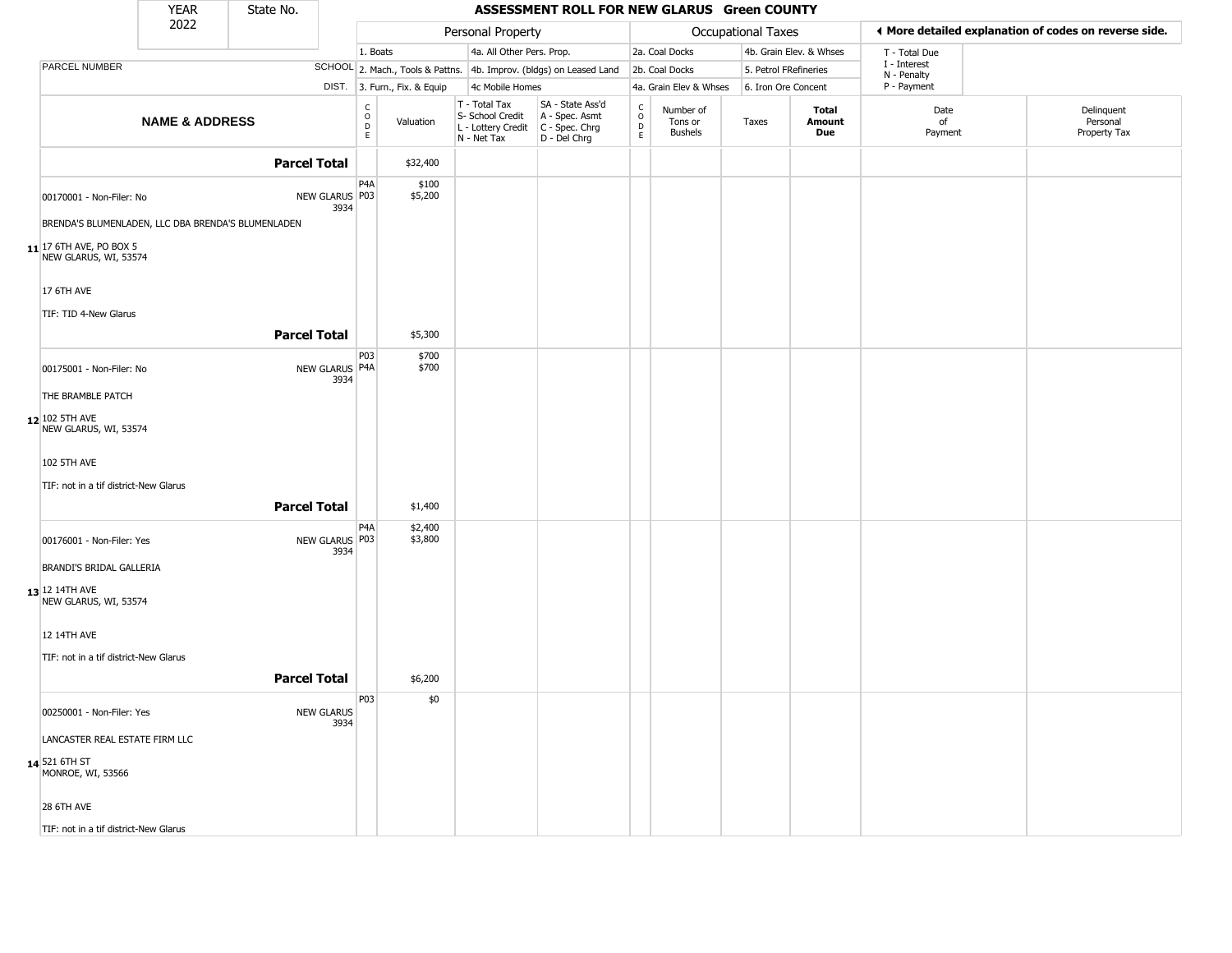|                                                    | <b>YEAR</b>               | State No.           |                           |                                          |                              |                                                                        | ASSESSMENT ROLL FOR NEW GLARUS Green COUNTY                          |                                                  |                                        |                       |                         |                             |                                                       |
|----------------------------------------------------|---------------------------|---------------------|---------------------------|------------------------------------------|------------------------------|------------------------------------------------------------------------|----------------------------------------------------------------------|--------------------------------------------------|----------------------------------------|-----------------------|-------------------------|-----------------------------|-------------------------------------------------------|
|                                                    | 2022                      |                     |                           |                                          |                              | Personal Property                                                      |                                                                      |                                                  |                                        | Occupational Taxes    |                         |                             | ♦ More detailed explanation of codes on reverse side. |
|                                                    |                           |                     |                           | 1. Boats                                 |                              | 4a. All Other Pers. Prop.                                              |                                                                      |                                                  | 2a. Coal Docks                         |                       | 4b. Grain Elev. & Whses | T - Total Due               |                                                       |
| PARCEL NUMBER                                      |                           |                     |                           |                                          |                              |                                                                        | SCHOOL 2. Mach., Tools & Pattns. 4b. Improv. (bldgs) on Leased Land  |                                                  | 2b. Coal Docks                         | 5. Petrol FRefineries |                         | I - Interest<br>N - Penalty |                                                       |
|                                                    |                           |                     |                           |                                          | DIST. 3. Furn., Fix. & Equip | 4c Mobile Homes                                                        |                                                                      |                                                  | 4a. Grain Elev & Whses                 | 6. Iron Ore Concent   |                         | P - Payment                 |                                                       |
|                                                    | <b>NAME &amp; ADDRESS</b> |                     |                           | $\rm _o^C$<br>$\mathsf D$<br>$\mathsf E$ | Valuation                    | T - Total Tax<br>S- School Credit<br>L - Lottery Credit<br>N - Net Tax | SA - State Ass'd<br>A - Spec. Asmt<br>C - Spec. Chrg<br>D - Del Chrg | $_{\rm o}^{\rm c}$<br>$\mathsf D$<br>$\mathsf E$ | Number of<br>Tons or<br><b>Bushels</b> | Taxes                 | Total<br>Amount<br>Due  | Date<br>of<br>Payment       | Delinquent<br>Personal<br>Property Tax                |
|                                                    |                           | <b>Parcel Total</b> |                           |                                          | \$32,400                     |                                                                        |                                                                      |                                                  |                                        |                       |                         |                             |                                                       |
| 00170001 - Non-Filer: No                           |                           |                     | NEW GLARUS P03<br>3934    | P4A                                      | \$100<br>\$5,200             |                                                                        |                                                                      |                                                  |                                        |                       |                         |                             |                                                       |
| BRENDA'S BLUMENLADEN, LLC DBA BRENDA'S BLUMENLADEN |                           |                     |                           |                                          |                              |                                                                        |                                                                      |                                                  |                                        |                       |                         |                             |                                                       |
| 11 17 6TH AVE, PO BOX 5<br>NEW GLARUS, WI, 53574   |                           |                     |                           |                                          |                              |                                                                        |                                                                      |                                                  |                                        |                       |                         |                             |                                                       |
| 17 6TH AVE                                         |                           |                     |                           |                                          |                              |                                                                        |                                                                      |                                                  |                                        |                       |                         |                             |                                                       |
| TIF: TID 4-New Glarus                              |                           |                     |                           |                                          |                              |                                                                        |                                                                      |                                                  |                                        |                       |                         |                             |                                                       |
|                                                    |                           | <b>Parcel Total</b> |                           |                                          | \$5,300                      |                                                                        |                                                                      |                                                  |                                        |                       |                         |                             |                                                       |
| 00175001 - Non-Filer: No                           |                           |                     | NEW GLARUS P4A<br>3934    | P03                                      | \$700<br>\$700               |                                                                        |                                                                      |                                                  |                                        |                       |                         |                             |                                                       |
| THE BRAMBLE PATCH                                  |                           |                     |                           |                                          |                              |                                                                        |                                                                      |                                                  |                                        |                       |                         |                             |                                                       |
| 12 102 5TH AVE<br>NEW GLARUS, WI, 53574            |                           |                     |                           |                                          |                              |                                                                        |                                                                      |                                                  |                                        |                       |                         |                             |                                                       |
| <b>102 5TH AVE</b>                                 |                           |                     |                           |                                          |                              |                                                                        |                                                                      |                                                  |                                        |                       |                         |                             |                                                       |
| TIF: not in a tif district-New Glarus              |                           |                     |                           |                                          |                              |                                                                        |                                                                      |                                                  |                                        |                       |                         |                             |                                                       |
|                                                    |                           | <b>Parcel Total</b> |                           |                                          | \$1,400                      |                                                                        |                                                                      |                                                  |                                        |                       |                         |                             |                                                       |
| 00176001 - Non-Filer: Yes                          |                           |                     | NEW GLARUS P03<br>3934    | P4A                                      | \$2,400<br>\$3,800           |                                                                        |                                                                      |                                                  |                                        |                       |                         |                             |                                                       |
| BRANDI'S BRIDAL GALLERIA                           |                           |                     |                           |                                          |                              |                                                                        |                                                                      |                                                  |                                        |                       |                         |                             |                                                       |
| 13 12 14TH AVE<br>NEW GLARUS, WI, 53574            |                           |                     |                           |                                          |                              |                                                                        |                                                                      |                                                  |                                        |                       |                         |                             |                                                       |
| <b>12 14TH AVE</b>                                 |                           |                     |                           |                                          |                              |                                                                        |                                                                      |                                                  |                                        |                       |                         |                             |                                                       |
| TIF: not in a tif district-New Glarus              |                           |                     |                           |                                          |                              |                                                                        |                                                                      |                                                  |                                        |                       |                         |                             |                                                       |
|                                                    |                           | <b>Parcel Total</b> |                           |                                          | \$6,200                      |                                                                        |                                                                      |                                                  |                                        |                       |                         |                             |                                                       |
| 00250001 - Non-Filer: Yes                          |                           |                     | <b>NEW GLARUS</b><br>3934 | P <sub>0</sub> 3                         | \$0                          |                                                                        |                                                                      |                                                  |                                        |                       |                         |                             |                                                       |
| LANCASTER REAL ESTATE FIRM LLC                     |                           |                     |                           |                                          |                              |                                                                        |                                                                      |                                                  |                                        |                       |                         |                             |                                                       |
| 14 521 6TH ST<br>MONROE, WI, 53566                 |                           |                     |                           |                                          |                              |                                                                        |                                                                      |                                                  |                                        |                       |                         |                             |                                                       |
| 28 6TH AVE                                         |                           |                     |                           |                                          |                              |                                                                        |                                                                      |                                                  |                                        |                       |                         |                             |                                                       |
| TIF: not in a tif district-New Glarus              |                           |                     |                           |                                          |                              |                                                                        |                                                                      |                                                  |                                        |                       |                         |                             |                                                       |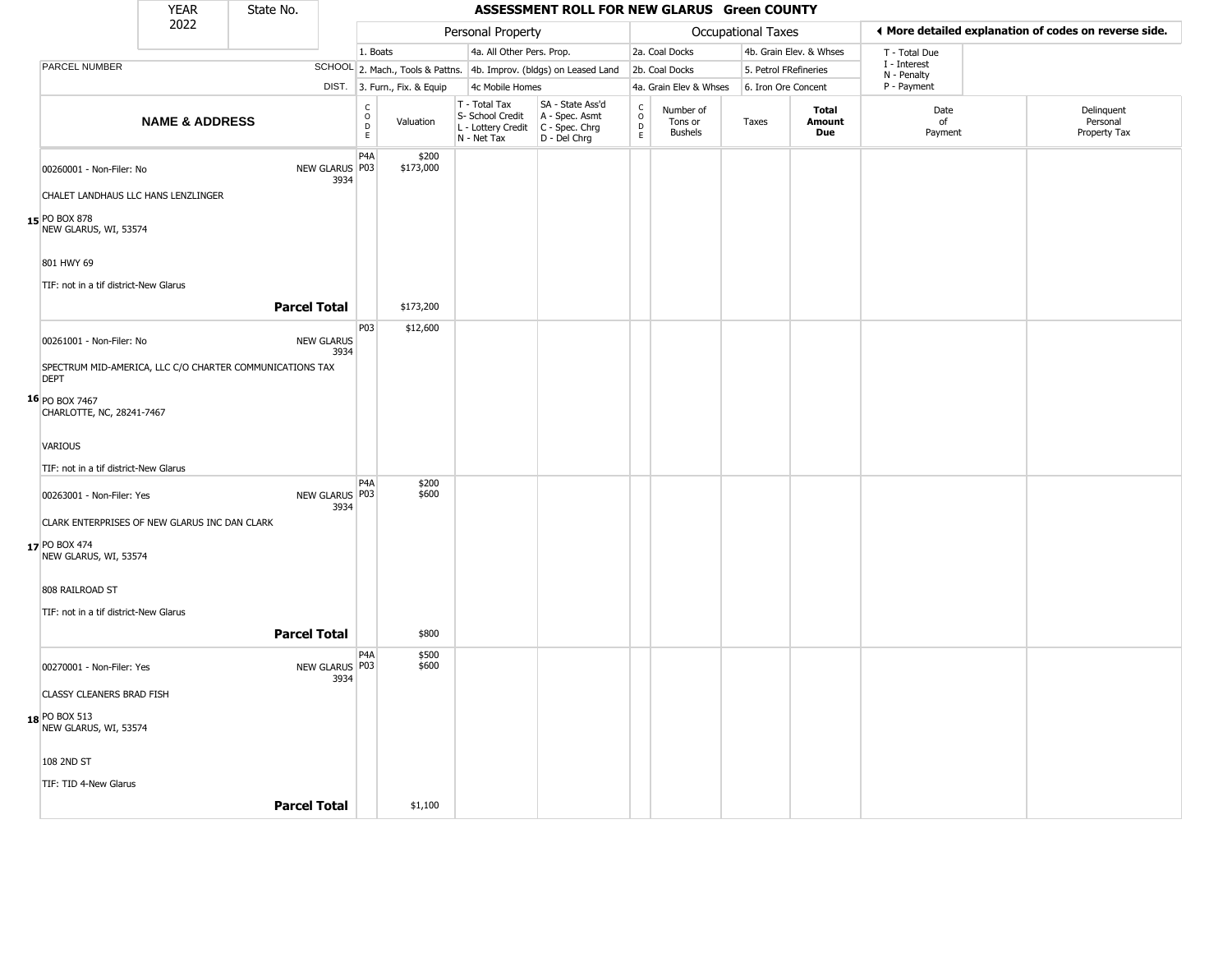|                                                                         | <b>YEAR</b>               | State No.           |                           |                                   |                              |                                                                                       | ASSESSMENT ROLL FOR NEW GLARUS Green COUNTY                         |                         |                                        |                       |                         |                             |                                                       |
|-------------------------------------------------------------------------|---------------------------|---------------------|---------------------------|-----------------------------------|------------------------------|---------------------------------------------------------------------------------------|---------------------------------------------------------------------|-------------------------|----------------------------------------|-----------------------|-------------------------|-----------------------------|-------------------------------------------------------|
|                                                                         | 2022                      |                     |                           |                                   |                              | Personal Property                                                                     |                                                                     |                         |                                        | Occupational Taxes    |                         |                             | I More detailed explanation of codes on reverse side. |
|                                                                         |                           |                     |                           | 1. Boats                          |                              | 4a. All Other Pers. Prop.                                                             |                                                                     |                         | 2a. Coal Docks                         |                       | 4b. Grain Elev. & Whses | T - Total Due               |                                                       |
| PARCEL NUMBER                                                           |                           |                     |                           |                                   |                              |                                                                                       | SCHOOL 2. Mach., Tools & Pattns. 4b. Improv. (bldgs) on Leased Land |                         | 2b. Coal Docks                         | 5. Petrol FRefineries |                         | I - Interest<br>N - Penalty |                                                       |
|                                                                         |                           |                     |                           |                                   | DIST. 3. Furn., Fix. & Equip | 4c Mobile Homes                                                                       |                                                                     |                         | 4a. Grain Elev & Whses                 | 6. Iron Ore Concent   |                         | P - Payment                 |                                                       |
|                                                                         | <b>NAME &amp; ADDRESS</b> |                     |                           | $\frac{c}{0}$<br>$\mathsf D$<br>E | Valuation                    | T - Total Tax<br>S- School Credit<br>L - Lottery Credit C - Spec. Chrg<br>N - Net Tax | SA - State Ass'd<br>A - Spec. Asmt<br>D - Del Chrg                  | C<br>$\circ$<br>D<br>E. | Number of<br>Tons or<br><b>Bushels</b> | Taxes                 | Total<br>Amount<br>Due  | Date<br>of<br>Payment       | Delinquent<br>Personal<br>Property Tax                |
| 00260001 - Non-Filer: No                                                |                           |                     | NEW GLARUS P03<br>3934    | P4A                               | \$200<br>\$173,000           |                                                                                       |                                                                     |                         |                                        |                       |                         |                             |                                                       |
| CHALET LANDHAUS LLC HANS LENZLINGER                                     |                           |                     |                           |                                   |                              |                                                                                       |                                                                     |                         |                                        |                       |                         |                             |                                                       |
| 15 PO BOX 878<br>NEW GLARUS, WI, 53574                                  |                           |                     |                           |                                   |                              |                                                                                       |                                                                     |                         |                                        |                       |                         |                             |                                                       |
| 801 HWY 69                                                              |                           |                     |                           |                                   |                              |                                                                                       |                                                                     |                         |                                        |                       |                         |                             |                                                       |
| TIF: not in a tif district-New Glarus                                   |                           |                     |                           |                                   |                              |                                                                                       |                                                                     |                         |                                        |                       |                         |                             |                                                       |
|                                                                         |                           | <b>Parcel Total</b> |                           |                                   | \$173,200                    |                                                                                       |                                                                     |                         |                                        |                       |                         |                             |                                                       |
| 00261001 - Non-Filer: No                                                |                           |                     | <b>NEW GLARUS</b><br>3934 | P03                               | \$12,600                     |                                                                                       |                                                                     |                         |                                        |                       |                         |                             |                                                       |
| SPECTRUM MID-AMERICA, LLC C/O CHARTER COMMUNICATIONS TAX<br><b>DEPT</b> |                           |                     |                           |                                   |                              |                                                                                       |                                                                     |                         |                                        |                       |                         |                             |                                                       |
| 16 PO BOX 7467<br>CHARLOTTE, NC, 28241-7467                             |                           |                     |                           |                                   |                              |                                                                                       |                                                                     |                         |                                        |                       |                         |                             |                                                       |
| VARIOUS                                                                 |                           |                     |                           |                                   |                              |                                                                                       |                                                                     |                         |                                        |                       |                         |                             |                                                       |
| TIF: not in a tif district-New Glarus                                   |                           |                     |                           |                                   |                              |                                                                                       |                                                                     |                         |                                        |                       |                         |                             |                                                       |
| 00263001 - Non-Filer: Yes                                               |                           |                     | NEW GLARUS   P03<br>3934  | P <sub>4</sub> A                  | \$200<br>\$600               |                                                                                       |                                                                     |                         |                                        |                       |                         |                             |                                                       |
| CLARK ENTERPRISES OF NEW GLARUS INC DAN CLARK                           |                           |                     |                           |                                   |                              |                                                                                       |                                                                     |                         |                                        |                       |                         |                             |                                                       |
| 17 PO BOX 474<br>NEW GLARUS, WI, 53574                                  |                           |                     |                           |                                   |                              |                                                                                       |                                                                     |                         |                                        |                       |                         |                             |                                                       |
| 808 RAILROAD ST                                                         |                           |                     |                           |                                   |                              |                                                                                       |                                                                     |                         |                                        |                       |                         |                             |                                                       |
| TIF: not in a tif district-New Glarus                                   |                           |                     |                           |                                   |                              |                                                                                       |                                                                     |                         |                                        |                       |                         |                             |                                                       |
|                                                                         |                           | <b>Parcel Total</b> |                           |                                   | \$800                        |                                                                                       |                                                                     |                         |                                        |                       |                         |                             |                                                       |
| 00270001 - Non-Filer: Yes                                               |                           |                     | NEW GLARUS P03<br>3934    | P4A                               | \$500<br>\$600               |                                                                                       |                                                                     |                         |                                        |                       |                         |                             |                                                       |
| CLASSY CLEANERS BRAD FISH                                               |                           |                     |                           |                                   |                              |                                                                                       |                                                                     |                         |                                        |                       |                         |                             |                                                       |
| <b>18</b> PO BOX 513<br>NEW GLARUS, WI, 53574                           |                           |                     |                           |                                   |                              |                                                                                       |                                                                     |                         |                                        |                       |                         |                             |                                                       |
| 108 2ND ST                                                              |                           |                     |                           |                                   |                              |                                                                                       |                                                                     |                         |                                        |                       |                         |                             |                                                       |
| TIF: TID 4-New Glarus                                                   |                           |                     |                           |                                   |                              |                                                                                       |                                                                     |                         |                                        |                       |                         |                             |                                                       |
|                                                                         |                           | <b>Parcel Total</b> |                           |                                   | \$1,100                      |                                                                                       |                                                                     |                         |                                        |                       |                         |                             |                                                       |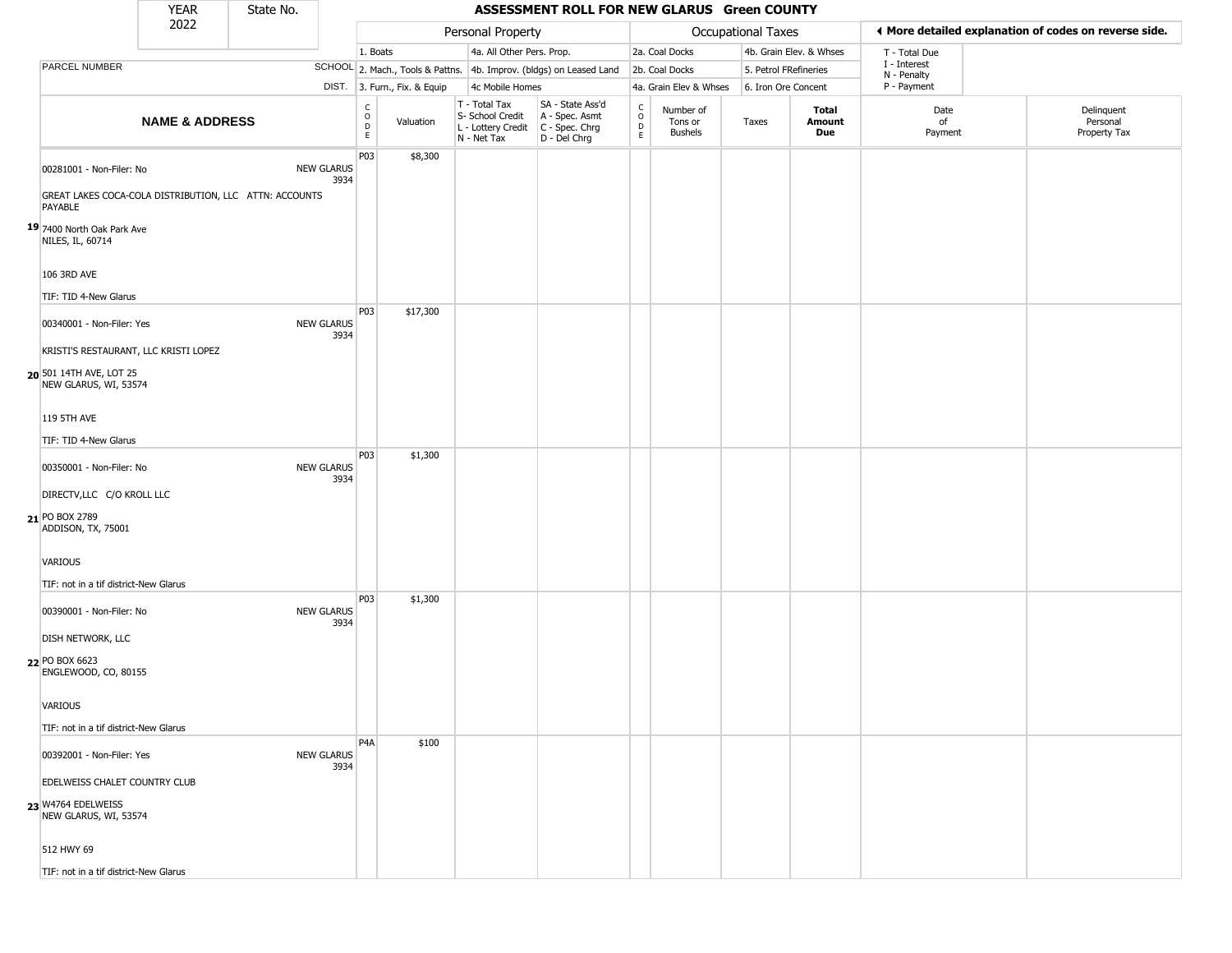|                                                                   | <b>YEAR</b>               | State No. |                           |                                            |                        |                                                                        | ASSESSMENT ROLL FOR NEW GLARUS Green COUNTY                            |                                                   |                                        |                     |                         |                             |                                                       |
|-------------------------------------------------------------------|---------------------------|-----------|---------------------------|--------------------------------------------|------------------------|------------------------------------------------------------------------|------------------------------------------------------------------------|---------------------------------------------------|----------------------------------------|---------------------|-------------------------|-----------------------------|-------------------------------------------------------|
|                                                                   | 2022                      |           |                           |                                            |                        | Personal Property                                                      |                                                                        |                                                   |                                        | Occupational Taxes  |                         |                             | ♦ More detailed explanation of codes on reverse side. |
|                                                                   |                           |           |                           | 1. Boats                                   |                        | 4a. All Other Pers. Prop.                                              |                                                                        |                                                   | 2a. Coal Docks                         |                     | 4b. Grain Elev. & Whses | T - Total Due               |                                                       |
| PARCEL NUMBER                                                     |                           |           |                           |                                            |                        |                                                                        | SCHOOL 2. Mach., Tools & Pattns. 4b. Improv. (bldgs) on Leased Land    |                                                   | 2b. Coal Docks                         |                     | 5. Petrol FRefineries   | I - Interest<br>N - Penalty |                                                       |
|                                                                   |                           |           | DIST.                     |                                            | 3. Furn., Fix. & Equip | 4c Mobile Homes                                                        |                                                                        |                                                   | 4a. Grain Elev & Whses                 | 6. Iron Ore Concent |                         | P - Payment                 |                                                       |
|                                                                   | <b>NAME &amp; ADDRESS</b> |           |                           | $\begin{array}{c} C \\ 0 \\ E \end{array}$ | Valuation              | T - Total Tax<br>S- School Credit<br>L - Lottery Credit<br>N - Net Tax | SA - State Ass'd<br>A - Spec. Asmt<br>$C - Spec. Chrg$<br>D - Del Chrg | $\begin{array}{c}\nC \\ O \\ D \\ E\n\end{array}$ | Number of<br>Tons or<br><b>Bushels</b> | Taxes               | Total<br>Amount<br>Due  | Date<br>of<br>Payment       | Delinquent<br>Personal<br>Property Tax                |
| 00281001 - Non-Filer: No                                          |                           |           | <b>NEW GLARUS</b><br>3934 | P03                                        | \$8,300                |                                                                        |                                                                        |                                                   |                                        |                     |                         |                             |                                                       |
| GREAT LAKES COCA-COLA DISTRIBUTION, LLC ATTN: ACCOUNTS<br>PAYABLE |                           |           |                           |                                            |                        |                                                                        |                                                                        |                                                   |                                        |                     |                         |                             |                                                       |
| 19 7400 North Oak Park Ave<br>NILES, IL, 60714                    |                           |           |                           |                                            |                        |                                                                        |                                                                        |                                                   |                                        |                     |                         |                             |                                                       |
| 106 3RD AVE                                                       |                           |           |                           |                                            |                        |                                                                        |                                                                        |                                                   |                                        |                     |                         |                             |                                                       |
| TIF: TID 4-New Glarus                                             |                           |           |                           |                                            |                        |                                                                        |                                                                        |                                                   |                                        |                     |                         |                             |                                                       |
| 00340001 - Non-Filer: Yes                                         |                           |           | <b>NEW GLARUS</b><br>3934 | P03                                        | \$17,300               |                                                                        |                                                                        |                                                   |                                        |                     |                         |                             |                                                       |
| KRISTI'S RESTAURANT, LLC KRISTI LOPEZ                             |                           |           |                           |                                            |                        |                                                                        |                                                                        |                                                   |                                        |                     |                         |                             |                                                       |
| 20 501 14TH AVE, LOT 25<br>NEW GLARUS, WI, 53574                  |                           |           |                           |                                            |                        |                                                                        |                                                                        |                                                   |                                        |                     |                         |                             |                                                       |
| 119 5TH AVE                                                       |                           |           |                           |                                            |                        |                                                                        |                                                                        |                                                   |                                        |                     |                         |                             |                                                       |
| TIF: TID 4-New Glarus                                             |                           |           |                           |                                            |                        |                                                                        |                                                                        |                                                   |                                        |                     |                         |                             |                                                       |
| 00350001 - Non-Filer: No                                          |                           |           | <b>NEW GLARUS</b><br>3934 | P03                                        | \$1,300                |                                                                        |                                                                        |                                                   |                                        |                     |                         |                             |                                                       |
| DIRECTV, LLC C/O KROLL LLC                                        |                           |           |                           |                                            |                        |                                                                        |                                                                        |                                                   |                                        |                     |                         |                             |                                                       |
| 21 PO BOX 2789<br>ADDISON, TX, 75001                              |                           |           |                           |                                            |                        |                                                                        |                                                                        |                                                   |                                        |                     |                         |                             |                                                       |
| <b>VARIOUS</b>                                                    |                           |           |                           |                                            |                        |                                                                        |                                                                        |                                                   |                                        |                     |                         |                             |                                                       |
| TIF: not in a tif district-New Glarus                             |                           |           |                           |                                            |                        |                                                                        |                                                                        |                                                   |                                        |                     |                         |                             |                                                       |
| 00390001 - Non-Filer: No                                          |                           |           | <b>NEW GLARUS</b><br>3934 | P03                                        | \$1,300                |                                                                        |                                                                        |                                                   |                                        |                     |                         |                             |                                                       |
| <b>DISH NETWORK, LLC</b>                                          |                           |           |                           |                                            |                        |                                                                        |                                                                        |                                                   |                                        |                     |                         |                             |                                                       |
| 22 PO BOX 6623<br>ENGLEWOOD, CO, 80155                            |                           |           |                           |                                            |                        |                                                                        |                                                                        |                                                   |                                        |                     |                         |                             |                                                       |
| VARIOUS                                                           |                           |           |                           |                                            |                        |                                                                        |                                                                        |                                                   |                                        |                     |                         |                             |                                                       |
| TIF: not in a tif district-New Glarus                             |                           |           |                           |                                            |                        |                                                                        |                                                                        |                                                   |                                        |                     |                         |                             |                                                       |
| 00392001 - Non-Filer: Yes                                         |                           |           | <b>NEW GLARUS</b><br>3934 | P <sub>4</sub> A                           | \$100                  |                                                                        |                                                                        |                                                   |                                        |                     |                         |                             |                                                       |
| EDELWEISS CHALET COUNTRY CLUB                                     |                           |           |                           |                                            |                        |                                                                        |                                                                        |                                                   |                                        |                     |                         |                             |                                                       |
| 23 W4764 EDELWEISS<br>NEW GLARUS, WI, 53574                       |                           |           |                           |                                            |                        |                                                                        |                                                                        |                                                   |                                        |                     |                         |                             |                                                       |
| 512 HWY 69                                                        |                           |           |                           |                                            |                        |                                                                        |                                                                        |                                                   |                                        |                     |                         |                             |                                                       |
| TIF: not in a tif district-New Glarus                             |                           |           |                           |                                            |                        |                                                                        |                                                                        |                                                   |                                        |                     |                         |                             |                                                       |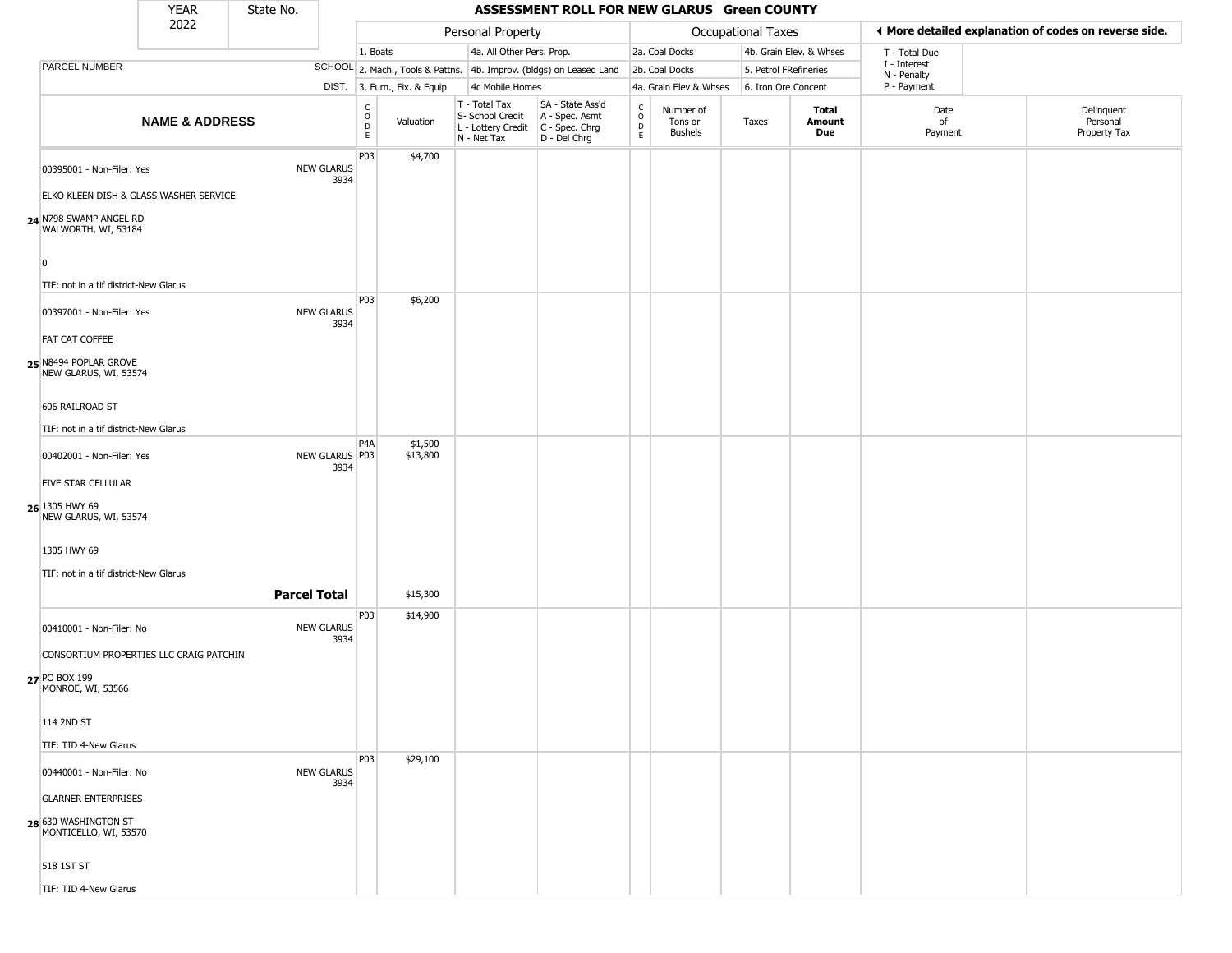|                                                                                         | <b>YEAR</b>               | State No.           |                           |                                             |                              |                                                                        | ASSESSMENT ROLL FOR NEW GLARUS Green COUNTY                          |                                                 |                                        |                     |                         |                             |                                                       |
|-----------------------------------------------------------------------------------------|---------------------------|---------------------|---------------------------|---------------------------------------------|------------------------------|------------------------------------------------------------------------|----------------------------------------------------------------------|-------------------------------------------------|----------------------------------------|---------------------|-------------------------|-----------------------------|-------------------------------------------------------|
|                                                                                         | 2022                      |                     |                           |                                             |                              | Personal Property                                                      |                                                                      |                                                 |                                        | Occupational Taxes  |                         |                             | ♦ More detailed explanation of codes on reverse side. |
|                                                                                         |                           |                     |                           | 1. Boats                                    |                              | 4a. All Other Pers. Prop.                                              |                                                                      |                                                 | 2a. Coal Docks                         |                     | 4b. Grain Elev. & Whses | T - Total Due               |                                                       |
| PARCEL NUMBER                                                                           |                           |                     |                           |                                             |                              |                                                                        | SCHOOL 2. Mach., Tools & Pattns. 4b. Improv. (bldgs) on Leased Land  |                                                 | 2b. Coal Docks                         |                     | 5. Petrol FRefineries   | I - Interest<br>N - Penalty |                                                       |
|                                                                                         |                           |                     |                           |                                             | DIST. 3. Furn., Fix. & Equip | 4c Mobile Homes                                                        |                                                                      |                                                 | 4a. Grain Elev & Whses                 | 6. Iron Ore Concent |                         | P - Payment                 |                                                       |
|                                                                                         | <b>NAME &amp; ADDRESS</b> |                     |                           | $\frac{C}{O}$<br>$\mathsf D$<br>$\mathsf E$ | Valuation                    | T - Total Tax<br>S- School Credit<br>L - Lottery Credit<br>N - Net Tax | SA - State Ass'd<br>A - Spec. Asmt<br>C - Spec. Chrg<br>D - Del Chrg | $\begin{array}{c} C \\ O \\ D \\ E \end{array}$ | Number of<br>Tons or<br><b>Bushels</b> | Taxes               | Total<br>Amount<br>Due  | Date<br>of<br>Payment       | Delinquent<br>Personal<br>Property Tax                |
| 00395001 - Non-Filer: Yes                                                               |                           |                     | <b>NEW GLARUS</b><br>3934 | P03                                         | \$4,700                      |                                                                        |                                                                      |                                                 |                                        |                     |                         |                             |                                                       |
| ELKO KLEEN DISH & GLASS WASHER SERVICE<br>24 N798 SWAMP ANGEL RD<br>WALWORTH, WI, 53184 |                           |                     |                           |                                             |                              |                                                                        |                                                                      |                                                 |                                        |                     |                         |                             |                                                       |
| $\overline{0}$                                                                          |                           |                     |                           |                                             |                              |                                                                        |                                                                      |                                                 |                                        |                     |                         |                             |                                                       |
| TIF: not in a tif district-New Glarus                                                   |                           |                     |                           | P03                                         | \$6,200                      |                                                                        |                                                                      |                                                 |                                        |                     |                         |                             |                                                       |
| 00397001 - Non-Filer: Yes                                                               |                           |                     | <b>NEW GLARUS</b><br>3934 |                                             |                              |                                                                        |                                                                      |                                                 |                                        |                     |                         |                             |                                                       |
| <b>FAT CAT COFFEE</b>                                                                   |                           |                     |                           |                                             |                              |                                                                        |                                                                      |                                                 |                                        |                     |                         |                             |                                                       |
| 25 N8494 POPLAR GROVE<br>NEW GLARUS, WI, 53574                                          |                           |                     |                           |                                             |                              |                                                                        |                                                                      |                                                 |                                        |                     |                         |                             |                                                       |
| 606 RAILROAD ST                                                                         |                           |                     |                           |                                             |                              |                                                                        |                                                                      |                                                 |                                        |                     |                         |                             |                                                       |
| TIF: not in a tif district-New Glarus                                                   |                           |                     |                           |                                             |                              |                                                                        |                                                                      |                                                 |                                        |                     |                         |                             |                                                       |
| 00402001 - Non-Filer: Yes                                                               |                           |                     | NEW GLARUS P03<br>3934    | P4A                                         | \$1,500<br>\$13,800          |                                                                        |                                                                      |                                                 |                                        |                     |                         |                             |                                                       |
| FIVE STAR CELLULAR                                                                      |                           |                     |                           |                                             |                              |                                                                        |                                                                      |                                                 |                                        |                     |                         |                             |                                                       |
| 26 1305 HWY 69<br>NEW GLARUS, WI, 53574                                                 |                           |                     |                           |                                             |                              |                                                                        |                                                                      |                                                 |                                        |                     |                         |                             |                                                       |
| 1305 HWY 69                                                                             |                           |                     |                           |                                             |                              |                                                                        |                                                                      |                                                 |                                        |                     |                         |                             |                                                       |
| TIF: not in a tif district-New Glarus                                                   |                           |                     |                           |                                             |                              |                                                                        |                                                                      |                                                 |                                        |                     |                         |                             |                                                       |
|                                                                                         |                           | <b>Parcel Total</b> |                           |                                             | \$15,300                     |                                                                        |                                                                      |                                                 |                                        |                     |                         |                             |                                                       |
|                                                                                         |                           |                     |                           | P03                                         | \$14,900                     |                                                                        |                                                                      |                                                 |                                        |                     |                         |                             |                                                       |
| 00410001 - Non-Filer: No                                                                |                           |                     | <b>NEW GLARUS</b><br>3934 |                                             |                              |                                                                        |                                                                      |                                                 |                                        |                     |                         |                             |                                                       |
| CONSORTIUM PROPERTIES LLC CRAIG PATCHIN                                                 |                           |                     |                           |                                             |                              |                                                                        |                                                                      |                                                 |                                        |                     |                         |                             |                                                       |
| 27 PO BOX 199<br>MONROE, WI, 53566                                                      |                           |                     |                           |                                             |                              |                                                                        |                                                                      |                                                 |                                        |                     |                         |                             |                                                       |
| 114 2ND ST                                                                              |                           |                     |                           |                                             |                              |                                                                        |                                                                      |                                                 |                                        |                     |                         |                             |                                                       |
| TIF: TID 4-New Glarus                                                                   |                           |                     |                           | <b>P03</b>                                  | \$29,100                     |                                                                        |                                                                      |                                                 |                                        |                     |                         |                             |                                                       |
| 00440001 - Non-Filer: No                                                                |                           |                     | <b>NEW GLARUS</b><br>3934 |                                             |                              |                                                                        |                                                                      |                                                 |                                        |                     |                         |                             |                                                       |
| <b>GLARNER ENTERPRISES</b>                                                              |                           |                     |                           |                                             |                              |                                                                        |                                                                      |                                                 |                                        |                     |                         |                             |                                                       |
| 28 630 WASHINGTON ST<br>MONTICELLO, WI, 53570                                           |                           |                     |                           |                                             |                              |                                                                        |                                                                      |                                                 |                                        |                     |                         |                             |                                                       |
| 518 1ST ST                                                                              |                           |                     |                           |                                             |                              |                                                                        |                                                                      |                                                 |                                        |                     |                         |                             |                                                       |
| TIF: TID 4-New Glarus                                                                   |                           |                     |                           |                                             |                              |                                                                        |                                                                      |                                                 |                                        |                     |                         |                             |                                                       |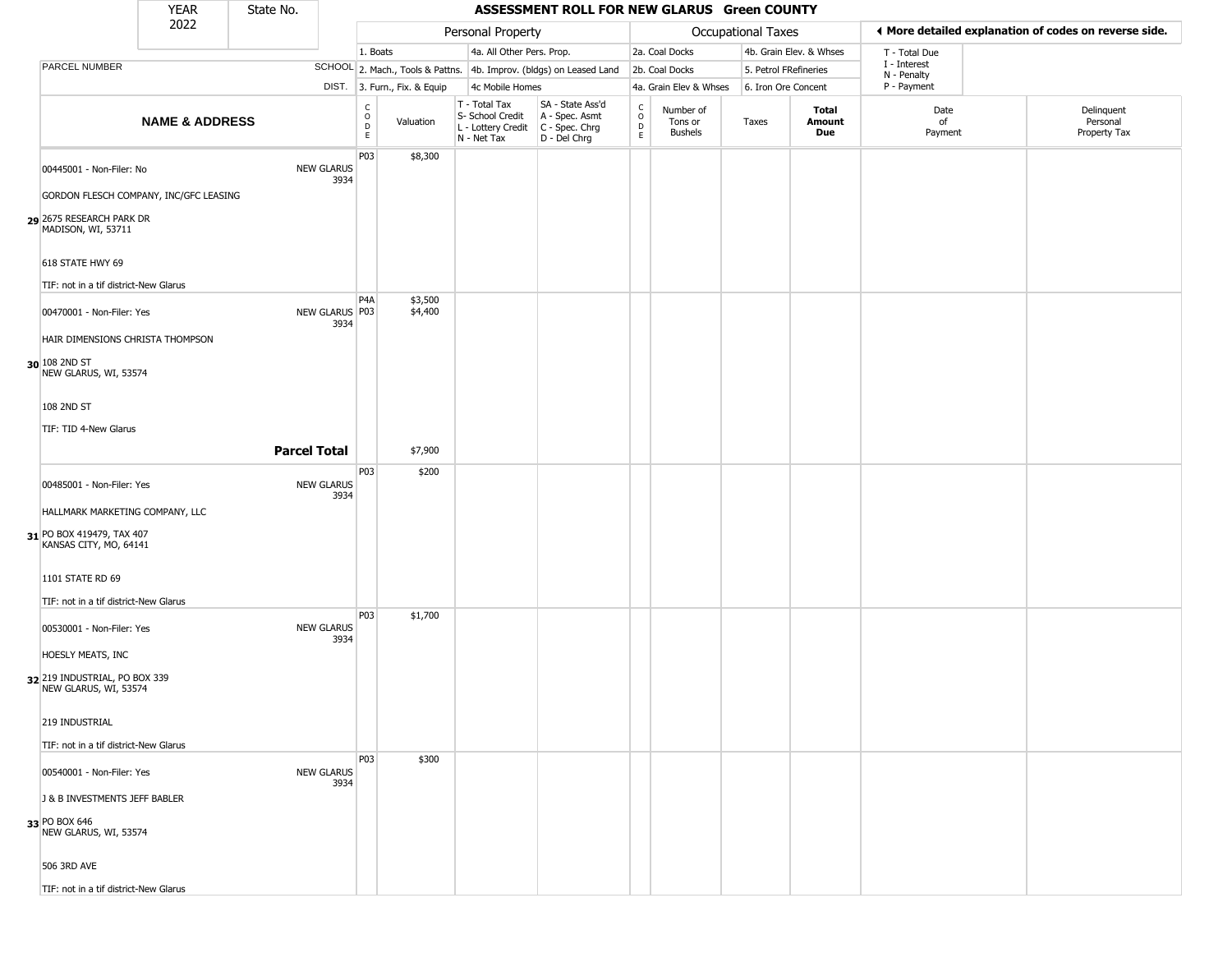|                                                        | <b>YEAR</b>               | State No.           |                           |                                   |                              |                                                  |                 | ASSESSMENT ROLL FOR NEW GLARUS Green COUNTY                                               |                                   |                                        |                           |                         |                             |                                                       |
|--------------------------------------------------------|---------------------------|---------------------|---------------------------|-----------------------------------|------------------------------|--------------------------------------------------|-----------------|-------------------------------------------------------------------------------------------|-----------------------------------|----------------------------------------|---------------------------|-------------------------|-----------------------------|-------------------------------------------------------|
|                                                        | 2022                      |                     |                           |                                   |                              | Personal Property                                |                 |                                                                                           |                                   |                                        | <b>Occupational Taxes</b> |                         |                             | ♦ More detailed explanation of codes on reverse side. |
|                                                        |                           |                     |                           | 1. Boats                          |                              |                                                  |                 | 4a. All Other Pers. Prop.                                                                 |                                   | 2a. Coal Docks                         |                           | 4b. Grain Elev. & Whses | T - Total Due               |                                                       |
| PARCEL NUMBER                                          |                           |                     |                           |                                   |                              |                                                  |                 | SCHOOL 2. Mach., Tools & Pattns. 4b. Improv. (bldgs) on Leased Land                       |                                   | 2b. Coal Docks                         | 5. Petrol FRefineries     |                         | I - Interest<br>N - Penalty |                                                       |
|                                                        |                           |                     |                           |                                   | DIST. 3. Furn., Fix. & Equip |                                                  | 4c Mobile Homes |                                                                                           |                                   | 4a. Grain Elev & Whses                 | 6. Iron Ore Concent       |                         | P - Payment                 |                                                       |
|                                                        | <b>NAME &amp; ADDRESS</b> |                     |                           | $\frac{c}{0}$<br>$\mathsf D$<br>E | Valuation                    | T - Total Tax<br>S- School Credit<br>N - Net Tax |                 | SA - State Ass'd<br>A - Spec. Asmt<br>L - Lottery Credit   C - Spec. Chrg<br>D - Del Chrg | C<br>$\circ$<br>$\mathsf{D}$<br>E | Number of<br>Tons or<br><b>Bushels</b> | Taxes                     | Total<br>Amount<br>Due  | Date<br>of<br>Payment       | Delinquent<br>Personal<br>Property Tax                |
| 00445001 - Non-Filer: No                               |                           |                     | <b>NEW GLARUS</b><br>3934 | P03                               | \$8,300                      |                                                  |                 |                                                                                           |                                   |                                        |                           |                         |                             |                                                       |
| GORDON FLESCH COMPANY, INC/GFC LEASING                 |                           |                     |                           |                                   |                              |                                                  |                 |                                                                                           |                                   |                                        |                           |                         |                             |                                                       |
| 2675 RESEARCH PARK DR<br>MADISON, WI, 53711            |                           |                     |                           |                                   |                              |                                                  |                 |                                                                                           |                                   |                                        |                           |                         |                             |                                                       |
| 618 STATE HWY 69                                       |                           |                     |                           |                                   |                              |                                                  |                 |                                                                                           |                                   |                                        |                           |                         |                             |                                                       |
| TIF: not in a tif district-New Glarus                  |                           |                     |                           |                                   |                              |                                                  |                 |                                                                                           |                                   |                                        |                           |                         |                             |                                                       |
| 00470001 - Non-Filer: Yes                              |                           |                     | NEW GLARUS P03<br>3934    | P <sub>4</sub> A                  | \$3,500<br>\$4,400           |                                                  |                 |                                                                                           |                                   |                                        |                           |                         |                             |                                                       |
| HAIR DIMENSIONS CHRISTA THOMPSON                       |                           |                     |                           |                                   |                              |                                                  |                 |                                                                                           |                                   |                                        |                           |                         |                             |                                                       |
| 30 108 2ND ST<br>NEW GLARUS, WI, 53574                 |                           |                     |                           |                                   |                              |                                                  |                 |                                                                                           |                                   |                                        |                           |                         |                             |                                                       |
| 108 2ND ST                                             |                           |                     |                           |                                   |                              |                                                  |                 |                                                                                           |                                   |                                        |                           |                         |                             |                                                       |
| TIF: TID 4-New Glarus                                  |                           |                     |                           |                                   |                              |                                                  |                 |                                                                                           |                                   |                                        |                           |                         |                             |                                                       |
|                                                        |                           | <b>Parcel Total</b> |                           |                                   | \$7,900                      |                                                  |                 |                                                                                           |                                   |                                        |                           |                         |                             |                                                       |
|                                                        |                           |                     |                           | P03                               | \$200                        |                                                  |                 |                                                                                           |                                   |                                        |                           |                         |                             |                                                       |
| 00485001 - Non-Filer: Yes                              |                           |                     | <b>NEW GLARUS</b><br>3934 |                                   |                              |                                                  |                 |                                                                                           |                                   |                                        |                           |                         |                             |                                                       |
| HALLMARK MARKETING COMPANY, LLC                        |                           |                     |                           |                                   |                              |                                                  |                 |                                                                                           |                                   |                                        |                           |                         |                             |                                                       |
| 31 PO BOX 419479, TAX 407<br>KANSAS CITY, MO, 64141    |                           |                     |                           |                                   |                              |                                                  |                 |                                                                                           |                                   |                                        |                           |                         |                             |                                                       |
| 1101 STATE RD 69                                       |                           |                     |                           |                                   |                              |                                                  |                 |                                                                                           |                                   |                                        |                           |                         |                             |                                                       |
| TIF: not in a tif district-New Glarus                  |                           |                     |                           | P03                               | \$1,700                      |                                                  |                 |                                                                                           |                                   |                                        |                           |                         |                             |                                                       |
| 00530001 - Non-Filer: Yes                              |                           |                     | <b>NEW GLARUS</b><br>3934 |                                   |                              |                                                  |                 |                                                                                           |                                   |                                        |                           |                         |                             |                                                       |
| HOESLY MEATS, INC                                      |                           |                     |                           |                                   |                              |                                                  |                 |                                                                                           |                                   |                                        |                           |                         |                             |                                                       |
| 32 219 INDUSTRIAL, PO BOX 339<br>NEW GLARUS, WI, 53574 |                           |                     |                           |                                   |                              |                                                  |                 |                                                                                           |                                   |                                        |                           |                         |                             |                                                       |
| 219 INDUSTRIAL                                         |                           |                     |                           |                                   |                              |                                                  |                 |                                                                                           |                                   |                                        |                           |                         |                             |                                                       |
| TIF: not in a tif district-New Glarus                  |                           |                     |                           |                                   |                              |                                                  |                 |                                                                                           |                                   |                                        |                           |                         |                             |                                                       |
| 00540001 - Non-Filer: Yes                              |                           |                     | <b>NEW GLARUS</b><br>3934 | <b>P03</b>                        | \$300                        |                                                  |                 |                                                                                           |                                   |                                        |                           |                         |                             |                                                       |
| J & B INVESTMENTS JEFF BABLER                          |                           |                     |                           |                                   |                              |                                                  |                 |                                                                                           |                                   |                                        |                           |                         |                             |                                                       |
| 33 PO BOX 646<br>NEW GLARUS, WI, 53574                 |                           |                     |                           |                                   |                              |                                                  |                 |                                                                                           |                                   |                                        |                           |                         |                             |                                                       |
| 506 3RD AVE                                            |                           |                     |                           |                                   |                              |                                                  |                 |                                                                                           |                                   |                                        |                           |                         |                             |                                                       |
| TIF: not in a tif district-New Glarus                  |                           |                     |                           |                                   |                              |                                                  |                 |                                                                                           |                                   |                                        |                           |                         |                             |                                                       |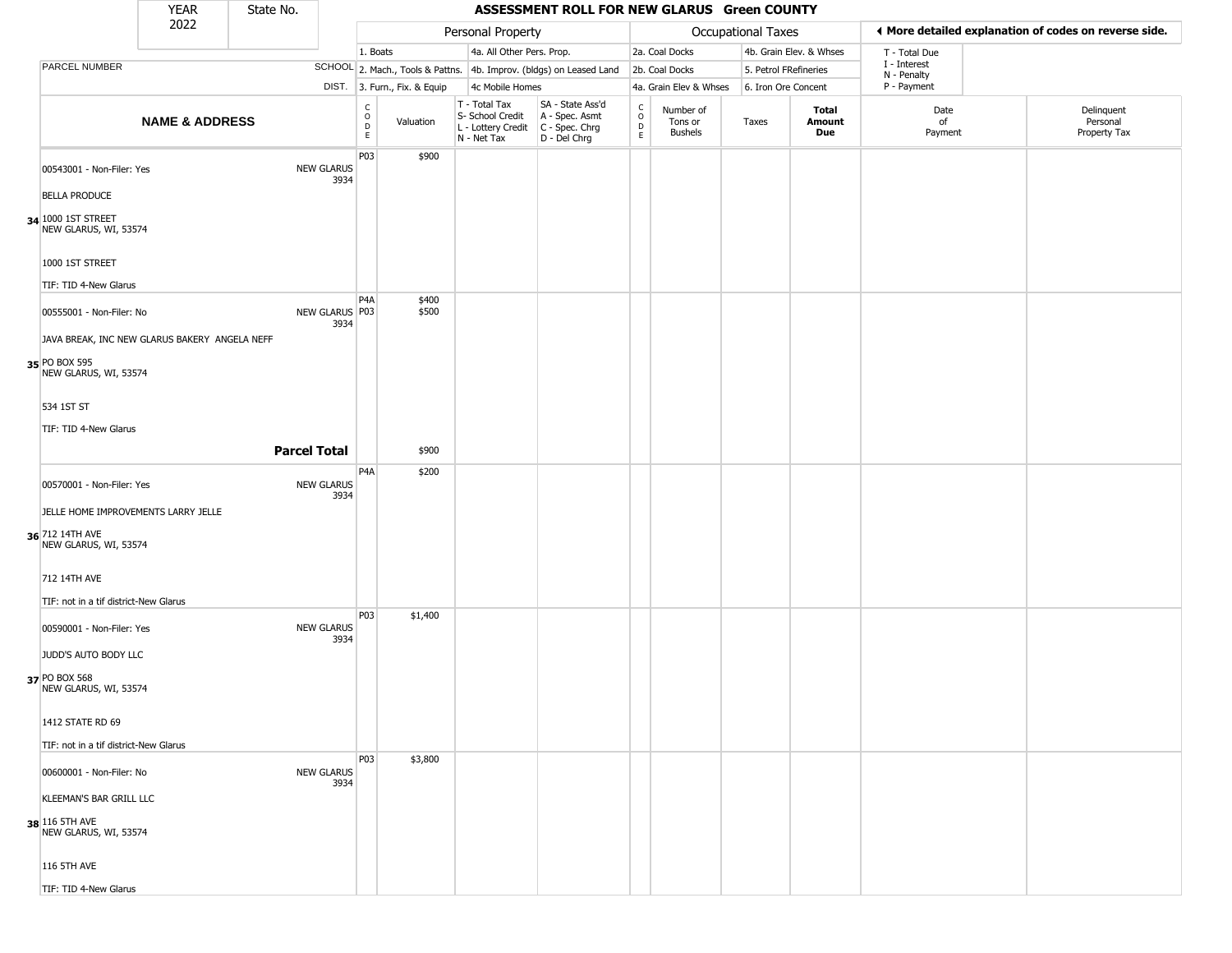|                                             | <b>YEAR</b>                                   | State No. |                           |                                                 |                                                                     |                                                  |                                                                                           |                                     | ASSESSMENT ROLL FOR NEW GLARUS Green COUNTY |                     |                         |                             |                                                       |
|---------------------------------------------|-----------------------------------------------|-----------|---------------------------|-------------------------------------------------|---------------------------------------------------------------------|--------------------------------------------------|-------------------------------------------------------------------------------------------|-------------------------------------|---------------------------------------------|---------------------|-------------------------|-----------------------------|-------------------------------------------------------|
|                                             | 2022                                          |           |                           |                                                 |                                                                     | Personal Property                                |                                                                                           |                                     |                                             | Occupational Taxes  |                         |                             | ♦ More detailed explanation of codes on reverse side. |
|                                             |                                               |           |                           | 1. Boats                                        |                                                                     |                                                  | 4a. All Other Pers. Prop.                                                                 |                                     | 2a. Coal Docks                              |                     | 4b. Grain Elev. & Whses | T - Total Due               |                                                       |
| PARCEL NUMBER                               |                                               |           |                           |                                                 | SCHOOL 2. Mach., Tools & Pattns. 4b. Improv. (bldgs) on Leased Land |                                                  |                                                                                           |                                     | 2b. Coal Docks                              |                     | 5. Petrol FRefineries   | I - Interest<br>N - Penalty |                                                       |
|                                             |                                               |           |                           |                                                 | DIST. 3. Furn., Fix. & Equip                                        | 4c Mobile Homes                                  |                                                                                           |                                     | 4a. Grain Elev & Whses                      | 6. Iron Ore Concent |                         | P - Payment                 |                                                       |
|                                             | <b>NAME &amp; ADDRESS</b>                     |           |                           | $\begin{array}{c} C \\ O \\ D \\ E \end{array}$ | Valuation                                                           | T - Total Tax<br>S- School Credit<br>N - Net Tax | SA - State Ass'd<br>A - Spec. Asmt<br>L - Lottery Credit   C - Spec. Chrg<br>D - Del Chrg | $_{\rm o}^{\rm c}$<br>$\frac{D}{E}$ | Number of<br>Tons or<br><b>Bushels</b>      | Taxes               | Total<br>Amount<br>Due  | Date<br>of<br>Payment       | Delinquent<br>Personal<br>Property Tax                |
| 00543001 - Non-Filer: Yes                   |                                               |           | <b>NEW GLARUS</b><br>3934 | P03                                             | \$900                                                               |                                                  |                                                                                           |                                     |                                             |                     |                         |                             |                                                       |
| <b>BELLA PRODUCE</b>                        |                                               |           |                           |                                                 |                                                                     |                                                  |                                                                                           |                                     |                                             |                     |                         |                             |                                                       |
| 34 1000 1ST STREET<br>NEW GLARUS, WI, 53574 |                                               |           |                           |                                                 |                                                                     |                                                  |                                                                                           |                                     |                                             |                     |                         |                             |                                                       |
| 1000 1ST STREET                             |                                               |           |                           |                                                 |                                                                     |                                                  |                                                                                           |                                     |                                             |                     |                         |                             |                                                       |
| TIF: TID 4-New Glarus                       |                                               |           |                           |                                                 |                                                                     |                                                  |                                                                                           |                                     |                                             |                     |                         |                             |                                                       |
| 00555001 - Non-Filer: No                    |                                               |           | NEW GLARUS P03<br>3934    | P <sub>4</sub> A                                | \$400<br>\$500                                                      |                                                  |                                                                                           |                                     |                                             |                     |                         |                             |                                                       |
|                                             | JAVA BREAK, INC NEW GLARUS BAKERY ANGELA NEFF |           |                           |                                                 |                                                                     |                                                  |                                                                                           |                                     |                                             |                     |                         |                             |                                                       |
| 35 PO BOX 595<br>NEW GLARUS, WI, 53574      |                                               |           |                           |                                                 |                                                                     |                                                  |                                                                                           |                                     |                                             |                     |                         |                             |                                                       |
| 534 1ST ST                                  |                                               |           |                           |                                                 |                                                                     |                                                  |                                                                                           |                                     |                                             |                     |                         |                             |                                                       |
| TIF: TID 4-New Glarus                       |                                               |           |                           |                                                 |                                                                     |                                                  |                                                                                           |                                     |                                             |                     |                         |                             |                                                       |
|                                             |                                               |           | <b>Parcel Total</b>       |                                                 | \$900                                                               |                                                  |                                                                                           |                                     |                                             |                     |                         |                             |                                                       |
|                                             |                                               |           |                           | P <sub>4</sub> A                                | \$200                                                               |                                                  |                                                                                           |                                     |                                             |                     |                         |                             |                                                       |
| 00570001 - Non-Filer: Yes                   |                                               |           | <b>NEW GLARUS</b><br>3934 |                                                 |                                                                     |                                                  |                                                                                           |                                     |                                             |                     |                         |                             |                                                       |
|                                             | JELLE HOME IMPROVEMENTS LARRY JELLE           |           |                           |                                                 |                                                                     |                                                  |                                                                                           |                                     |                                             |                     |                         |                             |                                                       |
| 36 712 14TH AVE<br>NEW GLARUS, WI, 53574    |                                               |           |                           |                                                 |                                                                     |                                                  |                                                                                           |                                     |                                             |                     |                         |                             |                                                       |
| 712 14TH AVE                                |                                               |           |                           |                                                 |                                                                     |                                                  |                                                                                           |                                     |                                             |                     |                         |                             |                                                       |
| TIF: not in a tif district-New Glarus       |                                               |           |                           | P03                                             | \$1,400                                                             |                                                  |                                                                                           |                                     |                                             |                     |                         |                             |                                                       |
| 00590001 - Non-Filer: Yes                   |                                               |           | <b>NEW GLARUS</b><br>3934 |                                                 |                                                                     |                                                  |                                                                                           |                                     |                                             |                     |                         |                             |                                                       |
| JUDD'S AUTO BODY LLC                        |                                               |           |                           |                                                 |                                                                     |                                                  |                                                                                           |                                     |                                             |                     |                         |                             |                                                       |
| 37 PO BOX 568<br>NEW GLARUS, WI, 53574      |                                               |           |                           |                                                 |                                                                     |                                                  |                                                                                           |                                     |                                             |                     |                         |                             |                                                       |
| 1412 STATE RD 69                            |                                               |           |                           |                                                 |                                                                     |                                                  |                                                                                           |                                     |                                             |                     |                         |                             |                                                       |
| TIF: not in a tif district-New Glarus       |                                               |           |                           |                                                 |                                                                     |                                                  |                                                                                           |                                     |                                             |                     |                         |                             |                                                       |
| 00600001 - Non-Filer: No                    |                                               |           | <b>NEW GLARUS</b><br>3934 | <b>P03</b>                                      | \$3,800                                                             |                                                  |                                                                                           |                                     |                                             |                     |                         |                             |                                                       |
| KLEEMAN'S BAR GRILL LLC                     |                                               |           |                           |                                                 |                                                                     |                                                  |                                                                                           |                                     |                                             |                     |                         |                             |                                                       |
| 38 116 5TH AVE<br>NEW GLARUS, WI, 53574     |                                               |           |                           |                                                 |                                                                     |                                                  |                                                                                           |                                     |                                             |                     |                         |                             |                                                       |
| 116 5TH AVE                                 |                                               |           |                           |                                                 |                                                                     |                                                  |                                                                                           |                                     |                                             |                     |                         |                             |                                                       |
| TIF: TID 4-New Glarus                       |                                               |           |                           |                                                 |                                                                     |                                                  |                                                                                           |                                     |                                             |                     |                         |                             |                                                       |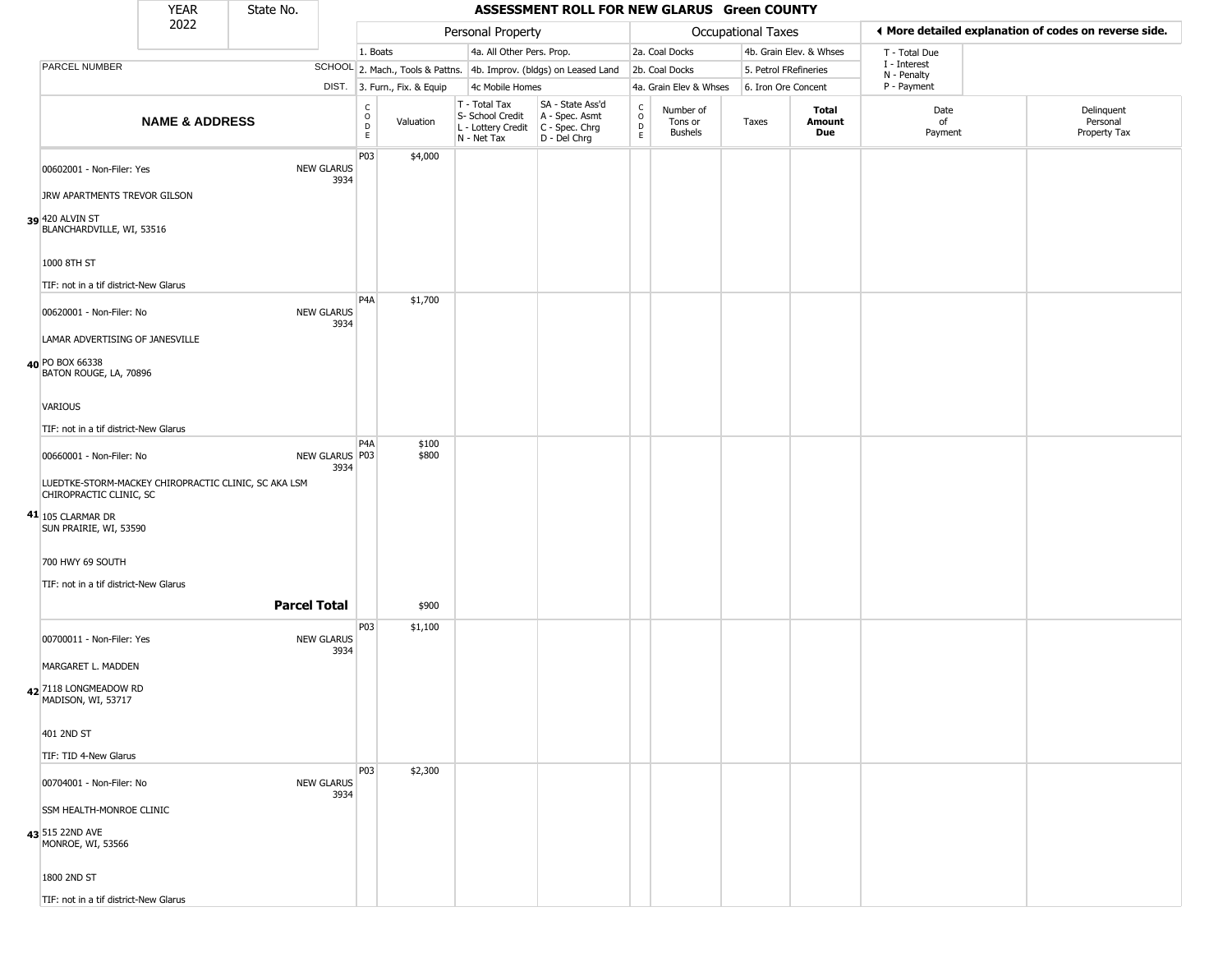|                                                                                 | <b>YEAR</b>               | State No.           |                           |                                            |                        |                                                                                         | ASSESSMENT ROLL FOR NEW GLARUS Green COUNTY                         |                                   |                                        |                    |                               |                             |                                                       |
|---------------------------------------------------------------------------------|---------------------------|---------------------|---------------------------|--------------------------------------------|------------------------|-----------------------------------------------------------------------------------------|---------------------------------------------------------------------|-----------------------------------|----------------------------------------|--------------------|-------------------------------|-----------------------------|-------------------------------------------------------|
|                                                                                 | 2022                      |                     |                           |                                            |                        | Personal Property                                                                       |                                                                     |                                   |                                        | Occupational Taxes |                               |                             | ◀ More detailed explanation of codes on reverse side. |
|                                                                                 |                           |                     |                           | 1. Boats                                   |                        | 4a. All Other Pers. Prop.                                                               |                                                                     |                                   | 2a. Coal Docks                         |                    | 4b. Grain Elev. & Whses       | T - Total Due               |                                                       |
| PARCEL NUMBER                                                                   |                           |                     |                           |                                            |                        |                                                                                         | SCHOOL 2. Mach., Tools & Pattns. 4b. Improv. (bldgs) on Leased Land |                                   | 2b. Coal Docks                         |                    | 5. Petrol FRefineries         | I - Interest<br>N - Penalty |                                                       |
|                                                                                 |                           |                     | DIST.                     |                                            | 3. Furn., Fix. & Equip | 4c Mobile Homes                                                                         |                                                                     |                                   | 4a. Grain Elev & Whses                 |                    | 6. Iron Ore Concent           | P - Payment                 |                                                       |
|                                                                                 | <b>NAME &amp; ADDRESS</b> |                     |                           | $\begin{array}{c} C \\ 0 \\ E \end{array}$ | Valuation              | T - Total Tax<br>S- School Credit<br>L - Lottery Credit   C - Spec. Chrg<br>N - Net Tax | SA - State Ass'd<br>A - Spec. Asmt<br>D - Del Chrg                  | $\mathsf{C}$<br>$\circ$<br>D<br>E | Number of<br>Tons or<br><b>Bushels</b> | Taxes              | <b>Total</b><br>Amount<br>Due | Date<br>of<br>Payment       | Delinquent<br>Personal<br>Property Tax                |
| 00602001 - Non-Filer: Yes                                                       |                           |                     | <b>NEW GLARUS</b><br>3934 | P03                                        | \$4,000                |                                                                                         |                                                                     |                                   |                                        |                    |                               |                             |                                                       |
| JRW APARTMENTS TREVOR GILSON                                                    |                           |                     |                           |                                            |                        |                                                                                         |                                                                     |                                   |                                        |                    |                               |                             |                                                       |
| 39 420 ALVIN ST<br>BLANCHARDVILLE, WI, 53516                                    |                           |                     |                           |                                            |                        |                                                                                         |                                                                     |                                   |                                        |                    |                               |                             |                                                       |
| 1000 8TH ST                                                                     |                           |                     |                           |                                            |                        |                                                                                         |                                                                     |                                   |                                        |                    |                               |                             |                                                       |
| TIF: not in a tif district-New Glarus                                           |                           |                     |                           |                                            |                        |                                                                                         |                                                                     |                                   |                                        |                    |                               |                             |                                                       |
| 00620001 - Non-Filer: No                                                        |                           |                     | <b>NEW GLARUS</b><br>3934 | P <sub>4</sub> A                           | \$1,700                |                                                                                         |                                                                     |                                   |                                        |                    |                               |                             |                                                       |
| LAMAR ADVERTISING OF JANESVILLE                                                 |                           |                     |                           |                                            |                        |                                                                                         |                                                                     |                                   |                                        |                    |                               |                             |                                                       |
| 40 PO BOX 66338<br>BATON ROUGE, LA, 70896                                       |                           |                     |                           |                                            |                        |                                                                                         |                                                                     |                                   |                                        |                    |                               |                             |                                                       |
| VARIOUS                                                                         |                           |                     |                           |                                            |                        |                                                                                         |                                                                     |                                   |                                        |                    |                               |                             |                                                       |
| TIF: not in a tif district-New Glarus                                           |                           |                     |                           |                                            |                        |                                                                                         |                                                                     |                                   |                                        |                    |                               |                             |                                                       |
| 00660001 - Non-Filer: No                                                        |                           |                     | NEW GLARUS P03<br>3934    | P <sub>4</sub> A                           | \$100<br>\$800         |                                                                                         |                                                                     |                                   |                                        |                    |                               |                             |                                                       |
| LUEDTKE-STORM-MACKEY CHIROPRACTIC CLINIC, SC AKA LSM<br>CHIROPRACTIC CLINIC, SC |                           |                     |                           |                                            |                        |                                                                                         |                                                                     |                                   |                                        |                    |                               |                             |                                                       |
| 41 105 CLARMAR DR<br>SUN PRAIRIE, WI, 53590                                     |                           |                     |                           |                                            |                        |                                                                                         |                                                                     |                                   |                                        |                    |                               |                             |                                                       |
| 700 HWY 69 SOUTH                                                                |                           |                     |                           |                                            |                        |                                                                                         |                                                                     |                                   |                                        |                    |                               |                             |                                                       |
| TIF: not in a tif district-New Glarus                                           |                           |                     |                           |                                            |                        |                                                                                         |                                                                     |                                   |                                        |                    |                               |                             |                                                       |
|                                                                                 |                           | <b>Parcel Total</b> |                           |                                            | \$900                  |                                                                                         |                                                                     |                                   |                                        |                    |                               |                             |                                                       |
| 00700011 - Non-Filer: Yes                                                       |                           |                     | <b>NEW GLARUS</b><br>3934 | P03                                        | \$1,100                |                                                                                         |                                                                     |                                   |                                        |                    |                               |                             |                                                       |
| MARGARET L. MADDEN                                                              |                           |                     |                           |                                            |                        |                                                                                         |                                                                     |                                   |                                        |                    |                               |                             |                                                       |
| 42 7118 LONGMEADOW RD<br>MADISON, WI, 53717                                     |                           |                     |                           |                                            |                        |                                                                                         |                                                                     |                                   |                                        |                    |                               |                             |                                                       |
| 401 2ND ST                                                                      |                           |                     |                           |                                            |                        |                                                                                         |                                                                     |                                   |                                        |                    |                               |                             |                                                       |
| TIF: TID 4-New Glarus                                                           |                           |                     |                           |                                            |                        |                                                                                         |                                                                     |                                   |                                        |                    |                               |                             |                                                       |
| 00704001 - Non-Filer: No                                                        |                           |                     | <b>NEW GLARUS</b><br>3934 | P03                                        | \$2,300                |                                                                                         |                                                                     |                                   |                                        |                    |                               |                             |                                                       |
| SSM HEALTH-MONROE CLINIC                                                        |                           |                     |                           |                                            |                        |                                                                                         |                                                                     |                                   |                                        |                    |                               |                             |                                                       |
| 43 515 22ND AVE<br>MONROE, WI, 53566                                            |                           |                     |                           |                                            |                        |                                                                                         |                                                                     |                                   |                                        |                    |                               |                             |                                                       |
| 1800 2ND ST                                                                     |                           |                     |                           |                                            |                        |                                                                                         |                                                                     |                                   |                                        |                    |                               |                             |                                                       |

TIF: not in a tif district-New Glarus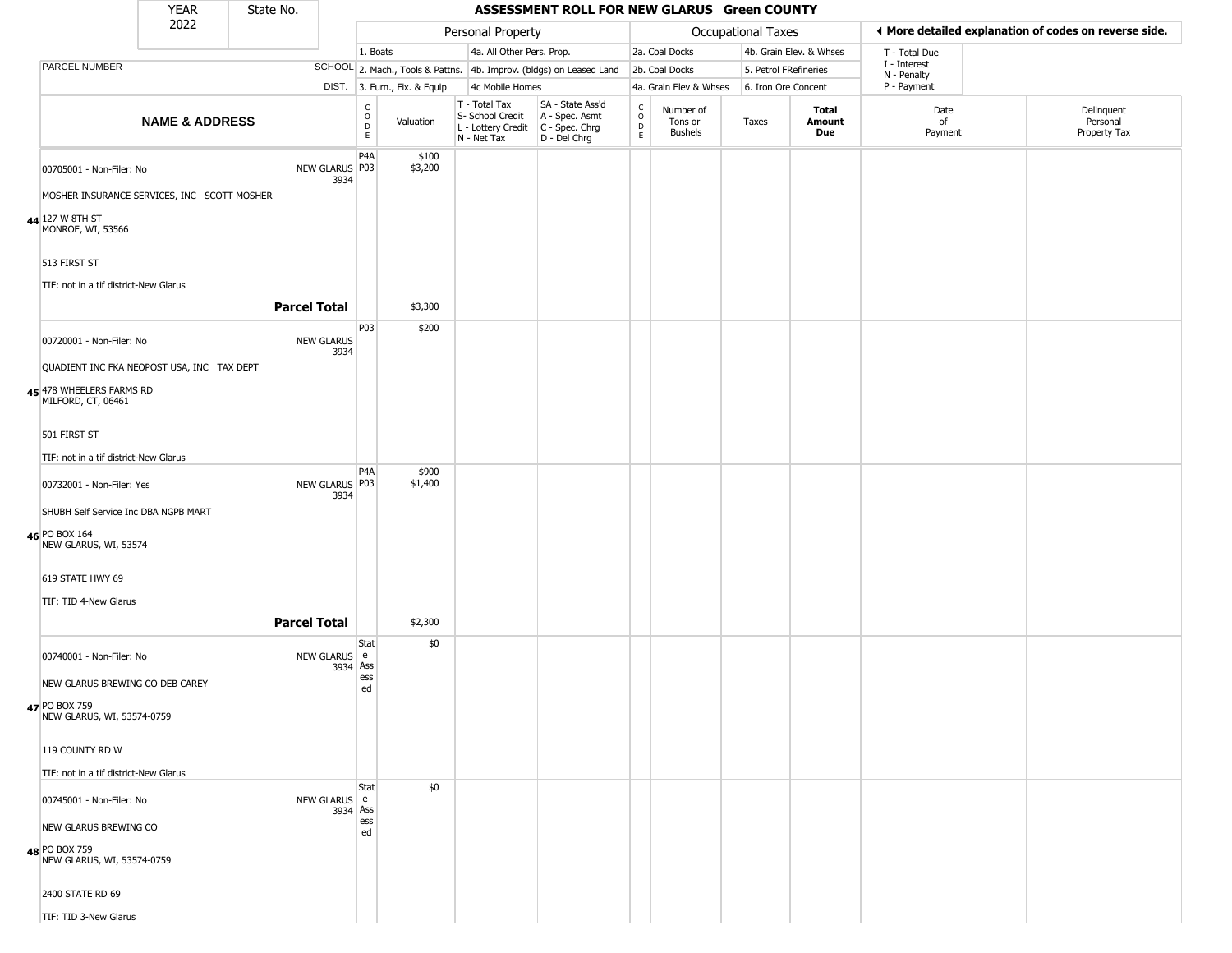|                                                       | <b>YEAR</b>                                                            | State No.                 |                                                |                              |                                                                        | ASSESSMENT ROLL FOR NEW GLARUS Green COUNTY                          |                                              |                                        |                       |                         |                             |                                                       |
|-------------------------------------------------------|------------------------------------------------------------------------|---------------------------|------------------------------------------------|------------------------------|------------------------------------------------------------------------|----------------------------------------------------------------------|----------------------------------------------|----------------------------------------|-----------------------|-------------------------|-----------------------------|-------------------------------------------------------|
|                                                       | 2022                                                                   |                           |                                                |                              | Personal Property                                                      |                                                                      |                                              |                                        | Occupational Taxes    |                         |                             | ♦ More detailed explanation of codes on reverse side. |
|                                                       |                                                                        |                           | 1. Boats                                       |                              | 4a. All Other Pers. Prop.                                              |                                                                      |                                              | 2a. Coal Docks                         |                       | 4b. Grain Elev. & Whses | T - Total Due               |                                                       |
| PARCEL NUMBER                                         |                                                                        |                           |                                                |                              |                                                                        | SCHOOL 2. Mach., Tools & Pattns. 4b. Improv. (bldgs) on Leased Land  |                                              | 2b. Coal Docks                         | 5. Petrol FRefineries |                         | I - Interest<br>N - Penalty |                                                       |
|                                                       |                                                                        |                           |                                                | DIST. 3. Furn., Fix. & Equip | 4c Mobile Homes                                                        |                                                                      |                                              | 4a. Grain Elev & Whses                 | 6. Iron Ore Concent   |                         | P - Payment                 |                                                       |
|                                                       | <b>NAME &amp; ADDRESS</b>                                              |                           | $\begin{matrix} 0 \\ 0 \\ D \end{matrix}$<br>E | Valuation                    | T - Total Tax<br>S- School Credit<br>L - Lottery Credit<br>N - Net Tax | SA - State Ass'd<br>A - Spec. Asmt<br>C - Spec. Chrg<br>D - Del Chrg | $\int_{0}^{c}$<br>$\mathsf D$<br>$\mathsf E$ | Number of<br>Tons or<br><b>Bushels</b> | Taxes                 | Total<br>Amount<br>Due  | Date<br>of<br>Payment       | Delinquent<br>Personal<br>Property Tax                |
| 00705001 - Non-Filer: No                              |                                                                        | NEW GLARUS P03<br>3934    | P <sub>4</sub> A                               | \$100<br>\$3,200             |                                                                        |                                                                      |                                              |                                        |                       |                         |                             |                                                       |
|                                                       | MOSHER INSURANCE SERVICES, INC SCOTT MOSHER                            |                           |                                                |                              |                                                                        |                                                                      |                                              |                                        |                       |                         |                             |                                                       |
| 44 127 W 8TH ST<br>MONROE, WI, 53566                  |                                                                        |                           |                                                |                              |                                                                        |                                                                      |                                              |                                        |                       |                         |                             |                                                       |
| 513 FIRST ST<br>TIF: not in a tif district-New Glarus |                                                                        |                           |                                                |                              |                                                                        |                                                                      |                                              |                                        |                       |                         |                             |                                                       |
|                                                       |                                                                        | <b>Parcel Total</b>       |                                                | \$3,300                      |                                                                        |                                                                      |                                              |                                        |                       |                         |                             |                                                       |
| 00720001 - Non-Filer: No                              |                                                                        | <b>NEW GLARUS</b><br>3934 | P03                                            | \$200                        |                                                                        |                                                                      |                                              |                                        |                       |                         |                             |                                                       |
| MILFORD, CT, 06461                                    | QUADIENT INC FKA NEOPOST USA, INC TAX DEPT<br>45 478 WHEELERS FARMS RD |                           |                                                |                              |                                                                        |                                                                      |                                              |                                        |                       |                         |                             |                                                       |
| 501 FIRST ST                                          |                                                                        |                           |                                                |                              |                                                                        |                                                                      |                                              |                                        |                       |                         |                             |                                                       |
| TIF: not in a tif district-New Glarus                 |                                                                        |                           |                                                |                              |                                                                        |                                                                      |                                              |                                        |                       |                         |                             |                                                       |
| 00732001 - Non-Filer: Yes                             |                                                                        | NEW GLARUS   P03<br>3934  | P <sub>4</sub> A                               | \$900<br>\$1,400             |                                                                        |                                                                      |                                              |                                        |                       |                         |                             |                                                       |
| SHUBH Self Service Inc DBA NGPB MART                  |                                                                        |                           |                                                |                              |                                                                        |                                                                      |                                              |                                        |                       |                         |                             |                                                       |
| 46 PO BOX 164<br>NEW GLARUS, WI, 53574                |                                                                        |                           |                                                |                              |                                                                        |                                                                      |                                              |                                        |                       |                         |                             |                                                       |
| 619 STATE HWY 69                                      |                                                                        |                           |                                                |                              |                                                                        |                                                                      |                                              |                                        |                       |                         |                             |                                                       |
| TIF: TID 4-New Glarus                                 |                                                                        |                           |                                                |                              |                                                                        |                                                                      |                                              |                                        |                       |                         |                             |                                                       |
|                                                       |                                                                        | <b>Parcel Total</b>       |                                                | \$2,300                      |                                                                        |                                                                      |                                              |                                        |                       |                         |                             |                                                       |
| 00740001 - Non-Filer: No                              |                                                                        | <b>NEW GLARUS</b><br>3934 | Stat<br>e<br>Ass                               | \$0                          |                                                                        |                                                                      |                                              |                                        |                       |                         |                             |                                                       |
| NEW GLARUS BREWING CO DEB CAREY                       |                                                                        |                           | ess<br>ed                                      |                              |                                                                        |                                                                      |                                              |                                        |                       |                         |                             |                                                       |
| 47 PO BOX 759<br>NEW GLARUS, WI, 53574-0759           |                                                                        |                           |                                                |                              |                                                                        |                                                                      |                                              |                                        |                       |                         |                             |                                                       |
| 119 COUNTY RD W                                       |                                                                        |                           |                                                |                              |                                                                        |                                                                      |                                              |                                        |                       |                         |                             |                                                       |
| TIF: not in a tif district-New Glarus                 |                                                                        |                           |                                                |                              |                                                                        |                                                                      |                                              |                                        |                       |                         |                             |                                                       |
|                                                       | NEW GLARUS e<br>00745001 - Non-Filer: No                               |                           | Stat<br>3934 Ass                               | \$0                          |                                                                        |                                                                      |                                              |                                        |                       |                         |                             |                                                       |
| NEW GLARUS BREWING CO                                 |                                                                        |                           | ess<br>ed                                      |                              |                                                                        |                                                                      |                                              |                                        |                       |                         |                             |                                                       |
| 48 PO BOX 759<br>NEW GLARUS, WI, 53574-0759           |                                                                        |                           |                                                |                              |                                                                        |                                                                      |                                              |                                        |                       |                         |                             |                                                       |
| 2400 STATE RD 69                                      |                                                                        |                           |                                                |                              |                                                                        |                                                                      |                                              |                                        |                       |                         |                             |                                                       |
| TIF: TID 3-New Glarus                                 |                                                                        |                           |                                                |                              |                                                                        |                                                                      |                                              |                                        |                       |                         |                             |                                                       |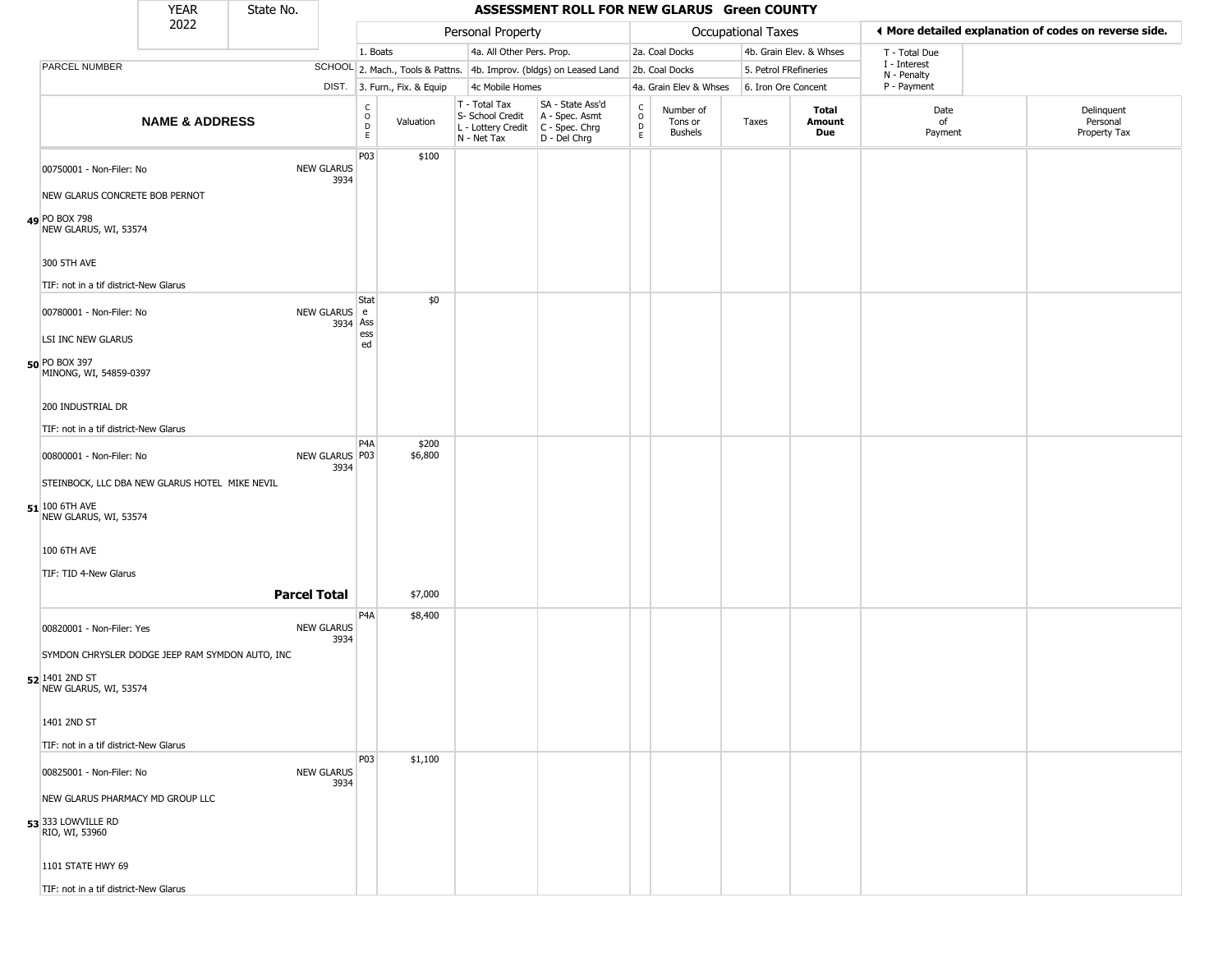|                                         | <b>YEAR</b>                                     | State No. |                           |                         |                              |                                                                        | ASSESSMENT ROLL FOR NEW GLARUS Green COUNTY                          |                                                 |                                        |                       |                         |                             |                                                       |
|-----------------------------------------|-------------------------------------------------|-----------|---------------------------|-------------------------|------------------------------|------------------------------------------------------------------------|----------------------------------------------------------------------|-------------------------------------------------|----------------------------------------|-----------------------|-------------------------|-----------------------------|-------------------------------------------------------|
|                                         | 2022                                            |           |                           |                         |                              | Personal Property                                                      |                                                                      |                                                 |                                        | Occupational Taxes    |                         |                             | ♦ More detailed explanation of codes on reverse side. |
|                                         |                                                 |           |                           | 1. Boats                |                              |                                                                        | 4a. All Other Pers. Prop.                                            |                                                 | 2a. Coal Docks                         |                       | 4b. Grain Elev. & Whses | T - Total Due               |                                                       |
| PARCEL NUMBER                           |                                                 |           |                           |                         |                              |                                                                        | SCHOOL 2. Mach., Tools & Pattns. 4b. Improv. (bldgs) on Leased Land  |                                                 | 2b. Coal Docks                         | 5. Petrol FRefineries |                         | I - Interest<br>N - Penalty |                                                       |
|                                         |                                                 |           |                           |                         | DIST. 3. Furn., Fix. & Equip | 4c Mobile Homes                                                        |                                                                      |                                                 | 4a. Grain Elev & Whses                 | 6. Iron Ore Concent   |                         | P - Payment                 |                                                       |
|                                         | <b>NAME &amp; ADDRESS</b>                       |           |                           | $\frac{c}{0}$<br>D<br>E | Valuation                    | T - Total Tax<br>S- School Credit<br>L - Lottery Credit<br>N - Net Tax | SA - State Ass'd<br>A - Spec. Asmt<br>C - Spec. Chrg<br>D - Del Chrg | $\begin{array}{c} C \\ O \\ D \\ E \end{array}$ | Number of<br>Tons or<br><b>Bushels</b> | Taxes                 | Total<br>Amount<br>Due  | Date<br>of<br>Payment       | Delinquent<br>Personal<br>Property Tax                |
| 00750001 - Non-Filer: No                |                                                 |           | <b>NEW GLARUS</b><br>3934 | P03                     | \$100                        |                                                                        |                                                                      |                                                 |                                        |                       |                         |                             |                                                       |
|                                         | NEW GLARUS CONCRETE BOB PERNOT                  |           |                           |                         |                              |                                                                        |                                                                      |                                                 |                                        |                       |                         |                             |                                                       |
| 49 PO BOX 798<br>NEW GLARUS, WI, 53574  |                                                 |           |                           |                         |                              |                                                                        |                                                                      |                                                 |                                        |                       |                         |                             |                                                       |
| 300 5TH AVE                             |                                                 |           |                           |                         |                              |                                                                        |                                                                      |                                                 |                                        |                       |                         |                             |                                                       |
|                                         | TIF: not in a tif district-New Glarus           |           |                           |                         |                              |                                                                        |                                                                      |                                                 |                                        |                       |                         |                             |                                                       |
| 00780001 - Non-Filer: No                |                                                 |           | NEW GLARUS   e            | Stat<br>3934 Ass        | \$0                          |                                                                        |                                                                      |                                                 |                                        |                       |                         |                             |                                                       |
| LSI INC NEW GLARUS                      |                                                 |           |                           | ess<br>ed               |                              |                                                                        |                                                                      |                                                 |                                        |                       |                         |                             |                                                       |
| 50 PO BOX 397<br>MINONG, WI, 54859-0397 |                                                 |           |                           |                         |                              |                                                                        |                                                                      |                                                 |                                        |                       |                         |                             |                                                       |
| 200 INDUSTRIAL DR                       |                                                 |           |                           |                         |                              |                                                                        |                                                                      |                                                 |                                        |                       |                         |                             |                                                       |
|                                         | TIF: not in a tif district-New Glarus           |           |                           |                         |                              |                                                                        |                                                                      |                                                 |                                        |                       |                         |                             |                                                       |
| 00800001 - Non-Filer: No                |                                                 |           | NEW GLARUS P03<br>3934    | P4A                     | \$200<br>\$6,800             |                                                                        |                                                                      |                                                 |                                        |                       |                         |                             |                                                       |
|                                         | STEINBOCK, LLC DBA NEW GLARUS HOTEL MIKE NEVIL  |           |                           |                         |                              |                                                                        |                                                                      |                                                 |                                        |                       |                         |                             |                                                       |
| 51 100 6TH AVE<br>NEW GLARUS, WI, 53574 |                                                 |           |                           |                         |                              |                                                                        |                                                                      |                                                 |                                        |                       |                         |                             |                                                       |
| 100 6TH AVE                             |                                                 |           |                           |                         |                              |                                                                        |                                                                      |                                                 |                                        |                       |                         |                             |                                                       |
| TIF: TID 4-New Glarus                   |                                                 |           |                           |                         |                              |                                                                        |                                                                      |                                                 |                                        |                       |                         |                             |                                                       |
|                                         |                                                 |           | <b>Parcel Total</b>       |                         | \$7,000                      |                                                                        |                                                                      |                                                 |                                        |                       |                         |                             |                                                       |
|                                         |                                                 |           |                           | P4A                     | \$8,400                      |                                                                        |                                                                      |                                                 |                                        |                       |                         |                             |                                                       |
| 00820001 - Non-Filer: Yes               |                                                 |           | <b>NEW GLARUS</b><br>3934 |                         |                              |                                                                        |                                                                      |                                                 |                                        |                       |                         |                             |                                                       |
|                                         | SYMDON CHRYSLER DODGE JEEP RAM SYMDON AUTO, INC |           |                           |                         |                              |                                                                        |                                                                      |                                                 |                                        |                       |                         |                             |                                                       |
| 52 1401 2ND ST<br>NEW GLARUS, WI, 53574 |                                                 |           |                           |                         |                              |                                                                        |                                                                      |                                                 |                                        |                       |                         |                             |                                                       |
| 1401 2ND ST                             |                                                 |           |                           |                         |                              |                                                                        |                                                                      |                                                 |                                        |                       |                         |                             |                                                       |
|                                         | TIF: not in a tif district-New Glarus           |           |                           |                         |                              |                                                                        |                                                                      |                                                 |                                        |                       |                         |                             |                                                       |
| 00825001 - Non-Filer: No                |                                                 |           | <b>NEW GLARUS</b>         | P03                     | \$1,100                      |                                                                        |                                                                      |                                                 |                                        |                       |                         |                             |                                                       |
|                                         | NEW GLARUS PHARMACY MD GROUP LLC                |           | 3934                      |                         |                              |                                                                        |                                                                      |                                                 |                                        |                       |                         |                             |                                                       |
| 53 333 LOWVILLE RD<br>RIO, WI, 53960    |                                                 |           |                           |                         |                              |                                                                        |                                                                      |                                                 |                                        |                       |                         |                             |                                                       |
| 1101 STATE HWY 69                       |                                                 |           |                           |                         |                              |                                                                        |                                                                      |                                                 |                                        |                       |                         |                             |                                                       |
|                                         | TIF: not in a tif district-New Glarus           |           |                           |                         |                              |                                                                        |                                                                      |                                                 |                                        |                       |                         |                             |                                                       |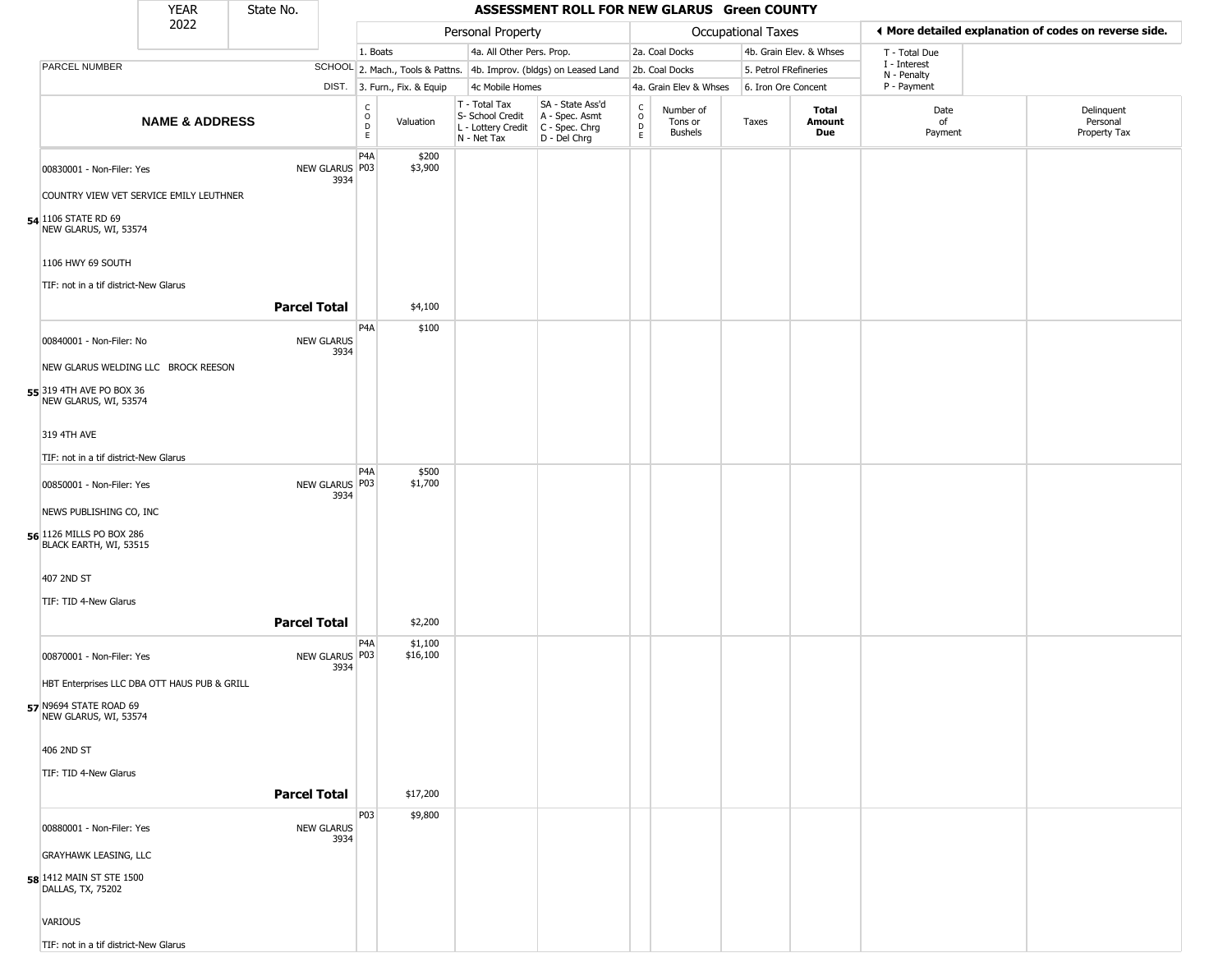|                                                        | <b>YEAR</b>               | State No.           |                           |                                   |                              |                                                                                       | ASSESSMENT ROLL FOR NEW GLARUS Green COUNTY                         |                                                 |                                        |                       |                         |                             |                                                       |  |
|--------------------------------------------------------|---------------------------|---------------------|---------------------------|-----------------------------------|------------------------------|---------------------------------------------------------------------------------------|---------------------------------------------------------------------|-------------------------------------------------|----------------------------------------|-----------------------|-------------------------|-----------------------------|-------------------------------------------------------|--|
|                                                        | 2022                      |                     |                           |                                   |                              | Personal Property                                                                     |                                                                     |                                                 |                                        | Occupational Taxes    |                         |                             | ♦ More detailed explanation of codes on reverse side. |  |
|                                                        |                           |                     |                           | 1. Boats                          |                              | 4a. All Other Pers. Prop.                                                             |                                                                     |                                                 | 2a. Coal Docks                         |                       | 4b. Grain Elev. & Whses | T - Total Due               |                                                       |  |
| PARCEL NUMBER                                          |                           |                     |                           |                                   |                              |                                                                                       | SCHOOL 2. Mach., Tools & Pattns. 4b. Improv. (bldgs) on Leased Land |                                                 | 2b. Coal Docks                         | 5. Petrol FRefineries |                         | I - Interest<br>N - Penalty |                                                       |  |
|                                                        |                           |                     |                           |                                   | DIST. 3. Furn., Fix. & Equip | 4c Mobile Homes                                                                       |                                                                     |                                                 | 4a. Grain Elev & Whses                 | 6. Iron Ore Concent   |                         | P - Payment                 |                                                       |  |
|                                                        | <b>NAME &amp; ADDRESS</b> |                     |                           | $\frac{C}{O}$<br>D<br>$\mathsf E$ | Valuation                    | T - Total Tax<br>S- School Credit<br>L - Lottery Credit C - Spec. Chrg<br>N - Net Tax | SA - State Ass'd<br>A - Spec. Asmt<br>D - Del Chrg                  | C<br>$\mathsf O$<br>$\mathsf{D}$<br>$\mathsf E$ | Number of<br>Tons or<br><b>Bushels</b> | Taxes                 | Total<br>Amount<br>Due  | Date<br>of<br>Payment       | Delinquent<br>Personal<br>Property Tax                |  |
| 00830001 - Non-Filer: Yes                              |                           |                     | NEW GLARUS P03            | P <sub>4</sub> A                  | \$200<br>\$3,900             |                                                                                       |                                                                     |                                                 |                                        |                       |                         |                             |                                                       |  |
| COUNTRY VIEW VET SERVICE EMILY LEUTHNER                |                           |                     | 3934                      |                                   |                              |                                                                                       |                                                                     |                                                 |                                        |                       |                         |                             |                                                       |  |
| 54 1106 STATE RD 69<br>NEW GLARUS, WI, 53574           |                           |                     |                           |                                   |                              |                                                                                       |                                                                     |                                                 |                                        |                       |                         |                             |                                                       |  |
| 1106 HWY 69 SOUTH                                      |                           |                     |                           |                                   |                              |                                                                                       |                                                                     |                                                 |                                        |                       |                         |                             |                                                       |  |
| TIF: not in a tif district-New Glarus                  |                           | <b>Parcel Total</b> |                           |                                   | \$4,100                      |                                                                                       |                                                                     |                                                 |                                        |                       |                         |                             |                                                       |  |
| 00840001 - Non-Filer: No                               |                           |                     | <b>NEW GLARUS</b>         | P4A                               | \$100                        |                                                                                       |                                                                     |                                                 |                                        |                       |                         |                             |                                                       |  |
| NEW GLARUS WELDING LLC BROCK REESON                    |                           |                     | 3934                      |                                   |                              |                                                                                       |                                                                     |                                                 |                                        |                       |                         |                             |                                                       |  |
| 55 319 4TH AVE PO BOX 36<br>NEW GLARUS, WI, 53574      |                           |                     |                           |                                   |                              |                                                                                       |                                                                     |                                                 |                                        |                       |                         |                             |                                                       |  |
| 319 4TH AVE                                            |                           |                     |                           |                                   |                              |                                                                                       |                                                                     |                                                 |                                        |                       |                         |                             |                                                       |  |
| TIF: not in a tif district-New Glarus                  |                           |                     |                           |                                   |                              |                                                                                       |                                                                     |                                                 |                                        |                       |                         |                             |                                                       |  |
| 00850001 - Non-Filer: Yes                              |                           |                     | NEW GLARUS P03<br>3934    | P <sub>4</sub> A                  | \$500<br>\$1,700             |                                                                                       |                                                                     |                                                 |                                        |                       |                         |                             |                                                       |  |
| NEWS PUBLISHING CO, INC                                |                           |                     |                           |                                   |                              |                                                                                       |                                                                     |                                                 |                                        |                       |                         |                             |                                                       |  |
| 56 1126 MILLS PO BOX 286<br>BLACK EARTH, WI, 53515     |                           |                     |                           |                                   |                              |                                                                                       |                                                                     |                                                 |                                        |                       |                         |                             |                                                       |  |
| 407 2ND ST                                             |                           |                     |                           |                                   |                              |                                                                                       |                                                                     |                                                 |                                        |                       |                         |                             |                                                       |  |
| TIF: TID 4-New Glarus                                  |                           |                     |                           |                                   |                              |                                                                                       |                                                                     |                                                 |                                        |                       |                         |                             |                                                       |  |
|                                                        |                           | <b>Parcel Total</b> |                           | P4A                               | \$2,200<br>\$1,100           |                                                                                       |                                                                     |                                                 |                                        |                       |                         |                             |                                                       |  |
| 00870001 - Non-Filer: Yes                              |                           |                     | NEW GLARUS P03<br>3934    |                                   | \$16,100                     |                                                                                       |                                                                     |                                                 |                                        |                       |                         |                             |                                                       |  |
| HBT Enterprises LLC DBA OTT HAUS PUB & GRILL           |                           |                     |                           |                                   |                              |                                                                                       |                                                                     |                                                 |                                        |                       |                         |                             |                                                       |  |
| <b>57 N9694 STATE ROAD 69</b><br>NEW GLARUS, WI, 53574 |                           |                     |                           |                                   |                              |                                                                                       |                                                                     |                                                 |                                        |                       |                         |                             |                                                       |  |
| 406 2ND ST                                             |                           |                     |                           |                                   |                              |                                                                                       |                                                                     |                                                 |                                        |                       |                         |                             |                                                       |  |
| TIF: TID 4-New Glarus                                  |                           |                     |                           |                                   |                              |                                                                                       |                                                                     |                                                 |                                        |                       |                         |                             |                                                       |  |
|                                                        |                           | <b>Parcel Total</b> |                           |                                   | \$17,200                     |                                                                                       |                                                                     |                                                 |                                        |                       |                         |                             |                                                       |  |
| 00880001 - Non-Filer: Yes                              |                           |                     | <b>NEW GLARUS</b><br>3934 | P03                               | \$9,800                      |                                                                                       |                                                                     |                                                 |                                        |                       |                         |                             |                                                       |  |
| <b>GRAYHAWK LEASING, LLC</b>                           |                           |                     |                           |                                   |                              |                                                                                       |                                                                     |                                                 |                                        |                       |                         |                             |                                                       |  |
| <b>58</b> 1412 MAIN ST STE 1500<br>DALLAS, TX, 75202   |                           |                     |                           |                                   |                              |                                                                                       |                                                                     |                                                 |                                        |                       |                         |                             |                                                       |  |
| VARIOUS                                                |                           |                     |                           |                                   |                              |                                                                                       |                                                                     |                                                 |                                        |                       |                         |                             |                                                       |  |
| TIF: not in a tif district-New Glarus                  |                           |                     |                           |                                   |                              |                                                                                       |                                                                     |                                                 |                                        |                       |                         |                             |                                                       |  |

\_\_\_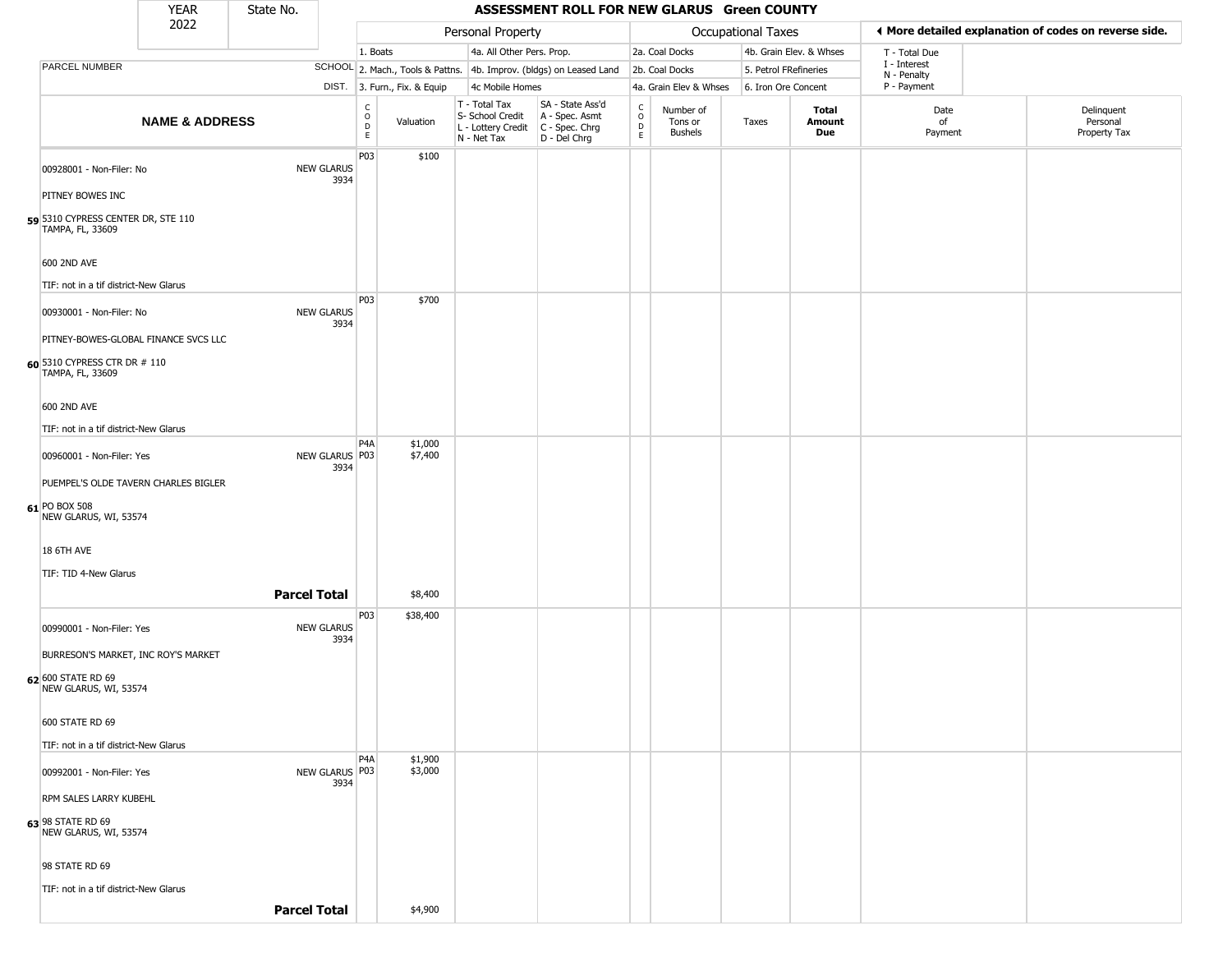|                                                  | <b>YEAR</b>                           | State No. |                           |                                                 |                              |                                                                        | ASSESSMENT ROLL FOR NEW GLARUS Green COUNTY                          |                        |                                        |                    |                         |                             |                                                       |
|--------------------------------------------------|---------------------------------------|-----------|---------------------------|-------------------------------------------------|------------------------------|------------------------------------------------------------------------|----------------------------------------------------------------------|------------------------|----------------------------------------|--------------------|-------------------------|-----------------------------|-------------------------------------------------------|
|                                                  | 2022                                  |           |                           |                                                 |                              | Personal Property                                                      |                                                                      |                        |                                        | Occupational Taxes |                         |                             | ◀ More detailed explanation of codes on reverse side. |
|                                                  |                                       |           |                           | 1. Boats                                        |                              | 4a. All Other Pers. Prop.                                              |                                                                      |                        | 2a. Coal Docks                         |                    | 4b. Grain Elev. & Whses | T - Total Due               |                                                       |
| PARCEL NUMBER                                    |                                       |           |                           |                                                 |                              |                                                                        | SCHOOL 2. Mach., Tools & Pattns. 4b. Improv. (bldgs) on Leased Land  |                        | 2b. Coal Docks                         |                    | 5. Petrol FRefineries   | I - Interest<br>N - Penalty |                                                       |
|                                                  |                                       |           |                           |                                                 | DIST. 3. Furn., Fix. & Equip | 4c Mobile Homes                                                        |                                                                      |                        | 4a. Grain Elev & Whses                 |                    | 6. Iron Ore Concent     | P - Payment                 |                                                       |
|                                                  | <b>NAME &amp; ADDRESS</b>             |           |                           | $\begin{array}{c} C \\ O \\ D \\ E \end{array}$ | Valuation                    | T - Total Tax<br>S- School Credit<br>L - Lottery Credit<br>N - Net Tax | SA - State Ass'd<br>A - Spec. Asmt<br>C - Spec. Chrg<br>D - Del Chrg | C<br>$\circ$<br>D<br>E | Number of<br>Tons or<br><b>Bushels</b> | Taxes              | Total<br>Amount<br>Due  | Date<br>of<br>Payment       | Delinquent<br>Personal<br>Property Tax                |
| 00928001 - Non-Filer: No                         |                                       |           | <b>NEW GLARUS</b><br>3934 | P03                                             | \$100                        |                                                                        |                                                                      |                        |                                        |                    |                         |                             |                                                       |
| PITNEY BOWES INC                                 |                                       |           |                           |                                                 |                              |                                                                        |                                                                      |                        |                                        |                    |                         |                             |                                                       |
| TAMPA, FL, 33609                                 | 59 5310 CYPRESS CENTER DR, STE 110    |           |                           |                                                 |                              |                                                                        |                                                                      |                        |                                        |                    |                         |                             |                                                       |
| 600 2ND AVE                                      |                                       |           |                           |                                                 |                              |                                                                        |                                                                      |                        |                                        |                    |                         |                             |                                                       |
|                                                  | TIF: not in a tif district-New Glarus |           |                           | P03                                             | \$700                        |                                                                        |                                                                      |                        |                                        |                    |                         |                             |                                                       |
| 00930001 - Non-Filer: No                         |                                       |           | <b>NEW GLARUS</b><br>3934 |                                                 |                              |                                                                        |                                                                      |                        |                                        |                    |                         |                             |                                                       |
|                                                  | PITNEY-BOWES-GLOBAL FINANCE SVCS LLC  |           |                           |                                                 |                              |                                                                        |                                                                      |                        |                                        |                    |                         |                             |                                                       |
| 60 5310 CYPRESS CTR DR # 110<br>TAMPA, FL, 33609 |                                       |           |                           |                                                 |                              |                                                                        |                                                                      |                        |                                        |                    |                         |                             |                                                       |
| 600 2ND AVE                                      |                                       |           |                           |                                                 |                              |                                                                        |                                                                      |                        |                                        |                    |                         |                             |                                                       |
|                                                  | TIF: not in a tif district-New Glarus |           |                           |                                                 |                              |                                                                        |                                                                      |                        |                                        |                    |                         |                             |                                                       |
|                                                  |                                       |           |                           | P <sub>4</sub> A                                | \$1,000<br>\$7,400           |                                                                        |                                                                      |                        |                                        |                    |                         |                             |                                                       |
| 00960001 - Non-Filer: Yes                        |                                       |           | NEW GLARUS P03<br>3934    |                                                 |                              |                                                                        |                                                                      |                        |                                        |                    |                         |                             |                                                       |
|                                                  | PUEMPEL'S OLDE TAVERN CHARLES BIGLER  |           |                           |                                                 |                              |                                                                        |                                                                      |                        |                                        |                    |                         |                             |                                                       |
| 61 PO BOX 508<br>NEW GLARUS, WI, 53574           |                                       |           |                           |                                                 |                              |                                                                        |                                                                      |                        |                                        |                    |                         |                             |                                                       |
| 18 6TH AVE                                       |                                       |           |                           |                                                 |                              |                                                                        |                                                                      |                        |                                        |                    |                         |                             |                                                       |
| TIF: TID 4-New Glarus                            |                                       |           |                           |                                                 |                              |                                                                        |                                                                      |                        |                                        |                    |                         |                             |                                                       |
|                                                  |                                       |           | <b>Parcel Total</b>       |                                                 | \$8,400                      |                                                                        |                                                                      |                        |                                        |                    |                         |                             |                                                       |
| 00990001 - Non-Filer: Yes                        |                                       |           | <b>NEW GLARUS</b><br>3934 | P03                                             | \$38,400                     |                                                                        |                                                                      |                        |                                        |                    |                         |                             |                                                       |
|                                                  | BURRESON'S MARKET, INC ROY'S MARKET   |           |                           |                                                 |                              |                                                                        |                                                                      |                        |                                        |                    |                         |                             |                                                       |
| 62 600 STATE RD 69<br>NEW GLARUS, WI, 53574      |                                       |           |                           |                                                 |                              |                                                                        |                                                                      |                        |                                        |                    |                         |                             |                                                       |
| 600 STATE RD 69                                  |                                       |           |                           |                                                 |                              |                                                                        |                                                                      |                        |                                        |                    |                         |                             |                                                       |
|                                                  | TIF: not in a tif district-New Glarus |           |                           |                                                 |                              |                                                                        |                                                                      |                        |                                        |                    |                         |                             |                                                       |
| 00992001 - Non-Filer: Yes                        |                                       |           | NEW GLARUS   P03<br>3934  | P4A                                             | \$1,900<br>\$3,000           |                                                                        |                                                                      |                        |                                        |                    |                         |                             |                                                       |
| RPM SALES LARRY KUBEHL                           |                                       |           |                           |                                                 |                              |                                                                        |                                                                      |                        |                                        |                    |                         |                             |                                                       |
| 63 98 STATE RD 69<br>NEW GLARUS, WI, 53574       |                                       |           |                           |                                                 |                              |                                                                        |                                                                      |                        |                                        |                    |                         |                             |                                                       |
| 98 STATE RD 69                                   |                                       |           |                           |                                                 |                              |                                                                        |                                                                      |                        |                                        |                    |                         |                             |                                                       |
|                                                  | TIF: not in a tif district-New Glarus |           |                           |                                                 |                              |                                                                        |                                                                      |                        |                                        |                    |                         |                             |                                                       |
|                                                  |                                       |           | <b>Parcel Total</b>       |                                                 | \$4,900                      |                                                                        |                                                                      |                        |                                        |                    |                         |                             |                                                       |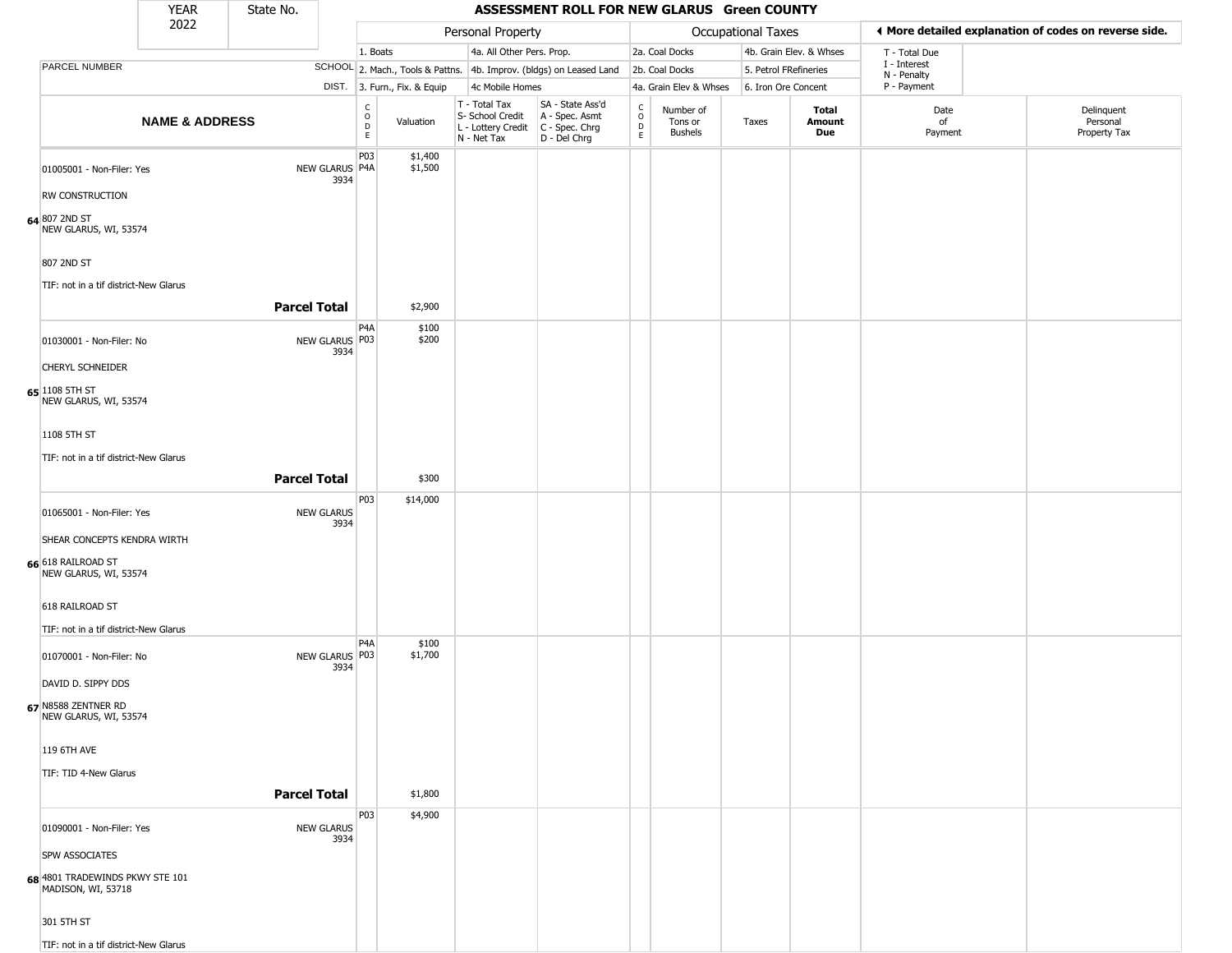|                                                                    | <b>YEAR</b>                                        | State No.           |                           |                                         |                              |                                                                                       | ASSESSMENT ROLL FOR NEW GLARUS Green COUNTY                         |                        |                                        |                       |                         |                             |                                                       |
|--------------------------------------------------------------------|----------------------------------------------------|---------------------|---------------------------|-----------------------------------------|------------------------------|---------------------------------------------------------------------------------------|---------------------------------------------------------------------|------------------------|----------------------------------------|-----------------------|-------------------------|-----------------------------|-------------------------------------------------------|
|                                                                    | 2022                                               |                     |                           |                                         |                              | Personal Property                                                                     |                                                                     |                        |                                        | Occupational Taxes    |                         |                             | ♦ More detailed explanation of codes on reverse side. |
|                                                                    |                                                    |                     |                           | 1. Boats                                |                              | 4a. All Other Pers. Prop.                                                             |                                                                     |                        | 2a. Coal Docks                         |                       | 4b. Grain Elev. & Whses | T - Total Due               |                                                       |
| PARCEL NUMBER                                                      |                                                    |                     |                           |                                         |                              |                                                                                       | SCHOOL 2. Mach., Tools & Pattns. 4b. Improv. (bldgs) on Leased Land |                        | 2b. Coal Docks                         | 5. Petrol FRefineries |                         | I - Interest<br>N - Penalty |                                                       |
|                                                                    |                                                    |                     |                           |                                         | DIST. 3. Furn., Fix. & Equip | 4c Mobile Homes                                                                       |                                                                     |                        | 4a. Grain Elev & Whses                 | 6. Iron Ore Concent   |                         | P - Payment                 |                                                       |
|                                                                    | <b>NAME &amp; ADDRESS</b>                          |                     |                           | $_{\rm o}^{\rm c}$<br>$\mathsf D$<br>E. | Valuation                    | T - Total Tax<br>S- School Credit<br>L - Lottery Credit C - Spec. Chrg<br>N - Net Tax | SA - State Ass'd<br>A - Spec. Asmt<br>D - Del Chrg                  | C<br>$\circ$<br>D<br>E | Number of<br>Tons or<br><b>Bushels</b> | Taxes                 | Total<br>Amount<br>Due  | Date<br>of<br>Payment       | Delinquent<br>Personal<br>Property Tax                |
| 01005001 - Non-Filer: Yes                                          |                                                    |                     | NEW GLARUS P4A<br>3934    | P03                                     | \$1,400<br>\$1,500           |                                                                                       |                                                                     |                        |                                        |                       |                         |                             |                                                       |
| <b>RW CONSTRUCTION</b><br>64 807 2ND ST<br>NEW GLARUS, WI, 53574   |                                                    |                     |                           |                                         |                              |                                                                                       |                                                                     |                        |                                        |                       |                         |                             |                                                       |
| 807 2ND ST                                                         |                                                    |                     |                           |                                         |                              |                                                                                       |                                                                     |                        |                                        |                       |                         |                             |                                                       |
|                                                                    | TIF: not in a tif district-New Glarus              | <b>Parcel Total</b> |                           |                                         | \$2,900                      |                                                                                       |                                                                     |                        |                                        |                       |                         |                             |                                                       |
| 01030001 - Non-Filer: No                                           |                                                    |                     | NEW GLARUS P03<br>3934    | P <sub>4</sub> A                        | \$100<br>\$200               |                                                                                       |                                                                     |                        |                                        |                       |                         |                             |                                                       |
| CHERYL SCHNEIDER<br>65 1108 5TH ST<br>NEW GLARUS, WI, 53574        |                                                    |                     |                           |                                         |                              |                                                                                       |                                                                     |                        |                                        |                       |                         |                             |                                                       |
| 1108 5TH ST                                                        |                                                    |                     |                           |                                         |                              |                                                                                       |                                                                     |                        |                                        |                       |                         |                             |                                                       |
|                                                                    | TIF: not in a tif district-New Glarus              | <b>Parcel Total</b> |                           |                                         | \$300                        |                                                                                       |                                                                     |                        |                                        |                       |                         |                             |                                                       |
| 01065001 - Non-Filer: Yes                                          |                                                    |                     | <b>NEW GLARUS</b><br>3934 | P03                                     | \$14,000                     |                                                                                       |                                                                     |                        |                                        |                       |                         |                             |                                                       |
| 66 618 RAILROAD ST<br>NEW GLARUS, WI, 53574                        | SHEAR CONCEPTS KENDRA WIRTH                        |                     |                           |                                         |                              |                                                                                       |                                                                     |                        |                                        |                       |                         |                             |                                                       |
| 618 RAILROAD ST                                                    | TIF: not in a tif district-New Glarus              |                     |                           |                                         |                              |                                                                                       |                                                                     |                        |                                        |                       |                         |                             |                                                       |
| 01070001 - Non-Filer: No                                           |                                                    |                     | NEW GLARUS   P03<br>3934  | P <sub>4</sub> A                        | \$100<br>\$1,700             |                                                                                       |                                                                     |                        |                                        |                       |                         |                             |                                                       |
| DAVID D. SIPPY DDS<br>67 N8588 ZENTNER RD<br>NEW GLARUS, WI, 53574 |                                                    |                     |                           |                                         |                              |                                                                                       |                                                                     |                        |                                        |                       |                         |                             |                                                       |
| 119 6TH AVE                                                        |                                                    |                     |                           |                                         |                              |                                                                                       |                                                                     |                        |                                        |                       |                         |                             |                                                       |
| TIF: TID 4-New Glarus                                              |                                                    | <b>Parcel Total</b> |                           |                                         | \$1,800                      |                                                                                       |                                                                     |                        |                                        |                       |                         |                             |                                                       |
| 01090001 - Non-Filer: Yes                                          |                                                    |                     | <b>NEW GLARUS</b><br>3934 | P03                                     | \$4,900                      |                                                                                       |                                                                     |                        |                                        |                       |                         |                             |                                                       |
| SPW ASSOCIATES                                                     | 68 4801 TRADEWINDS PKWY STE 101 MADISON, WI, 53718 |                     |                           |                                         |                              |                                                                                       |                                                                     |                        |                                        |                       |                         |                             |                                                       |
| 301 5TH ST                                                         |                                                    |                     |                           |                                         |                              |                                                                                       |                                                                     |                        |                                        |                       |                         |                             |                                                       |
|                                                                    | TIF: not in a tif district-New Glarus              |                     |                           |                                         |                              |                                                                                       |                                                                     |                        |                                        |                       |                         |                             |                                                       |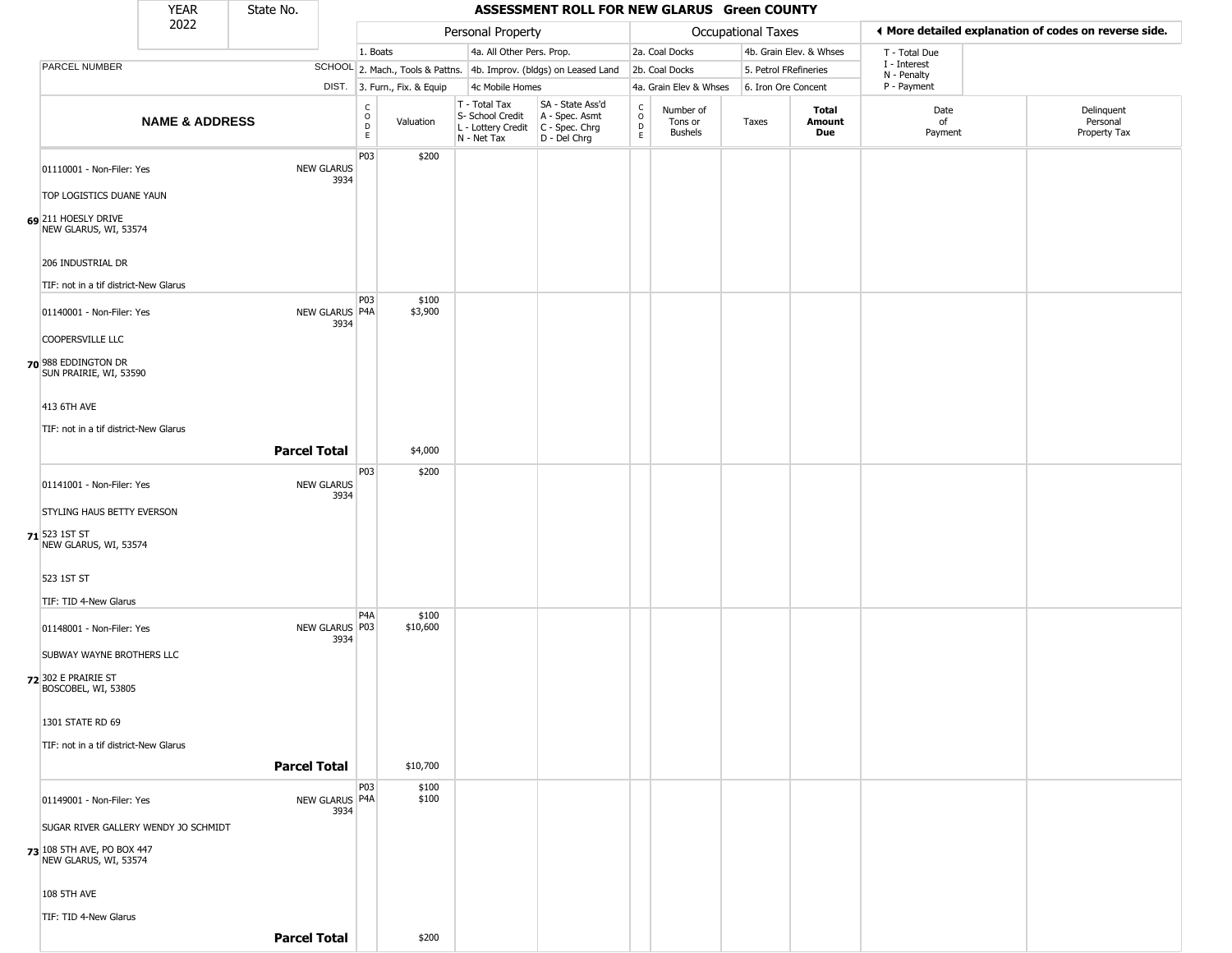|                                                                          | <b>YEAR</b>               | State No.           |                           |                                        |                              |                                                                                         | ASSESSMENT ROLL FOR NEW GLARUS Green COUNTY                         |                                             |                                 |                       |                         |                             |                                                       |
|--------------------------------------------------------------------------|---------------------------|---------------------|---------------------------|----------------------------------------|------------------------------|-----------------------------------------------------------------------------------------|---------------------------------------------------------------------|---------------------------------------------|---------------------------------|-----------------------|-------------------------|-----------------------------|-------------------------------------------------------|
|                                                                          | 2022                      |                     |                           |                                        |                              | Personal Property                                                                       |                                                                     |                                             |                                 | Occupational Taxes    |                         |                             | ◀ More detailed explanation of codes on reverse side. |
|                                                                          |                           |                     |                           | 1. Boats                               |                              | 4a. All Other Pers. Prop.                                                               |                                                                     |                                             | 2a. Coal Docks                  |                       | 4b. Grain Elev. & Whses | T - Total Due               |                                                       |
| PARCEL NUMBER                                                            |                           |                     |                           |                                        |                              |                                                                                         | SCHOOL 2. Mach., Tools & Pattns. 4b. Improv. (bldgs) on Leased Land |                                             | 2b. Coal Docks                  | 5. Petrol FRefineries |                         | I - Interest<br>N - Penalty |                                                       |
|                                                                          |                           |                     |                           |                                        | DIST. 3. Furn., Fix. & Equip | 4c Mobile Homes                                                                         |                                                                     |                                             | 4a. Grain Elev & Whses          | 6. Iron Ore Concent   |                         | P - Payment                 |                                                       |
|                                                                          | <b>NAME &amp; ADDRESS</b> |                     |                           | $_{\rm o}^{\rm c}$<br>D<br>$\mathsf E$ | Valuation                    | T - Total Tax<br>S- School Credit<br>L - Lottery Credit   C - Spec. Chrg<br>N - Net Tax | SA - State Ass'd<br>A - Spec. Asmt<br>D - Del Chrg                  | $\frac{c}{0}$<br>$\mathsf D$<br>$\mathsf E$ | Number of<br>Tons or<br>Bushels | Taxes                 | Total<br>Amount<br>Due  | Date<br>of<br>Payment       | Delinquent<br>Personal<br>Property Tax                |
| 01110001 - Non-Filer: Yes                                                |                           |                     | <b>NEW GLARUS</b><br>3934 | P03                                    | \$200                        |                                                                                         |                                                                     |                                             |                                 |                       |                         |                             |                                                       |
| TOP LOGISTICS DUANE YAUN                                                 |                           |                     |                           |                                        |                              |                                                                                         |                                                                     |                                             |                                 |                       |                         |                             |                                                       |
| 69 211 HOESLY DRIVE<br>NEW GLARUS, WI, 53574                             |                           |                     |                           |                                        |                              |                                                                                         |                                                                     |                                             |                                 |                       |                         |                             |                                                       |
| 206 INDUSTRIAL DR                                                        |                           |                     |                           |                                        |                              |                                                                                         |                                                                     |                                             |                                 |                       |                         |                             |                                                       |
| TIF: not in a tif district-New Glarus                                    |                           |                     |                           | P <sub>0</sub> 3                       | \$100                        |                                                                                         |                                                                     |                                             |                                 |                       |                         |                             |                                                       |
| 01140001 - Non-Filer: Yes                                                |                           |                     | NEW GLARUS P4A<br>3934    |                                        | \$3,900                      |                                                                                         |                                                                     |                                             |                                 |                       |                         |                             |                                                       |
| <b>COOPERSVILLE LLC</b><br>70 988 EDDINGTON DR<br>SUN PRAIRIE, WI, 53590 |                           |                     |                           |                                        |                              |                                                                                         |                                                                     |                                             |                                 |                       |                         |                             |                                                       |
| 413 6TH AVE                                                              |                           |                     |                           |                                        |                              |                                                                                         |                                                                     |                                             |                                 |                       |                         |                             |                                                       |
| TIF: not in a tif district-New Glarus                                    |                           |                     |                           |                                        |                              |                                                                                         |                                                                     |                                             |                                 |                       |                         |                             |                                                       |
|                                                                          |                           | <b>Parcel Total</b> |                           |                                        | \$4,000                      |                                                                                         |                                                                     |                                             |                                 |                       |                         |                             |                                                       |
| 01141001 - Non-Filer: Yes                                                |                           |                     | <b>NEW GLARUS</b><br>3934 | P03                                    | \$200                        |                                                                                         |                                                                     |                                             |                                 |                       |                         |                             |                                                       |
| STYLING HAUS BETTY EVERSON                                               |                           |                     |                           |                                        |                              |                                                                                         |                                                                     |                                             |                                 |                       |                         |                             |                                                       |
| 71 523 1ST ST<br>NEW GLARUS, WI, 53574                                   |                           |                     |                           |                                        |                              |                                                                                         |                                                                     |                                             |                                 |                       |                         |                             |                                                       |
| 523 1ST ST                                                               |                           |                     |                           |                                        |                              |                                                                                         |                                                                     |                                             |                                 |                       |                         |                             |                                                       |
| TIF: TID 4-New Glarus                                                    |                           |                     |                           | P4A                                    | \$100                        |                                                                                         |                                                                     |                                             |                                 |                       |                         |                             |                                                       |
| 01148001 - Non-Filer: Yes<br>SUBWAY WAYNE BROTHERS LLC                   |                           |                     | NEW GLARUS   P03<br>3934  |                                        | \$10,600                     |                                                                                         |                                                                     |                                             |                                 |                       |                         |                             |                                                       |
| 72 302 E PRAIRIE ST<br>BOSCOBEL, WI, 53805                               |                           |                     |                           |                                        |                              |                                                                                         |                                                                     |                                             |                                 |                       |                         |                             |                                                       |
| 1301 STATE RD 69                                                         |                           |                     |                           |                                        |                              |                                                                                         |                                                                     |                                             |                                 |                       |                         |                             |                                                       |
| TIF: not in a tif district-New Glarus                                    |                           |                     |                           |                                        |                              |                                                                                         |                                                                     |                                             |                                 |                       |                         |                             |                                                       |
|                                                                          |                           | <b>Parcel Total</b> |                           |                                        | \$10,700                     |                                                                                         |                                                                     |                                             |                                 |                       |                         |                             |                                                       |
| 01149001 - Non-Filer: Yes                                                |                           |                     | NEW GLARUS P4A<br>3934    | <b>P03</b>                             | \$100<br>\$100               |                                                                                         |                                                                     |                                             |                                 |                       |                         |                             |                                                       |
| SUGAR RIVER GALLERY WENDY JO SCHMIDT                                     |                           |                     |                           |                                        |                              |                                                                                         |                                                                     |                                             |                                 |                       |                         |                             |                                                       |
| 73 108 5TH AVE, PO BOX 447<br>NEW GLARUS, WI, 53574                      |                           |                     |                           |                                        |                              |                                                                                         |                                                                     |                                             |                                 |                       |                         |                             |                                                       |
| <b>108 5TH AVE</b>                                                       |                           |                     |                           |                                        |                              |                                                                                         |                                                                     |                                             |                                 |                       |                         |                             |                                                       |
| TIF: TID 4-New Glarus                                                    |                           |                     |                           |                                        |                              |                                                                                         |                                                                     |                                             |                                 |                       |                         |                             |                                                       |
|                                                                          |                           | <b>Parcel Total</b> |                           |                                        | \$200                        |                                                                                         |                                                                     |                                             |                                 |                       |                         |                             |                                                       |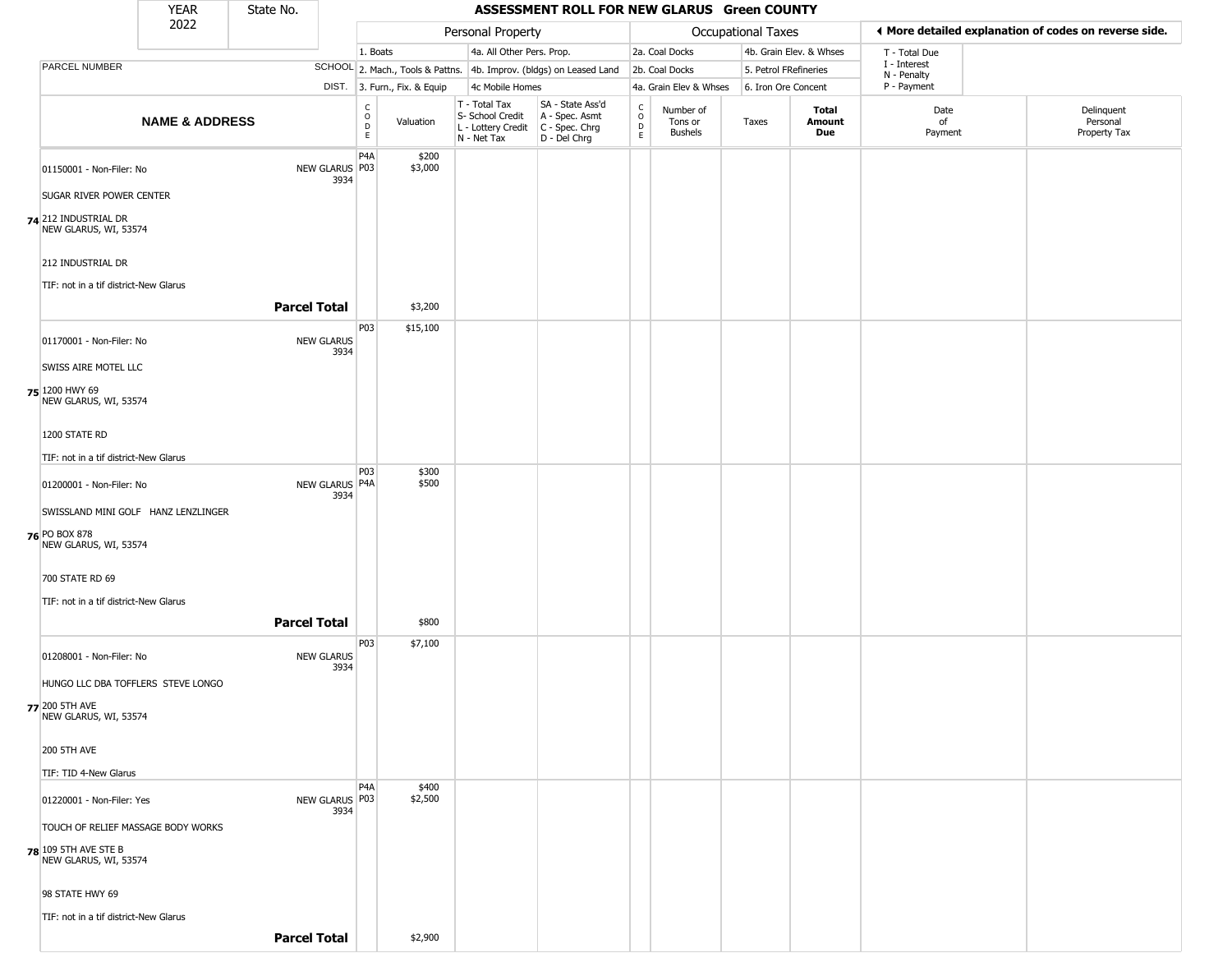|                                                      | <b>YEAR</b>                         | State No.           |                           |                                                   |                              |                                                                                         | ASSESSMENT ROLL FOR NEW GLARUS Green COUNTY                         |                  |                                        |                           |                         |                             |                                                       |
|------------------------------------------------------|-------------------------------------|---------------------|---------------------------|---------------------------------------------------|------------------------------|-----------------------------------------------------------------------------------------|---------------------------------------------------------------------|------------------|----------------------------------------|---------------------------|-------------------------|-----------------------------|-------------------------------------------------------|
|                                                      | 2022                                |                     |                           |                                                   |                              | Personal Property                                                                       |                                                                     |                  |                                        | <b>Occupational Taxes</b> |                         |                             | ♦ More detailed explanation of codes on reverse side. |
|                                                      |                                     |                     |                           | 1. Boats                                          |                              | 4a. All Other Pers. Prop.                                                               |                                                                     |                  | 2a. Coal Docks                         |                           | 4b. Grain Elev. & Whses | T - Total Due               |                                                       |
| PARCEL NUMBER                                        |                                     |                     |                           |                                                   |                              |                                                                                         | SCHOOL 2. Mach., Tools & Pattns. 4b. Improv. (bldgs) on Leased Land |                  | 2b. Coal Docks                         | 5. Petrol FRefineries     |                         | I - Interest<br>N - Penalty |                                                       |
|                                                      |                                     |                     |                           |                                                   | DIST. 3. Furn., Fix. & Equip | 4c Mobile Homes                                                                         |                                                                     |                  | 4a. Grain Elev & Whses                 | 6. Iron Ore Concent       |                         | P - Payment                 |                                                       |
|                                                      | <b>NAME &amp; ADDRESS</b>           |                     |                           | $\begin{array}{c}\nC \\ O \\ D \\ E\n\end{array}$ | Valuation                    | T - Total Tax<br>S- School Credit<br>L - Lottery Credit   C - Spec. Chrg<br>N - Net Tax | SA - State Ass'd<br>A - Spec. Asmt<br>D - Del Chrg                  | C<br>0<br>D<br>E | Number of<br>Tons or<br><b>Bushels</b> | Taxes                     | Total<br>Amount<br>Due  | Date<br>of<br>Payment       | Delinquent<br>Personal<br>Property Tax                |
| 01150001 - Non-Filer: No                             |                                     |                     | NEW GLARUS P03            | P <sub>4</sub> A                                  | \$200<br>\$3,000             |                                                                                         |                                                                     |                  |                                        |                           |                         |                             |                                                       |
| <b>SUGAR RIVER POWER CENTER</b>                      |                                     |                     | 3934                      |                                                   |                              |                                                                                         |                                                                     |                  |                                        |                           |                         |                             |                                                       |
| 74 212 INDUSTRIAL DR                                 |                                     |                     |                           |                                                   |                              |                                                                                         |                                                                     |                  |                                        |                           |                         |                             |                                                       |
| NEW GLARUS, WI, 53574                                |                                     |                     |                           |                                                   |                              |                                                                                         |                                                                     |                  |                                        |                           |                         |                             |                                                       |
| 212 INDUSTRIAL DR                                    |                                     |                     |                           |                                                   |                              |                                                                                         |                                                                     |                  |                                        |                           |                         |                             |                                                       |
| TIF: not in a tif district-New Glarus                |                                     |                     |                           |                                                   |                              |                                                                                         |                                                                     |                  |                                        |                           |                         |                             |                                                       |
|                                                      |                                     | <b>Parcel Total</b> |                           |                                                   | \$3,200                      |                                                                                         |                                                                     |                  |                                        |                           |                         |                             |                                                       |
| 01170001 - Non-Filer: No                             |                                     |                     | <b>NEW GLARUS</b><br>3934 | P03                                               | \$15,100                     |                                                                                         |                                                                     |                  |                                        |                           |                         |                             |                                                       |
| <b>SWISS AIRE MOTEL LLC</b>                          |                                     |                     |                           |                                                   |                              |                                                                                         |                                                                     |                  |                                        |                           |                         |                             |                                                       |
| 75 1200 HWY 69<br>NEW GLARUS, WI, 53574              |                                     |                     |                           |                                                   |                              |                                                                                         |                                                                     |                  |                                        |                           |                         |                             |                                                       |
| 1200 STATE RD                                        |                                     |                     |                           |                                                   |                              |                                                                                         |                                                                     |                  |                                        |                           |                         |                             |                                                       |
| TIF: not in a tif district-New Glarus                |                                     |                     |                           |                                                   |                              |                                                                                         |                                                                     |                  |                                        |                           |                         |                             |                                                       |
| 01200001 - Non-Filer: No                             |                                     |                     | NEW GLARUS P4A            | P03                                               | \$300<br>\$500               |                                                                                         |                                                                     |                  |                                        |                           |                         |                             |                                                       |
|                                                      | SWISSLAND MINI GOLF HANZ LENZLINGER |                     | 3934                      |                                                   |                              |                                                                                         |                                                                     |                  |                                        |                           |                         |                             |                                                       |
| <b>76 PO BOX 878</b><br>NEW GLARUS, WI, 53574        |                                     |                     |                           |                                                   |                              |                                                                                         |                                                                     |                  |                                        |                           |                         |                             |                                                       |
| 700 STATE RD 69                                      |                                     |                     |                           |                                                   |                              |                                                                                         |                                                                     |                  |                                        |                           |                         |                             |                                                       |
| TIF: not in a tif district-New Glarus                |                                     |                     |                           |                                                   |                              |                                                                                         |                                                                     |                  |                                        |                           |                         |                             |                                                       |
|                                                      |                                     | <b>Parcel Total</b> |                           |                                                   | \$800                        |                                                                                         |                                                                     |                  |                                        |                           |                         |                             |                                                       |
| 01208001 - Non-Filer: No                             |                                     |                     | <b>NEW GLARUS</b><br>3934 | P03                                               | \$7,100                      |                                                                                         |                                                                     |                  |                                        |                           |                         |                             |                                                       |
|                                                      | HUNGO LLC DBA TOFFLERS STEVE LONGO  |                     |                           |                                                   |                              |                                                                                         |                                                                     |                  |                                        |                           |                         |                             |                                                       |
| 77 200 5TH AVE<br>NEW GLARUS, WI, 53574              |                                     |                     |                           |                                                   |                              |                                                                                         |                                                                     |                  |                                        |                           |                         |                             |                                                       |
| <b>200 5TH AVE</b>                                   |                                     |                     |                           |                                                   |                              |                                                                                         |                                                                     |                  |                                        |                           |                         |                             |                                                       |
| TIF: TID 4-New Glarus                                |                                     |                     |                           |                                                   |                              |                                                                                         |                                                                     |                  |                                        |                           |                         |                             |                                                       |
| 01220001 - Non-Filer: Yes                            |                                     |                     | NEW GLARUS P03            | P <sub>4</sub> A                                  | \$400<br>\$2,500             |                                                                                         |                                                                     |                  |                                        |                           |                         |                             |                                                       |
|                                                      | TOUCH OF RELIEF MASSAGE BODY WORKS  |                     | 3934                      |                                                   |                              |                                                                                         |                                                                     |                  |                                        |                           |                         |                             |                                                       |
| <b>78</b> 109 5TH AVE STE B<br>NEW GLARUS, WI, 53574 |                                     |                     |                           |                                                   |                              |                                                                                         |                                                                     |                  |                                        |                           |                         |                             |                                                       |
| 98 STATE HWY 69                                      |                                     |                     |                           |                                                   |                              |                                                                                         |                                                                     |                  |                                        |                           |                         |                             |                                                       |
| TIF: not in a tif district-New Glarus                |                                     |                     |                           |                                                   |                              |                                                                                         |                                                                     |                  |                                        |                           |                         |                             |                                                       |
|                                                      |                                     | <b>Parcel Total</b> |                           |                                                   | \$2,900                      |                                                                                         |                                                                     |                  |                                        |                           |                         |                             |                                                       |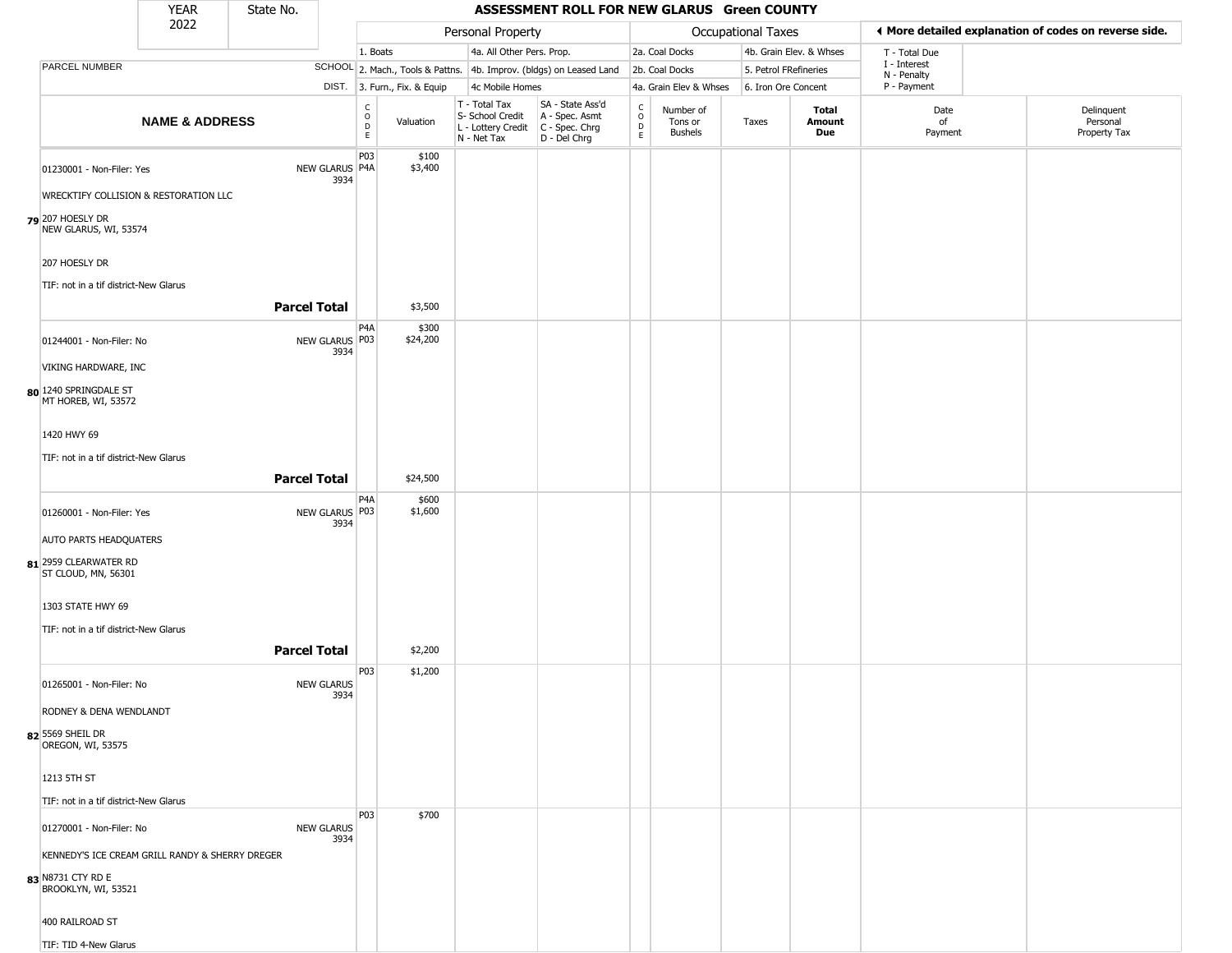|                                                        | <b>YEAR</b>               | State No.           |                           |                             |                              |                                                                                         | ASSESSMENT ROLL FOR NEW GLARUS Green COUNTY                         |                               |                                        |                           |                         |                             |                                                       |
|--------------------------------------------------------|---------------------------|---------------------|---------------------------|-----------------------------|------------------------------|-----------------------------------------------------------------------------------------|---------------------------------------------------------------------|-------------------------------|----------------------------------------|---------------------------|-------------------------|-----------------------------|-------------------------------------------------------|
|                                                        | 2022                      |                     |                           |                             |                              | Personal Property                                                                       |                                                                     |                               |                                        | <b>Occupational Taxes</b> |                         |                             | ♦ More detailed explanation of codes on reverse side. |
|                                                        |                           |                     |                           | 1. Boats                    |                              | 4a. All Other Pers. Prop.                                                               |                                                                     |                               | 2a. Coal Docks                         |                           | 4b. Grain Elev. & Whses | T - Total Due               |                                                       |
| <b>PARCEL NUMBER</b>                                   |                           |                     |                           |                             |                              |                                                                                         | SCHOOL 2. Mach., Tools & Pattns. 4b. Improv. (bldgs) on Leased Land |                               | 2b. Coal Docks                         | 5. Petrol FRefineries     |                         | I - Interest<br>N - Penalty |                                                       |
|                                                        |                           |                     |                           |                             | DIST. 3. Furn., Fix. & Equip | 4c Mobile Homes                                                                         |                                                                     |                               | 4a. Grain Elev & Whses                 | 6. Iron Ore Concent       |                         | P - Payment                 |                                                       |
|                                                        | <b>NAME &amp; ADDRESS</b> |                     |                           | C<br>$\mathsf{O}$<br>D<br>E | Valuation                    | T - Total Tax<br>S- School Credit<br>L - Lottery Credit   C - Spec. Chrg<br>N - Net Tax | SA - State Ass'd<br>A - Spec. Asmt<br>D - Del Chrg                  | $\delta$<br>$\mathsf{D}$<br>E | Number of<br>Tons or<br><b>Bushels</b> | Taxes                     | Total<br>Amount<br>Due  | Date<br>of<br>Payment       | Delinquent<br>Personal<br>Property Tax                |
| 01230001 - Non-Filer: Yes                              |                           |                     | NEW GLARUS P4A<br>3934    | P03                         | \$100<br>\$3,400             |                                                                                         |                                                                     |                               |                                        |                           |                         |                             |                                                       |
| WRECKTIFY COLLISION & RESTORATION LLC                  |                           |                     |                           |                             |                              |                                                                                         |                                                                     |                               |                                        |                           |                         |                             |                                                       |
| 79 207 HOESLY DR<br>NEW GLARUS, WI, 53574              |                           |                     |                           |                             |                              |                                                                                         |                                                                     |                               |                                        |                           |                         |                             |                                                       |
| 207 HOESLY DR<br>TIF: not in a tif district-New Glarus |                           |                     |                           |                             |                              |                                                                                         |                                                                     |                               |                                        |                           |                         |                             |                                                       |
|                                                        |                           | <b>Parcel Total</b> |                           |                             | \$3,500                      |                                                                                         |                                                                     |                               |                                        |                           |                         |                             |                                                       |
| 01244001 - Non-Filer: No                               |                           |                     | NEW GLARUS P03            | P4A                         | \$300<br>\$24,200            |                                                                                         |                                                                     |                               |                                        |                           |                         |                             |                                                       |
| VIKING HARDWARE, INC                                   |                           |                     | 3934                      |                             |                              |                                                                                         |                                                                     |                               |                                        |                           |                         |                             |                                                       |
| 80 1240 SPRINGDALE ST<br>MT HOREB, WI, 53572           |                           |                     |                           |                             |                              |                                                                                         |                                                                     |                               |                                        |                           |                         |                             |                                                       |
| 1420 HWY 69                                            |                           |                     |                           |                             |                              |                                                                                         |                                                                     |                               |                                        |                           |                         |                             |                                                       |
| TIF: not in a tif district-New Glarus                  |                           |                     |                           |                             |                              |                                                                                         |                                                                     |                               |                                        |                           |                         |                             |                                                       |
|                                                        |                           | <b>Parcel Total</b> |                           |                             | \$24,500                     |                                                                                         |                                                                     |                               |                                        |                           |                         |                             |                                                       |
| 01260001 - Non-Filer: Yes                              |                           |                     | NEW GLARUS P03<br>3934    | P4A                         | \$600<br>\$1,600             |                                                                                         |                                                                     |                               |                                        |                           |                         |                             |                                                       |
| <b>AUTO PARTS HEADQUATERS</b>                          |                           |                     |                           |                             |                              |                                                                                         |                                                                     |                               |                                        |                           |                         |                             |                                                       |
| 81 2959 CLEARWATER RD<br>ST CLOUD, MN, 56301           |                           |                     |                           |                             |                              |                                                                                         |                                                                     |                               |                                        |                           |                         |                             |                                                       |
| 1303 STATE HWY 69                                      |                           |                     |                           |                             |                              |                                                                                         |                                                                     |                               |                                        |                           |                         |                             |                                                       |
| TIF: not in a tif district-New Glarus                  |                           |                     |                           |                             |                              |                                                                                         |                                                                     |                               |                                        |                           |                         |                             |                                                       |
|                                                        |                           | <b>Parcel Total</b> |                           |                             | \$2,200                      |                                                                                         |                                                                     |                               |                                        |                           |                         |                             |                                                       |
| 01265001 - Non-Filer: No                               |                           | <b>NEW GLARUS</b>   | 3934                      | P03                         | \$1,200                      |                                                                                         |                                                                     |                               |                                        |                           |                         |                             |                                                       |
| RODNEY & DENA WENDLANDT                                |                           |                     |                           |                             |                              |                                                                                         |                                                                     |                               |                                        |                           |                         |                             |                                                       |
| 82 5569 SHEIL DR<br>OREGON, WI, 53575                  |                           |                     |                           |                             |                              |                                                                                         |                                                                     |                               |                                        |                           |                         |                             |                                                       |
| 1213 5TH ST                                            |                           |                     |                           |                             |                              |                                                                                         |                                                                     |                               |                                        |                           |                         |                             |                                                       |
| TIF: not in a tif district-New Glarus                  |                           |                     |                           |                             |                              |                                                                                         |                                                                     |                               |                                        |                           |                         |                             |                                                       |
| 01270001 - Non-Filer: No                               |                           |                     | <b>NEW GLARUS</b><br>3934 | P03                         | \$700                        |                                                                                         |                                                                     |                               |                                        |                           |                         |                             |                                                       |
| KENNEDY'S ICE CREAM GRILL RANDY & SHERRY DREGER        |                           |                     |                           |                             |                              |                                                                                         |                                                                     |                               |                                        |                           |                         |                             |                                                       |
| 83 N8731 CTY RD E<br>BROOKLYN, WI, 53521               |                           |                     |                           |                             |                              |                                                                                         |                                                                     |                               |                                        |                           |                         |                             |                                                       |
| 400 RAILROAD ST                                        |                           |                     |                           |                             |                              |                                                                                         |                                                                     |                               |                                        |                           |                         |                             |                                                       |
| TIF: TID 4-New Glarus                                  |                           |                     |                           |                             |                              |                                                                                         |                                                                     |                               |                                        |                           |                         |                             |                                                       |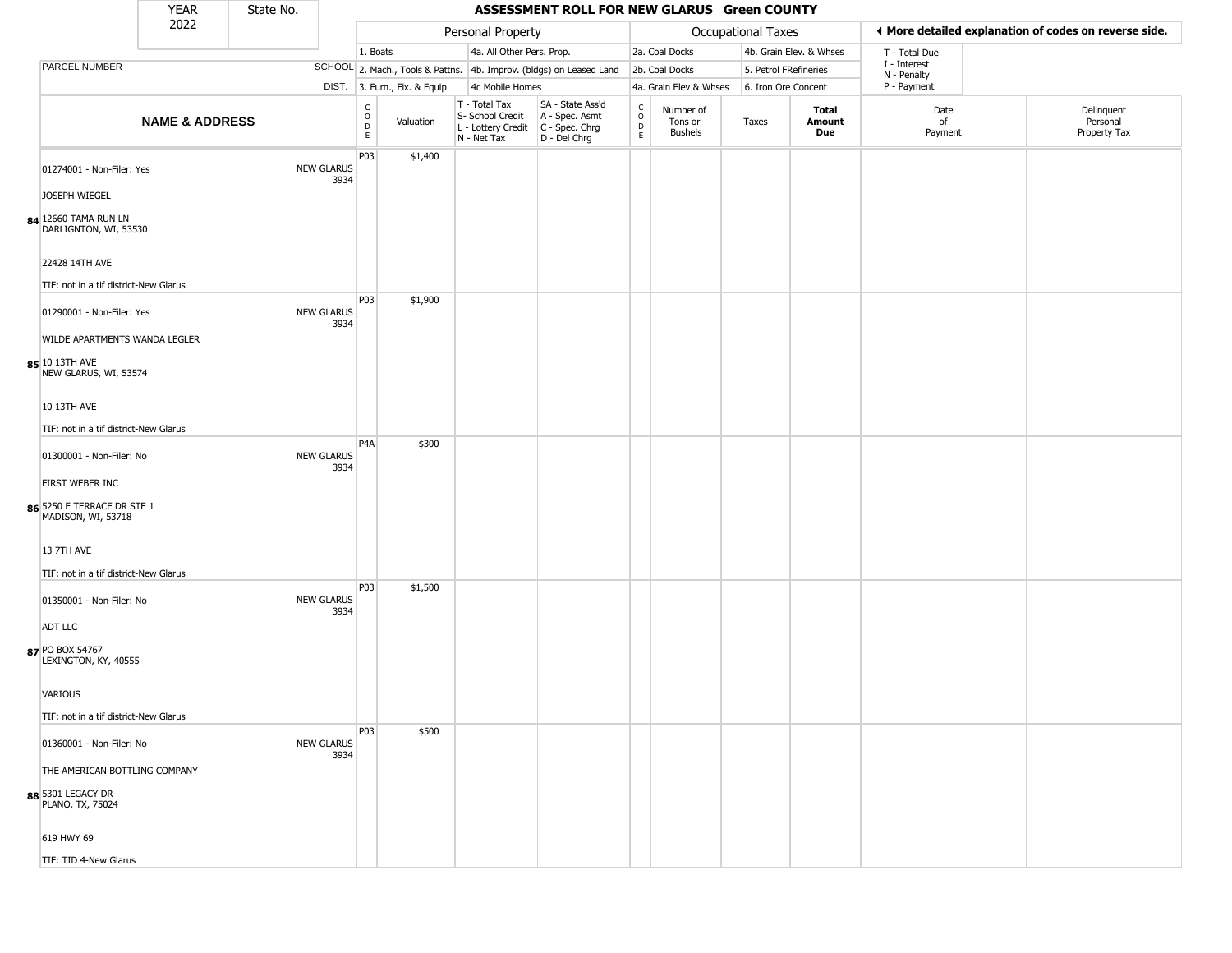|                                                                        | <b>YEAR</b>               | State No. |                           |                         |                              |                                                                        | ASSESSMENT ROLL FOR NEW GLARUS Green COUNTY                            |                                   |                                 |                       |                         |                             |                                                       |
|------------------------------------------------------------------------|---------------------------|-----------|---------------------------|-------------------------|------------------------------|------------------------------------------------------------------------|------------------------------------------------------------------------|-----------------------------------|---------------------------------|-----------------------|-------------------------|-----------------------------|-------------------------------------------------------|
|                                                                        | 2022                      |           |                           |                         |                              | Personal Property                                                      |                                                                        |                                   |                                 | Occupational Taxes    |                         |                             | ◀ More detailed explanation of codes on reverse side. |
|                                                                        |                           |           |                           | 1. Boats                |                              | 4a. All Other Pers. Prop.                                              |                                                                        |                                   | 2a. Coal Docks                  |                       | 4b. Grain Elev. & Whses | T - Total Due               |                                                       |
| <b>PARCEL NUMBER</b>                                                   |                           |           |                           |                         |                              |                                                                        | SCHOOL 2. Mach., Tools & Pattns. 4b. Improv. (bldgs) on Leased Land    |                                   | 2b. Coal Docks                  | 5. Petrol FRefineries |                         | I - Interest<br>N - Penalty |                                                       |
|                                                                        |                           |           |                           |                         | DIST. 3. Furn., Fix. & Equip | 4c Mobile Homes                                                        |                                                                        |                                   | 4a. Grain Elev & Whses          | 6. Iron Ore Concent   |                         | P - Payment                 |                                                       |
|                                                                        | <b>NAME &amp; ADDRESS</b> |           |                           | C<br>$\circ$<br>D<br>E. | Valuation                    | T - Total Tax<br>S- School Credit<br>L - Lottery Credit<br>N - Net Tax | SA - State Ass'd<br>A - Spec. Asmt<br>$C - Spec. Chrg$<br>D - Del Chrg | $\mathsf{C}$<br>$\circ$<br>D<br>E | Number of<br>Tons or<br>Bushels | Taxes                 | Total<br>Amount<br>Due  | Date<br>of<br>Payment       | Delinquent<br>Personal<br>Property Tax                |
| 01274001 - Non-Filer: Yes<br>JOSEPH WIEGEL                             |                           |           | <b>NEW GLARUS</b><br>3934 | P03                     | \$1,400                      |                                                                        |                                                                        |                                   |                                 |                       |                         |                             |                                                       |
| 84 12660 TAMA RUN LN<br>DARLIGNTON, WI, 53530                          |                           |           |                           |                         |                              |                                                                        |                                                                        |                                   |                                 |                       |                         |                             |                                                       |
| 22428 14TH AVE<br>TIF: not in a tif district-New Glarus                |                           |           |                           |                         |                              |                                                                        |                                                                        |                                   |                                 |                       |                         |                             |                                                       |
| 01290001 - Non-Filer: Yes<br>WILDE APARTMENTS WANDA LEGLER             |                           |           | <b>NEW GLARUS</b><br>3934 | P03                     | \$1,900                      |                                                                        |                                                                        |                                   |                                 |                       |                         |                             |                                                       |
| 85 10 13TH AVE<br>NEW GLARUS, WI, 53574                                |                           |           |                           |                         |                              |                                                                        |                                                                        |                                   |                                 |                       |                         |                             |                                                       |
| 10 13TH AVE<br>TIF: not in a tif district-New Glarus                   |                           |           |                           |                         |                              |                                                                        |                                                                        |                                   |                                 |                       |                         |                             |                                                       |
| 01300001 - Non-Filer: No                                               |                           |           | <b>NEW GLARUS</b><br>3934 | P4A                     | \$300                        |                                                                        |                                                                        |                                   |                                 |                       |                         |                             |                                                       |
| FIRST WEBER INC<br>86 5250 E TERRACE DR STE 1<br>MADISON, WI, 53718    |                           |           |                           |                         |                              |                                                                        |                                                                        |                                   |                                 |                       |                         |                             |                                                       |
| <b>13 7TH AVE</b><br>TIF: not in a tif district-New Glarus             |                           |           |                           |                         |                              |                                                                        |                                                                        |                                   |                                 |                       |                         |                             |                                                       |
| 01350001 - Non-Filer: No                                               |                           |           | <b>NEW GLARUS</b><br>3934 | P03                     | \$1,500                      |                                                                        |                                                                        |                                   |                                 |                       |                         |                             |                                                       |
| <b>ADT LLC</b><br>87 PO BOX 54767<br>LEXINGTON, KY, 40555              |                           |           |                           |                         |                              |                                                                        |                                                                        |                                   |                                 |                       |                         |                             |                                                       |
| <b>VARIOUS</b><br>TIF: not in a tif district-New Glarus                |                           |           |                           |                         |                              |                                                                        |                                                                        |                                   |                                 |                       |                         |                             |                                                       |
| 01360001 - Non-Filer: No                                               |                           |           | <b>NEW GLARUS</b><br>3934 | P03                     | \$500                        |                                                                        |                                                                        |                                   |                                 |                       |                         |                             |                                                       |
| THE AMERICAN BOTTLING COMPANY<br>88 5301 LEGACY DR<br>PLANO, TX, 75024 |                           |           |                           |                         |                              |                                                                        |                                                                        |                                   |                                 |                       |                         |                             |                                                       |
| 619 HWY 69                                                             |                           |           |                           |                         |                              |                                                                        |                                                                        |                                   |                                 |                       |                         |                             |                                                       |
| TIF: TID 4-New Glarus                                                  |                           |           |                           |                         |                              |                                                                        |                                                                        |                                   |                                 |                       |                         |                             |                                                       |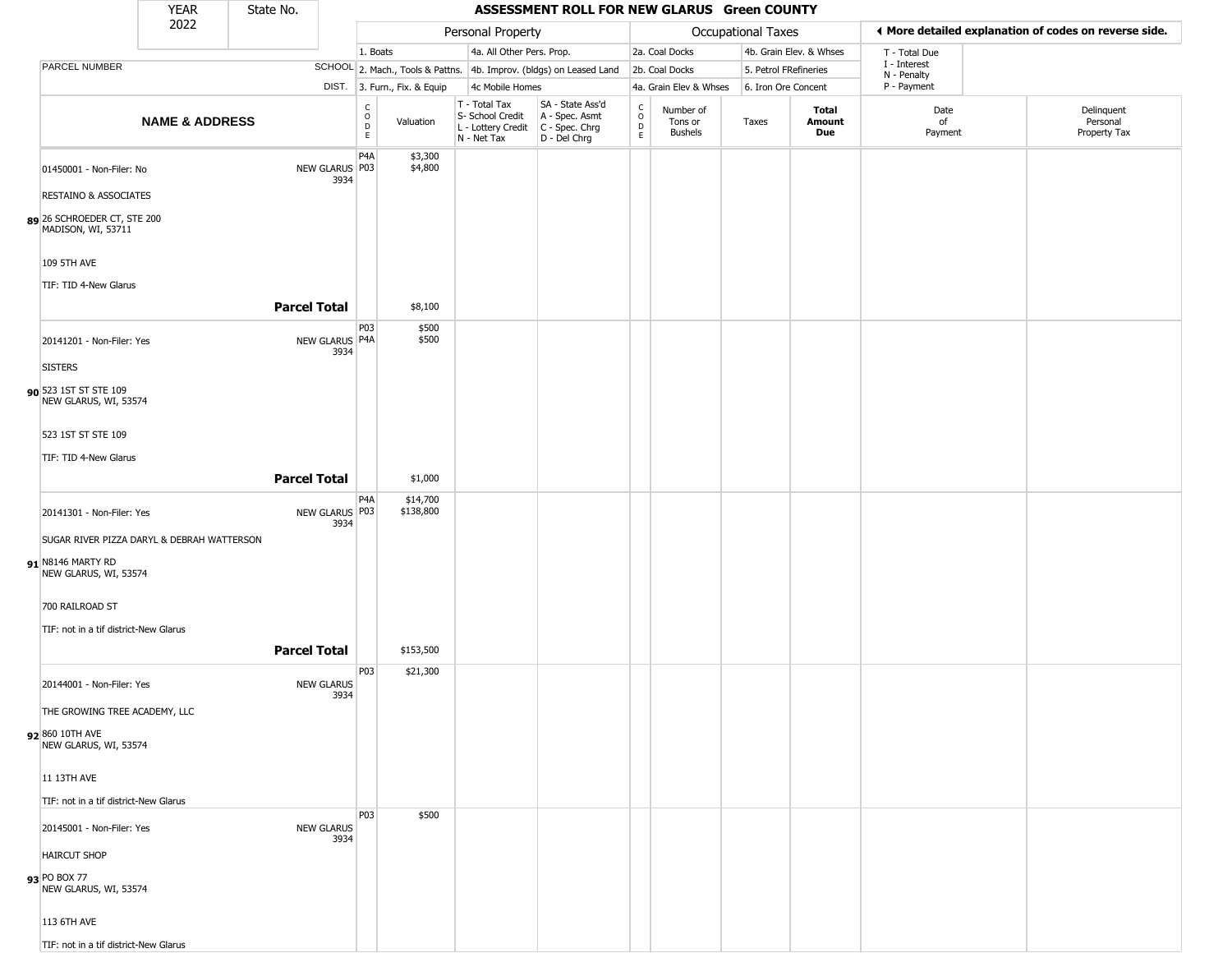|                                                                                          | <b>YEAR</b>               | State No.           |                           |                                   |                              |                                                                                         | ASSESSMENT ROLL FOR NEW GLARUS Green COUNTY                         |                        |                                        |                           |                         |                            |                                                       |
|------------------------------------------------------------------------------------------|---------------------------|---------------------|---------------------------|-----------------------------------|------------------------------|-----------------------------------------------------------------------------------------|---------------------------------------------------------------------|------------------------|----------------------------------------|---------------------------|-------------------------|----------------------------|-------------------------------------------------------|
|                                                                                          | 2022                      |                     |                           |                                   |                              | Personal Property                                                                       |                                                                     |                        |                                        | <b>Occupational Taxes</b> |                         |                            | ♦ More detailed explanation of codes on reverse side. |
|                                                                                          |                           |                     |                           | 1. Boats                          |                              | 4a. All Other Pers. Prop.                                                               |                                                                     |                        | 2a. Coal Docks                         |                           | 4b. Grain Elev. & Whses | T - Total Due              |                                                       |
| PARCEL NUMBER                                                                            |                           |                     |                           |                                   |                              |                                                                                         | SCHOOL 2. Mach., Tools & Pattns. 4b. Improv. (bldgs) on Leased Land |                        | 2b. Coal Docks                         | 5. Petrol FRefineries     |                         | I - Interest               |                                                       |
|                                                                                          |                           |                     |                           |                                   | DIST. 3. Furn., Fix. & Equip | 4c Mobile Homes                                                                         |                                                                     |                        | 4a. Grain Elev & Whses                 | 6. Iron Ore Concent       |                         | N - Penalty<br>P - Payment |                                                       |
|                                                                                          | <b>NAME &amp; ADDRESS</b> |                     |                           | $\frac{c}{0}$<br>D<br>$\mathsf E$ | Valuation                    | T - Total Tax<br>S- School Credit<br>L - Lottery Credit   C - Spec. Chrg<br>N - Net Tax | SA - State Ass'd<br>A - Spec. Asmt<br>D - Del Chrg                  | C<br>$\circ$<br>D<br>E | Number of<br>Tons or<br><b>Bushels</b> | Taxes                     | Total<br>Amount<br>Due  | Date<br>of<br>Payment      | Delinquent<br>Personal<br>Property Tax                |
| 01450001 - Non-Filer: No                                                                 |                           |                     | NEW GLARUS P03<br>3934    | P <sub>4</sub> A                  | \$3,300<br>\$4,800           |                                                                                         |                                                                     |                        |                                        |                           |                         |                            |                                                       |
| <b>RESTAINO &amp; ASSOCIATES</b>                                                         |                           |                     |                           |                                   |                              |                                                                                         |                                                                     |                        |                                        |                           |                         |                            |                                                       |
| 89 26 SCHROEDER CT, STE 200<br>MADISON, WI, 53711                                        |                           |                     |                           |                                   |                              |                                                                                         |                                                                     |                        |                                        |                           |                         |                            |                                                       |
| 109 5TH AVE<br>TIF: TID 4-New Glarus                                                     |                           |                     |                           |                                   |                              |                                                                                         |                                                                     |                        |                                        |                           |                         |                            |                                                       |
|                                                                                          |                           | <b>Parcel Total</b> |                           |                                   | \$8,100                      |                                                                                         |                                                                     |                        |                                        |                           |                         |                            |                                                       |
| 20141201 - Non-Filer: Yes                                                                |                           |                     | NEW GLARUS P4A<br>3934    | P03                               | \$500<br>\$500               |                                                                                         |                                                                     |                        |                                        |                           |                         |                            |                                                       |
| <b>SISTERS</b><br>90 523 1ST ST STE 109<br>NEW GLARUS, WI, 53574                         |                           |                     |                           |                                   |                              |                                                                                         |                                                                     |                        |                                        |                           |                         |                            |                                                       |
| 523 1ST ST STE 109                                                                       |                           |                     |                           |                                   |                              |                                                                                         |                                                                     |                        |                                        |                           |                         |                            |                                                       |
| TIF: TID 4-New Glarus                                                                    |                           | <b>Parcel Total</b> |                           |                                   | \$1,000                      |                                                                                         |                                                                     |                        |                                        |                           |                         |                            |                                                       |
| 20141301 - Non-Filer: Yes                                                                |                           |                     | NEW GLARUS P03<br>3934    | P <sub>4</sub> A                  | \$14,700<br>\$138,800        |                                                                                         |                                                                     |                        |                                        |                           |                         |                            |                                                       |
| SUGAR RIVER PIZZA DARYL & DEBRAH WATTERSON<br>91 N8146 MARTY RD<br>NEW GLARUS, WI, 53574 |                           |                     |                           |                                   |                              |                                                                                         |                                                                     |                        |                                        |                           |                         |                            |                                                       |
| 700 RAILROAD ST                                                                          |                           |                     |                           |                                   |                              |                                                                                         |                                                                     |                        |                                        |                           |                         |                            |                                                       |
| TIF: not in a tif district-New Glarus                                                    |                           |                     |                           |                                   |                              |                                                                                         |                                                                     |                        |                                        |                           |                         |                            |                                                       |
|                                                                                          |                           | <b>Parcel Total</b> |                           | P03                               | \$153,500                    |                                                                                         |                                                                     |                        |                                        |                           |                         |                            |                                                       |
| 20144001 - Non-Filer: Yes                                                                |                           |                     | <b>NEW GLARUS</b><br>3934 |                                   | \$21,300                     |                                                                                         |                                                                     |                        |                                        |                           |                         |                            |                                                       |
| THE GROWING TREE ACADEMY, LLC<br>92 860 10TH AVE<br>NEW GLARUS, WI, 53574                |                           |                     |                           |                                   |                              |                                                                                         |                                                                     |                        |                                        |                           |                         |                            |                                                       |
| 11 13TH AVE                                                                              |                           |                     |                           |                                   |                              |                                                                                         |                                                                     |                        |                                        |                           |                         |                            |                                                       |
| TIF: not in a tif district-New Glarus                                                    |                           |                     |                           |                                   |                              |                                                                                         |                                                                     |                        |                                        |                           |                         |                            |                                                       |
| 20145001 - Non-Filer: Yes                                                                |                           |                     | <b>NEW GLARUS</b><br>3934 | P03                               | \$500                        |                                                                                         |                                                                     |                        |                                        |                           |                         |                            |                                                       |
| <b>HAIRCUT SHOP</b><br>93 PO BOX 77                                                      |                           |                     |                           |                                   |                              |                                                                                         |                                                                     |                        |                                        |                           |                         |                            |                                                       |
| NEW GLARUS, WI, 53574<br>113 6TH AVE                                                     |                           |                     |                           |                                   |                              |                                                                                         |                                                                     |                        |                                        |                           |                         |                            |                                                       |
| TIF: not in a tif district-New Glarus                                                    |                           |                     |                           |                                   |                              |                                                                                         |                                                                     |                        |                                        |                           |                         |                            |                                                       |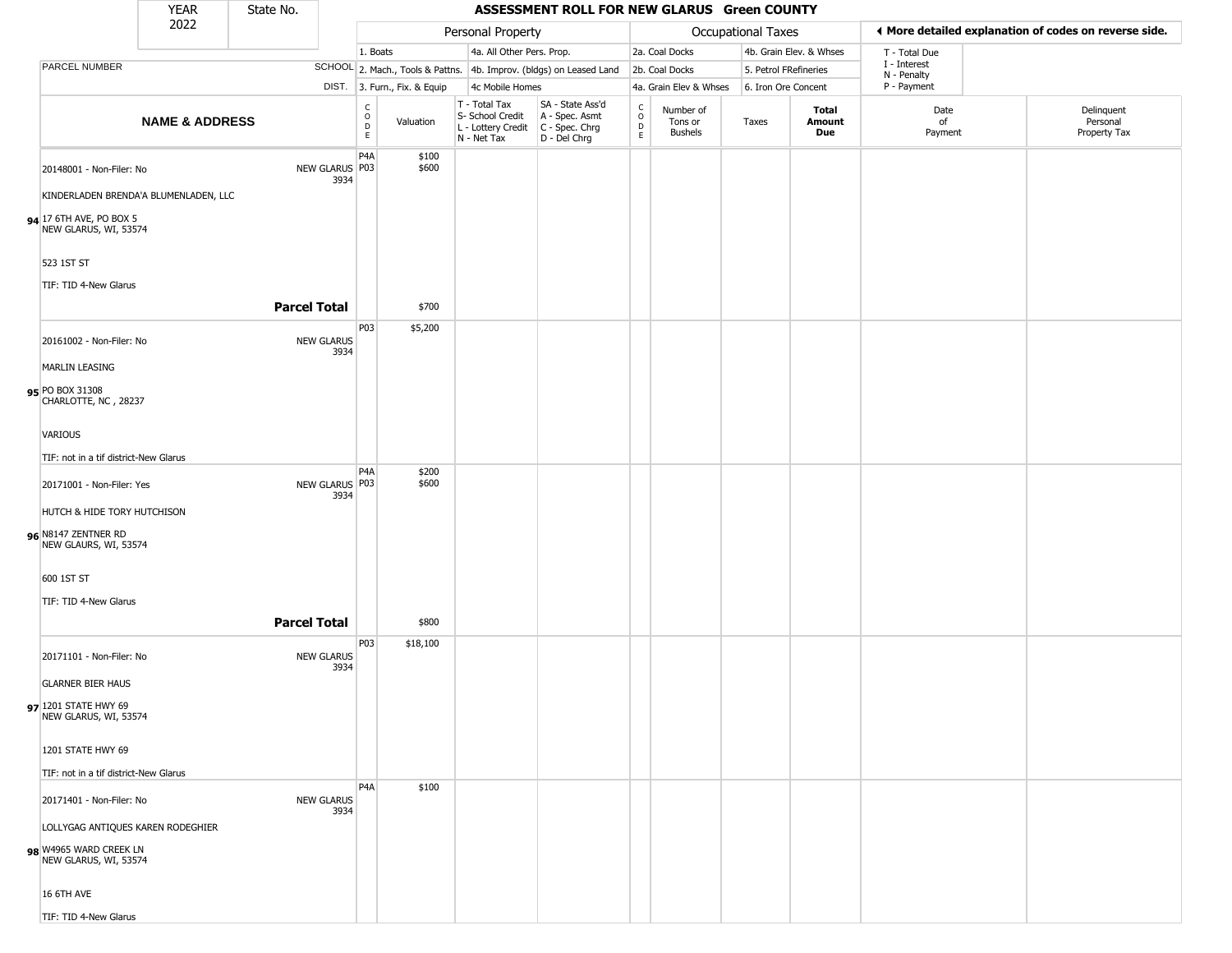|                                                                                      | <b>YEAR</b>               | State No.           |                                           |                              |                                                                        | ASSESSMENT ROLL FOR NEW GLARUS Green COUNTY                          |                                |                                        |                           |                         |                             |                                                       |
|--------------------------------------------------------------------------------------|---------------------------|---------------------|-------------------------------------------|------------------------------|------------------------------------------------------------------------|----------------------------------------------------------------------|--------------------------------|----------------------------------------|---------------------------|-------------------------|-----------------------------|-------------------------------------------------------|
|                                                                                      | 2022                      |                     |                                           |                              | Personal Property                                                      |                                                                      |                                |                                        | <b>Occupational Taxes</b> |                         |                             | ♦ More detailed explanation of codes on reverse side. |
|                                                                                      |                           |                     |                                           | 1. Boats                     | 4a. All Other Pers. Prop.                                              |                                                                      |                                | 2a. Coal Docks                         |                           | 4b. Grain Elev. & Whses | T - Total Due               |                                                       |
| <b>PARCEL NUMBER</b>                                                                 |                           |                     |                                           |                              |                                                                        | SCHOOL 2. Mach., Tools & Pattns. 4b. Improv. (bldgs) on Leased Land  |                                | 2b. Coal Docks                         |                           | 5. Petrol FRefineries   | I - Interest<br>N - Penalty |                                                       |
|                                                                                      |                           |                     |                                           | DIST. 3. Furn., Fix. & Equip | 4c Mobile Homes                                                        |                                                                      |                                | 4a. Grain Elev & Whses                 | 6. Iron Ore Concent       |                         | P - Payment                 |                                                       |
|                                                                                      | <b>NAME &amp; ADDRESS</b> |                     | $\begin{matrix} 0 \\ 0 \\ 0 \end{matrix}$ | Valuation<br>E.              | T - Total Tax<br>S- School Credit<br>L - Lottery Credit<br>N - Net Tax | SA - State Ass'd<br>A - Spec. Asmt<br>C - Spec. Chrg<br>D - Del Chrg | $\rm _o^C$<br>$\mathsf D$<br>E | Number of<br>Tons or<br><b>Bushels</b> | Taxes                     | Total<br>Amount<br>Due  | Date<br>of<br>Payment       | Delinquent<br>Personal<br>Property Tax                |
| 20148001 - Non-Filer: No<br>KINDERLADEN BRENDA'A BLUMENLADEN, LLC                    |                           | NEW GLARUS P03      | P <sub>4</sub> A<br>3934                  | \$100<br>\$600               |                                                                        |                                                                      |                                |                                        |                           |                         |                             |                                                       |
| 94 17 6TH AVE, PO BOX 5<br>NEW GLARUS, WI, 53574                                     |                           |                     |                                           |                              |                                                                        |                                                                      |                                |                                        |                           |                         |                             |                                                       |
| 523 1ST ST<br>TIF: TID 4-New Glarus                                                  |                           | <b>Parcel Total</b> |                                           | \$700                        |                                                                        |                                                                      |                                |                                        |                           |                         |                             |                                                       |
| 20161002 - Non-Filer: No<br><b>MARLIN LEASING</b>                                    |                           | <b>NEW GLARUS</b>   | P03<br>3934                               | \$5,200                      |                                                                        |                                                                      |                                |                                        |                           |                         |                             |                                                       |
| 95 PO BOX 31308<br>CHARLOTTE, NC, 28237                                              |                           |                     |                                           |                              |                                                                        |                                                                      |                                |                                        |                           |                         |                             |                                                       |
| VARIOUS                                                                              |                           |                     |                                           |                              |                                                                        |                                                                      |                                |                                        |                           |                         |                             |                                                       |
| TIF: not in a tif district-New Glarus<br>20171001 - Non-Filer: Yes                   |                           | NEW GLARUS P03      | P <sub>4</sub> A<br>3934                  | \$200<br>\$600               |                                                                        |                                                                      |                                |                                        |                           |                         |                             |                                                       |
| HUTCH & HIDE TORY HUTCHISON                                                          |                           |                     |                                           |                              |                                                                        |                                                                      |                                |                                        |                           |                         |                             |                                                       |
| 96 N8147 ZENTNER RD<br>NEW GLAURS, WI, 53574                                         |                           |                     |                                           |                              |                                                                        |                                                                      |                                |                                        |                           |                         |                             |                                                       |
| 600 1ST ST                                                                           |                           |                     |                                           |                              |                                                                        |                                                                      |                                |                                        |                           |                         |                             |                                                       |
| TIF: TID 4-New Glarus                                                                |                           | <b>Parcel Total</b> |                                           | \$800                        |                                                                        |                                                                      |                                |                                        |                           |                         |                             |                                                       |
| 20171101 - Non-Filer: No                                                             |                           | <b>NEW GLARUS</b>   | P03<br>3934                               | \$18,100                     |                                                                        |                                                                      |                                |                                        |                           |                         |                             |                                                       |
| <b>GLARNER BIER HAUS</b><br>97 1201 STATE HWY 69<br>NEW GLARUS, WI, 53574            |                           |                     |                                           |                              |                                                                        |                                                                      |                                |                                        |                           |                         |                             |                                                       |
| 1201 STATE HWY 69<br>TIF: not in a tif district-New Glarus                           |                           |                     |                                           |                              |                                                                        |                                                                      |                                |                                        |                           |                         |                             |                                                       |
| 20171401 - Non-Filer: No                                                             |                           | <b>NEW GLARUS</b>   | P <sub>4</sub> A<br>3934                  | \$100                        |                                                                        |                                                                      |                                |                                        |                           |                         |                             |                                                       |
| LOLLYGAG ANTIQUES KAREN RODEGHIER<br>98 W4965 WARD CREEK LN<br>NEW GLARUS, WI, 53574 |                           |                     |                                           |                              |                                                                        |                                                                      |                                |                                        |                           |                         |                             |                                                       |
| 16 6TH AVE                                                                           |                           |                     |                                           |                              |                                                                        |                                                                      |                                |                                        |                           |                         |                             |                                                       |
| TIF: TID 4-New Glarus                                                                |                           |                     |                                           |                              |                                                                        |                                                                      |                                |                                        |                           |                         |                             |                                                       |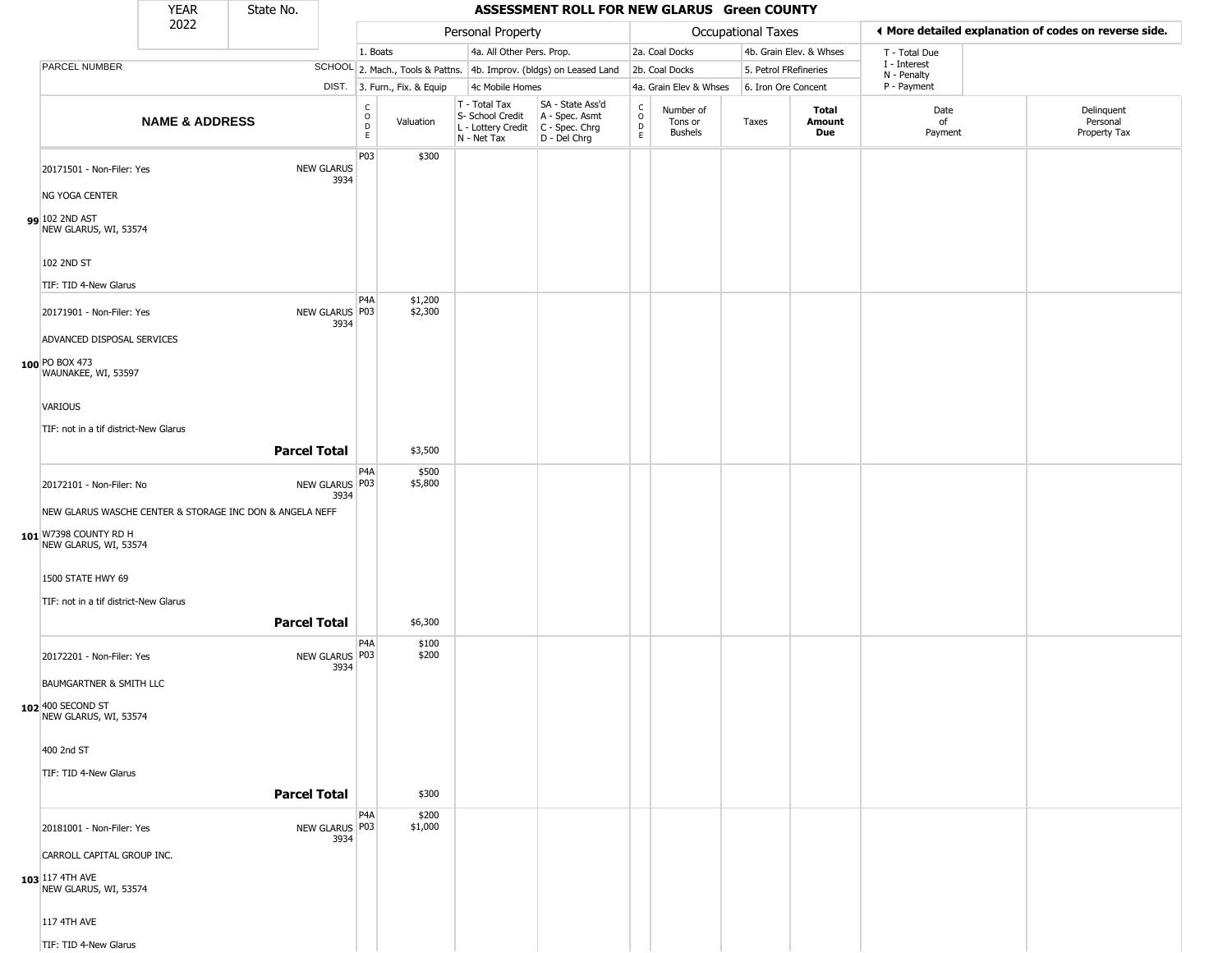|                                                                                                  | <b>YEAR</b>               | State No.           |                           |                  |                              |                                                                        | ASSESSMENT ROLL FOR NEW GLARUS Green COUNTY                          |                                  |                                        |                       |                         |                             |                                                       |
|--------------------------------------------------------------------------------------------------|---------------------------|---------------------|---------------------------|------------------|------------------------------|------------------------------------------------------------------------|----------------------------------------------------------------------|----------------------------------|----------------------------------------|-----------------------|-------------------------|-----------------------------|-------------------------------------------------------|
|                                                                                                  | 2022                      |                     |                           |                  |                              | Personal Property                                                      |                                                                      |                                  |                                        | Occupational Taxes    |                         |                             | ♦ More detailed explanation of codes on reverse side. |
|                                                                                                  |                           |                     |                           | 1. Boats         |                              | 4a. All Other Pers. Prop.                                              |                                                                      |                                  | 2a. Coal Docks                         |                       | 4b. Grain Elev. & Whses | T - Total Due               |                                                       |
| PARCEL NUMBER                                                                                    |                           |                     |                           |                  |                              |                                                                        | SCHOOL 2. Mach., Tools & Pattns. 4b. Improv. (bldgs) on Leased Land  |                                  | 2b. Coal Docks                         | 5. Petrol FRefineries |                         | I - Interest<br>N - Penalty |                                                       |
|                                                                                                  |                           |                     |                           |                  | DIST. 3. Furn., Fix. & Equip | 4c Mobile Homes                                                        |                                                                      |                                  | 4a. Grain Elev & Whses                 | 6. Iron Ore Concent   |                         | P - Payment                 |                                                       |
|                                                                                                  | <b>NAME &amp; ADDRESS</b> |                     |                           | C<br>D<br>D<br>E | Valuation                    | T - Total Tax<br>S- School Credit<br>L - Lottery Credit<br>N - Net Tax | SA - State Ass'd<br>A - Spec. Asmt<br>C - Spec. Chrg<br>D - Del Chrg | C<br>$\circ$<br>D<br>$\mathsf E$ | Number of<br>Tons or<br><b>Bushels</b> | Taxes                 | Total<br>Amount<br>Due  | Date<br>of<br>Payment       | Delinquent<br>Personal<br>Property Tax                |
| 20171501 - Non-Filer: Yes<br>NG YOGA CENTER<br>99 102 2ND AST<br>NEW GLARUS, WI, 53574           |                           |                     | <b>NEW GLARUS</b><br>3934 | P03              | \$300                        |                                                                        |                                                                      |                                  |                                        |                       |                         |                             |                                                       |
| 102 2ND ST<br>TIF: TID 4-New Glarus                                                              |                           |                     |                           |                  |                              |                                                                        |                                                                      |                                  |                                        |                       |                         |                             |                                                       |
| 20171901 - Non-Filer: Yes<br>ADVANCED DISPOSAL SERVICES                                          |                           |                     | NEW GLARUS P03<br>3934    | P4A              | \$1,200<br>\$2,300           |                                                                        |                                                                      |                                  |                                        |                       |                         |                             |                                                       |
| 100 PO BOX 473<br>WAUNAKEE, WI, 53597<br><b>VARIOUS</b><br>TIF: not in a tif district-New Glarus |                           | <b>Parcel Total</b> |                           |                  |                              |                                                                        |                                                                      |                                  |                                        |                       |                         |                             |                                                       |
|                                                                                                  |                           |                     |                           |                  | \$3,500                      |                                                                        |                                                                      |                                  |                                        |                       |                         |                             |                                                       |
| 20172101 - Non-Filer: No<br>NEW GLARUS WASCHE CENTER & STORAGE INC DON & ANGELA NEFF             |                           |                     | NEW GLARUS P03<br>3934    | P4A              | \$500<br>\$5,800             |                                                                        |                                                                      |                                  |                                        |                       |                         |                             |                                                       |
| 101 W7398 COUNTY RD H<br>NEW GLARUS, WI, 53574<br>1500 STATE HWY 69                              |                           |                     |                           |                  |                              |                                                                        |                                                                      |                                  |                                        |                       |                         |                             |                                                       |
|                                                                                                  |                           |                     |                           |                  |                              |                                                                        |                                                                      |                                  |                                        |                       |                         |                             |                                                       |
| TIF: not in a tif district-New Glarus                                                            |                           | <b>Parcel Total</b> |                           |                  | \$6,300                      |                                                                        |                                                                      |                                  |                                        |                       |                         |                             |                                                       |
| 20172201 - Non-Filer: Yes<br><b>BAUMGARTNER &amp; SMITH LLC</b>                                  |                           |                     | NEW GLARUS P03<br>3934    | P4A              | \$100<br>\$200               |                                                                        |                                                                      |                                  |                                        |                       |                         |                             |                                                       |
| 102 400 SECOND ST<br>NEW GLARUS, WI, 53574<br>400 2nd ST                                         |                           |                     |                           |                  |                              |                                                                        |                                                                      |                                  |                                        |                       |                         |                             |                                                       |
| TIF: TID 4-New Glarus                                                                            |                           | <b>Parcel Total</b> |                           |                  | \$300                        |                                                                        |                                                                      |                                  |                                        |                       |                         |                             |                                                       |
| 20181001 - Non-Filer: Yes<br>CARROLL CAPITAL GROUP INC.                                          |                           |                     | NEW GLARUS P03<br>3934    | P <sub>4</sub> A | \$200<br>\$1,000             |                                                                        |                                                                      |                                  |                                        |                       |                         |                             |                                                       |
| 103 117 4TH AVE<br>NEW GLARUS, WI, 53574                                                         |                           |                     |                           |                  |                              |                                                                        |                                                                      |                                  |                                        |                       |                         |                             |                                                       |
| 117 4TH AVE<br>TIF: TID 4-New Glarus                                                             |                           |                     |                           |                  |                              |                                                                        |                                                                      |                                  |                                        |                       |                         |                             |                                                       |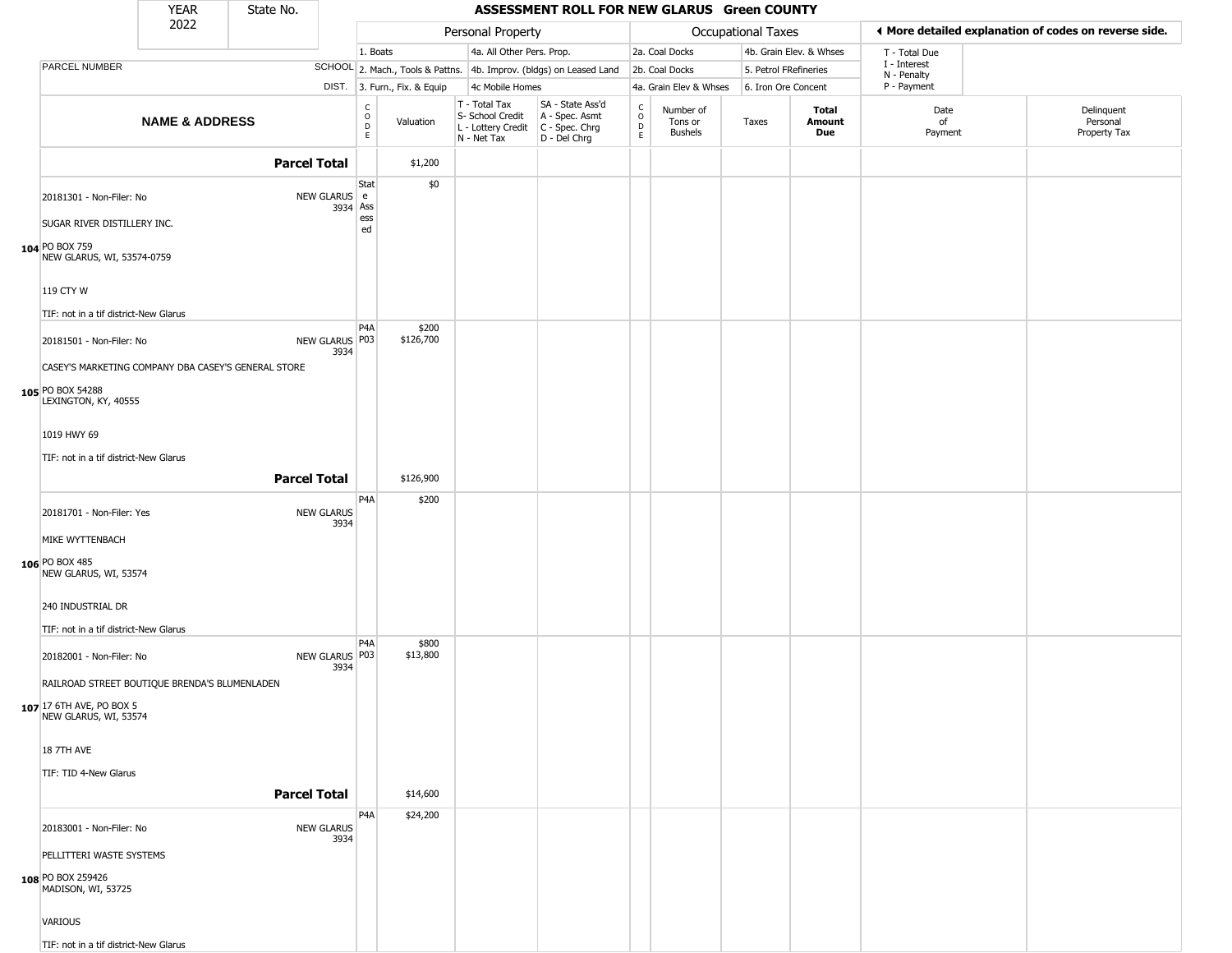|                                                   | <b>YEAR</b>                                         | State No.           |                           |                                          |                        |                                                                        | ASSESSMENT ROLL FOR NEW GLARUS Green COUNTY                          |                                            |                                        |                       |                         |                             |                                                       |
|---------------------------------------------------|-----------------------------------------------------|---------------------|---------------------------|------------------------------------------|------------------------|------------------------------------------------------------------------|----------------------------------------------------------------------|--------------------------------------------|----------------------------------------|-----------------------|-------------------------|-----------------------------|-------------------------------------------------------|
|                                                   | 2022                                                |                     |                           |                                          |                        | Personal Property                                                      |                                                                      |                                            |                                        | Occupational Taxes    |                         |                             | ◀ More detailed explanation of codes on reverse side. |
|                                                   |                                                     |                     |                           | 1. Boats                                 |                        | 4a. All Other Pers. Prop.                                              |                                                                      |                                            | 2a. Coal Docks                         |                       | 4b. Grain Elev. & Whses | T - Total Due               |                                                       |
| <b>PARCEL NUMBER</b>                              |                                                     |                     |                           |                                          |                        |                                                                        | SCHOOL 2. Mach., Tools & Pattns. 4b. Improv. (bldgs) on Leased Land  |                                            | 2b. Coal Docks                         | 5. Petrol FRefineries |                         | I - Interest<br>N - Penalty |                                                       |
|                                                   |                                                     |                     | DIST.                     |                                          | 3. Furn., Fix. & Equip | 4c Mobile Homes                                                        |                                                                      |                                            | 4a. Grain Elev & Whses                 | 6. Iron Ore Concent   |                         | P - Payment                 |                                                       |
|                                                   | <b>NAME &amp; ADDRESS</b>                           |                     |                           | $_{\rm o}^{\rm c}$<br>$\mathsf{D}$<br>E. | Valuation              | T - Total Tax<br>S- School Credit<br>L - Lottery Credit<br>N - Net Tax | SA - State Ass'd<br>A - Spec. Asmt<br>C - Spec. Chrg<br>D - Del Chrg | $\begin{array}{c} C \\ 0 \\ E \end{array}$ | Number of<br>Tons or<br><b>Bushels</b> | Taxes                 | Total<br>Amount<br>Due  | Date<br>of<br>Payment       | Delinquent<br>Personal<br>Property Tax                |
|                                                   |                                                     | <b>Parcel Total</b> |                           |                                          | \$1,200                |                                                                        |                                                                      |                                            |                                        |                       |                         |                             |                                                       |
|                                                   |                                                     |                     |                           | Stat                                     | \$0                    |                                                                        |                                                                      |                                            |                                        |                       |                         |                             |                                                       |
| 20181301 - Non-Filer: No                          |                                                     |                     | NEW GLARUS e              |                                          |                        |                                                                        |                                                                      |                                            |                                        |                       |                         |                             |                                                       |
| SUGAR RIVER DISTILLERY INC.                       |                                                     |                     | 3934 Ass                  | ess                                      |                        |                                                                        |                                                                      |                                            |                                        |                       |                         |                             |                                                       |
| 104 PO BOX 759<br>NEW GLARUS, WI, 53574-0759      |                                                     |                     |                           | ed                                       |                        |                                                                        |                                                                      |                                            |                                        |                       |                         |                             |                                                       |
|                                                   |                                                     |                     |                           |                                          |                        |                                                                        |                                                                      |                                            |                                        |                       |                         |                             |                                                       |
| 119 CTY W                                         |                                                     |                     |                           |                                          |                        |                                                                        |                                                                      |                                            |                                        |                       |                         |                             |                                                       |
| TIF: not in a tif district-New Glarus             |                                                     |                     |                           |                                          |                        |                                                                        |                                                                      |                                            |                                        |                       |                         |                             |                                                       |
| 20181501 - Non-Filer: No                          |                                                     |                     | NEW GLARUS P03<br>3934    | P4A                                      | \$200<br>\$126,700     |                                                                        |                                                                      |                                            |                                        |                       |                         |                             |                                                       |
|                                                   | CASEY'S MARKETING COMPANY DBA CASEY'S GENERAL STORE |                     |                           |                                          |                        |                                                                        |                                                                      |                                            |                                        |                       |                         |                             |                                                       |
| 105 PO BOX 54288<br>LEXINGTON, KY, 40555          |                                                     |                     |                           |                                          |                        |                                                                        |                                                                      |                                            |                                        |                       |                         |                             |                                                       |
| 1019 HWY 69                                       |                                                     |                     |                           |                                          |                        |                                                                        |                                                                      |                                            |                                        |                       |                         |                             |                                                       |
| TIF: not in a tif district-New Glarus             |                                                     |                     |                           |                                          |                        |                                                                        |                                                                      |                                            |                                        |                       |                         |                             |                                                       |
|                                                   |                                                     | <b>Parcel Total</b> |                           |                                          | \$126,900              |                                                                        |                                                                      |                                            |                                        |                       |                         |                             |                                                       |
|                                                   |                                                     |                     |                           | P <sub>4</sub> A                         | \$200                  |                                                                        |                                                                      |                                            |                                        |                       |                         |                             |                                                       |
| 20181701 - Non-Filer: Yes                         |                                                     |                     | <b>NEW GLARUS</b><br>3934 |                                          |                        |                                                                        |                                                                      |                                            |                                        |                       |                         |                             |                                                       |
| MIKE WYTTENBACH                                   |                                                     |                     |                           |                                          |                        |                                                                        |                                                                      |                                            |                                        |                       |                         |                             |                                                       |
| 106 PO BOX 485<br>NEW GLARUS, WI, 53574           |                                                     |                     |                           |                                          |                        |                                                                        |                                                                      |                                            |                                        |                       |                         |                             |                                                       |
| 240 INDUSTRIAL DR                                 |                                                     |                     |                           |                                          |                        |                                                                        |                                                                      |                                            |                                        |                       |                         |                             |                                                       |
| TIF: not in a tif district-New Glarus             |                                                     |                     |                           |                                          |                        |                                                                        |                                                                      |                                            |                                        |                       |                         |                             |                                                       |
| 20182001 - Non-Filer: No                          |                                                     |                     | NEW GLARUS   P03          | P <sub>4</sub> A                         | \$800<br>\$13,800      |                                                                        |                                                                      |                                            |                                        |                       |                         |                             |                                                       |
|                                                   | RAILROAD STREET BOUTIQUE BRENDA'S BLUMENLADEN       |                     | 3934                      |                                          |                        |                                                                        |                                                                      |                                            |                                        |                       |                         |                             |                                                       |
| 107 17 6TH AVE, PO BOX 5<br>NEW GLARUS, WI, 53574 |                                                     |                     |                           |                                          |                        |                                                                        |                                                                      |                                            |                                        |                       |                         |                             |                                                       |
| <b>18 7TH AVE</b>                                 |                                                     |                     |                           |                                          |                        |                                                                        |                                                                      |                                            |                                        |                       |                         |                             |                                                       |
| TIF: TID 4-New Glarus                             |                                                     |                     |                           |                                          |                        |                                                                        |                                                                      |                                            |                                        |                       |                         |                             |                                                       |
|                                                   |                                                     | <b>Parcel Total</b> |                           |                                          | \$14,600               |                                                                        |                                                                      |                                            |                                        |                       |                         |                             |                                                       |
| 20183001 - Non-Filer: No                          |                                                     |                     | <b>NEW GLARUS</b>         | P <sub>4</sub> A                         | \$24,200               |                                                                        |                                                                      |                                            |                                        |                       |                         |                             |                                                       |
|                                                   |                                                     |                     | 3934                      |                                          |                        |                                                                        |                                                                      |                                            |                                        |                       |                         |                             |                                                       |
| PELLITTERI WASTE SYSTEMS                          |                                                     |                     |                           |                                          |                        |                                                                        |                                                                      |                                            |                                        |                       |                         |                             |                                                       |
| 108 PO BOX 259426<br>MADISON, WI, 53725           |                                                     |                     |                           |                                          |                        |                                                                        |                                                                      |                                            |                                        |                       |                         |                             |                                                       |
| VARIOUS                                           |                                                     |                     |                           |                                          |                        |                                                                        |                                                                      |                                            |                                        |                       |                         |                             |                                                       |
| TIF: not in a tif district-New Glarus             |                                                     |                     |                           |                                          |                        |                                                                        |                                                                      |                                            |                                        |                       |                         |                             |                                                       |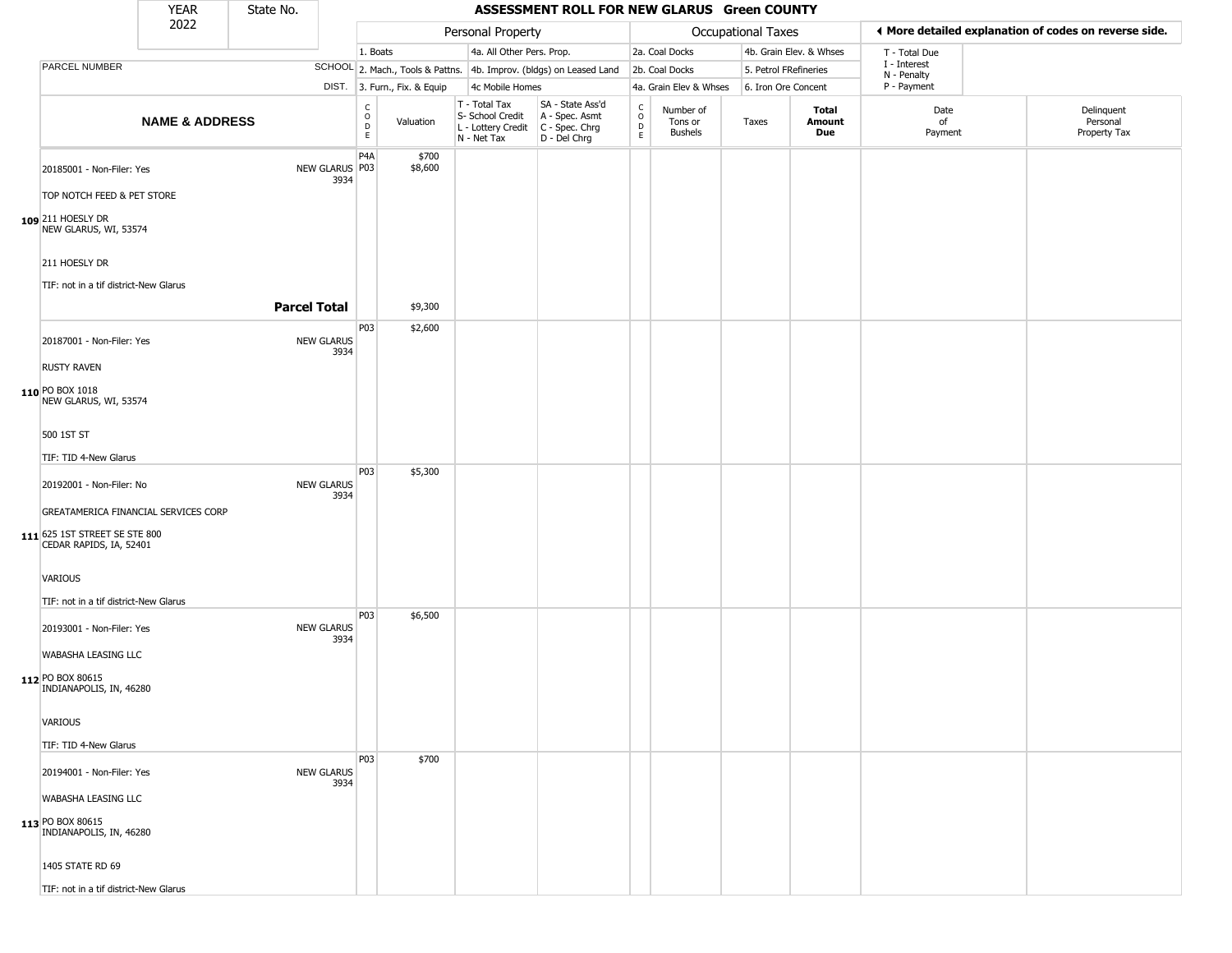|                                                          | <b>YEAR</b>               | State No.           |                           |                                                |                              |                                                  | ASSESSMENT ROLL FOR NEW GLARUS Green COUNTY                                                 |                        |                                        |                       |                         |                                                       |                                        |
|----------------------------------------------------------|---------------------------|---------------------|---------------------------|------------------------------------------------|------------------------------|--------------------------------------------------|---------------------------------------------------------------------------------------------|------------------------|----------------------------------------|-----------------------|-------------------------|-------------------------------------------------------|----------------------------------------|
|                                                          | 2022                      |                     |                           |                                                |                              | Personal Property                                |                                                                                             |                        |                                        | Occupational Taxes    |                         | ♦ More detailed explanation of codes on reverse side. |                                        |
|                                                          |                           |                     |                           | 1. Boats                                       |                              |                                                  | 4a. All Other Pers. Prop.                                                                   |                        | 2a. Coal Docks                         |                       | 4b. Grain Elev. & Whses | T - Total Due                                         |                                        |
| PARCEL NUMBER                                            |                           |                     |                           |                                                |                              |                                                  | SCHOOL 2. Mach., Tools & Pattns. 4b. Improv. (bldgs) on Leased Land                         |                        | 2b. Coal Docks                         | 5. Petrol FRefineries |                         | I - Interest<br>N - Penalty                           |                                        |
|                                                          |                           |                     |                           |                                                | DIST. 3. Furn., Fix. & Equip | 4c Mobile Homes                                  |                                                                                             |                        | 4a. Grain Elev & Whses                 | 6. Iron Ore Concent   |                         | P - Payment                                           |                                        |
|                                                          | <b>NAME &amp; ADDRESS</b> |                     |                           | $\begin{matrix} 0 \\ 0 \\ D \end{matrix}$<br>E | Valuation                    | T - Total Tax<br>S- School Credit<br>N - Net Tax | SA - State Ass'd<br>A - Spec. Asmt<br>$L$ - Lottery Credit $C$ - Spec. Chrg<br>D - Del Chrg | C<br>$\circ$<br>D<br>E | Number of<br>Tons or<br><b>Bushels</b> | Taxes                 | Total<br>Amount<br>Due  | Date<br>of<br>Payment                                 | Delinquent<br>Personal<br>Property Tax |
| 20185001 - Non-Filer: Yes                                |                           |                     | NEW GLARUS P03<br>3934    | P <sub>4</sub> A                               | \$700<br>\$8,600             |                                                  |                                                                                             |                        |                                        |                       |                         |                                                       |                                        |
| TOP NOTCH FEED & PET STORE                               |                           |                     |                           |                                                |                              |                                                  |                                                                                             |                        |                                        |                       |                         |                                                       |                                        |
| 109 211 HOESLY DR<br>NEW GLARUS, WI, 53574               |                           |                     |                           |                                                |                              |                                                  |                                                                                             |                        |                                        |                       |                         |                                                       |                                        |
| 211 HOESLY DR                                            |                           |                     |                           |                                                |                              |                                                  |                                                                                             |                        |                                        |                       |                         |                                                       |                                        |
| TIF: not in a tif district-New Glarus                    |                           |                     |                           |                                                |                              |                                                  |                                                                                             |                        |                                        |                       |                         |                                                       |                                        |
|                                                          |                           | <b>Parcel Total</b> |                           |                                                | \$9,300                      |                                                  |                                                                                             |                        |                                        |                       |                         |                                                       |                                        |
| 20187001 - Non-Filer: Yes                                |                           |                     | <b>NEW GLARUS</b><br>3934 | P03                                            | \$2,600                      |                                                  |                                                                                             |                        |                                        |                       |                         |                                                       |                                        |
| <b>RUSTY RAVEN</b>                                       |                           |                     |                           |                                                |                              |                                                  |                                                                                             |                        |                                        |                       |                         |                                                       |                                        |
| 110 PO BOX 1018<br>NEW GLARUS, WI, 53574                 |                           |                     |                           |                                                |                              |                                                  |                                                                                             |                        |                                        |                       |                         |                                                       |                                        |
| 500 1ST ST                                               |                           |                     |                           |                                                |                              |                                                  |                                                                                             |                        |                                        |                       |                         |                                                       |                                        |
| TIF: TID 4-New Glarus                                    |                           |                     |                           | P03                                            | \$5,300                      |                                                  |                                                                                             |                        |                                        |                       |                         |                                                       |                                        |
| 20192001 - Non-Filer: No                                 |                           |                     | <b>NEW GLARUS</b><br>3934 |                                                |                              |                                                  |                                                                                             |                        |                                        |                       |                         |                                                       |                                        |
| GREATAMERICA FINANCIAL SERVICES CORP                     |                           |                     |                           |                                                |                              |                                                  |                                                                                             |                        |                                        |                       |                         |                                                       |                                        |
| 111 625 1ST STREET SE STE 800<br>CEDAR RAPIDS, IA, 52401 |                           |                     |                           |                                                |                              |                                                  |                                                                                             |                        |                                        |                       |                         |                                                       |                                        |
| <b>VARIOUS</b>                                           |                           |                     |                           |                                                |                              |                                                  |                                                                                             |                        |                                        |                       |                         |                                                       |                                        |
| TIF: not in a tif district-New Glarus                    |                           |                     |                           | P03                                            | \$6,500                      |                                                  |                                                                                             |                        |                                        |                       |                         |                                                       |                                        |
| 20193001 - Non-Filer: Yes                                |                           |                     | <b>NEW GLARUS</b><br>3934 |                                                |                              |                                                  |                                                                                             |                        |                                        |                       |                         |                                                       |                                        |
| WABASHA LEASING LLC                                      |                           |                     |                           |                                                |                              |                                                  |                                                                                             |                        |                                        |                       |                         |                                                       |                                        |
| 112 PO BOX 80615<br>INDIANAPOLIS, IN, 46280              |                           |                     |                           |                                                |                              |                                                  |                                                                                             |                        |                                        |                       |                         |                                                       |                                        |
| <b>VARIOUS</b>                                           |                           |                     |                           |                                                |                              |                                                  |                                                                                             |                        |                                        |                       |                         |                                                       |                                        |
| TIF: TID 4-New Glarus                                    |                           |                     |                           |                                                |                              |                                                  |                                                                                             |                        |                                        |                       |                         |                                                       |                                        |
| 20194001 - Non-Filer: Yes                                |                           |                     | <b>NEW GLARUS</b><br>3934 | <b>P03</b>                                     | \$700                        |                                                  |                                                                                             |                        |                                        |                       |                         |                                                       |                                        |
| WABASHA LEASING LLC                                      |                           |                     |                           |                                                |                              |                                                  |                                                                                             |                        |                                        |                       |                         |                                                       |                                        |
| 113 PO BOX 80615<br>INDIANAPOLIS, IN, 46280              |                           |                     |                           |                                                |                              |                                                  |                                                                                             |                        |                                        |                       |                         |                                                       |                                        |
| 1405 STATE RD 69                                         |                           |                     |                           |                                                |                              |                                                  |                                                                                             |                        |                                        |                       |                         |                                                       |                                        |
| TIF: not in a tif district-New Glarus                    |                           |                     |                           |                                                |                              |                                                  |                                                                                             |                        |                                        |                       |                         |                                                       |                                        |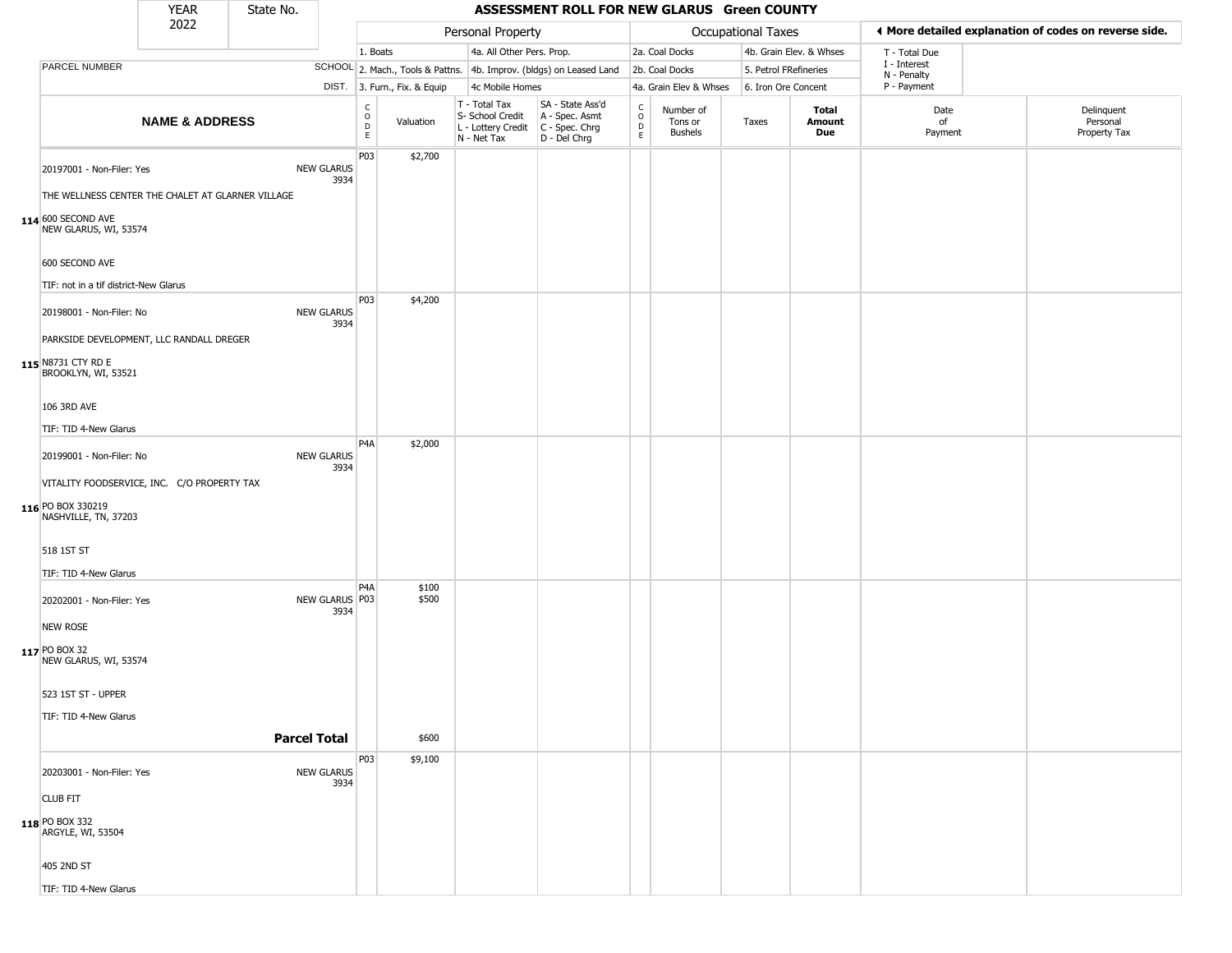|                                                                                                  | <b>YEAR</b>               | State No. |                           |                                                          |                              |                                                                        | ASSESSMENT ROLL FOR NEW GLARUS Green COUNTY                          |                                              |                                        |                       |                               |                             |                                                       |
|--------------------------------------------------------------------------------------------------|---------------------------|-----------|---------------------------|----------------------------------------------------------|------------------------------|------------------------------------------------------------------------|----------------------------------------------------------------------|----------------------------------------------|----------------------------------------|-----------------------|-------------------------------|-----------------------------|-------------------------------------------------------|
|                                                                                                  | 2022                      |           |                           |                                                          |                              | Personal Property                                                      |                                                                      |                                              |                                        | Occupational Taxes    |                               |                             | ◀ More detailed explanation of codes on reverse side. |
|                                                                                                  |                           |           |                           | 1. Boats                                                 |                              | 4a. All Other Pers. Prop.                                              |                                                                      |                                              | 2a. Coal Docks                         |                       | 4b. Grain Elev. & Whses       | T - Total Due               |                                                       |
| PARCEL NUMBER                                                                                    |                           |           |                           |                                                          |                              |                                                                        | SCHOOL 2. Mach., Tools & Pattns. 4b. Improv. (bldgs) on Leased Land  |                                              | 2b. Coal Docks                         | 5. Petrol FRefineries |                               | I - Interest<br>N - Penalty |                                                       |
|                                                                                                  |                           |           |                           |                                                          | DIST. 3. Furn., Fix. & Equip | 4c Mobile Homes                                                        |                                                                      |                                              | 4a. Grain Elev & Whses                 | 6. Iron Ore Concent   |                               | P - Payment                 |                                                       |
|                                                                                                  | <b>NAME &amp; ADDRESS</b> |           |                           | $\begin{matrix} 0 \\ 0 \\ 0 \end{matrix}$<br>$\mathsf E$ | Valuation                    | T - Total Tax<br>S- School Credit<br>L - Lottery Credit<br>N - Net Tax | SA - State Ass'd<br>A - Spec. Asmt<br>C - Spec. Chrg<br>D - Del Chrg | $\int_{0}^{c}$<br>$\mathsf D$<br>$\mathsf E$ | Number of<br>Tons or<br><b>Bushels</b> | Taxes                 | Total<br><b>Amount</b><br>Due | Date<br>of<br>Payment       | Delinquent<br>Personal<br>Property Tax                |
| 20197001 - Non-Filer: Yes                                                                        |                           |           | <b>NEW GLARUS</b><br>3934 | P03                                                      | \$2,700                      |                                                                        |                                                                      |                                              |                                        |                       |                               |                             |                                                       |
| THE WELLNESS CENTER THE CHALET AT GLARNER VILLAGE<br>114 600 SECOND AVE<br>NEW GLARUS, WI, 53574 |                           |           |                           |                                                          |                              |                                                                        |                                                                      |                                              |                                        |                       |                               |                             |                                                       |
| 600 SECOND AVE                                                                                   |                           |           |                           |                                                          |                              |                                                                        |                                                                      |                                              |                                        |                       |                               |                             |                                                       |
| TIF: not in a tif district-New Glarus                                                            |                           |           |                           |                                                          |                              |                                                                        |                                                                      |                                              |                                        |                       |                               |                             |                                                       |
| 20198001 - Non-Filer: No                                                                         |                           |           | <b>NEW GLARUS</b><br>3934 | P03                                                      | \$4,200                      |                                                                        |                                                                      |                                              |                                        |                       |                               |                             |                                                       |
| PARKSIDE DEVELOPMENT, LLC RANDALL DREGER                                                         |                           |           |                           |                                                          |                              |                                                                        |                                                                      |                                              |                                        |                       |                               |                             |                                                       |
| 115 N8731 CTY RD E<br>BROOKLYN, WI, 53521                                                        |                           |           |                           |                                                          |                              |                                                                        |                                                                      |                                              |                                        |                       |                               |                             |                                                       |
| 106 3RD AVE                                                                                      |                           |           |                           |                                                          |                              |                                                                        |                                                                      |                                              |                                        |                       |                               |                             |                                                       |
| TIF: TID 4-New Glarus                                                                            |                           |           |                           |                                                          |                              |                                                                        |                                                                      |                                              |                                        |                       |                               |                             |                                                       |
| 20199001 - Non-Filer: No                                                                         |                           |           | <b>NEW GLARUS</b><br>3934 | P <sub>4</sub> A                                         | \$2,000                      |                                                                        |                                                                      |                                              |                                        |                       |                               |                             |                                                       |
| VITALITY FOODSERVICE, INC. C/O PROPERTY TAX                                                      |                           |           |                           |                                                          |                              |                                                                        |                                                                      |                                              |                                        |                       |                               |                             |                                                       |
| 116 PO BOX 330219<br>NASHVILLE, TN, 37203                                                        |                           |           |                           |                                                          |                              |                                                                        |                                                                      |                                              |                                        |                       |                               |                             |                                                       |
| 518 1ST ST                                                                                       |                           |           |                           |                                                          |                              |                                                                        |                                                                      |                                              |                                        |                       |                               |                             |                                                       |
| TIF: TID 4-New Glarus                                                                            |                           |           |                           |                                                          |                              |                                                                        |                                                                      |                                              |                                        |                       |                               |                             |                                                       |
| 20202001 - Non-Filer: Yes                                                                        |                           |           | NEW GLARUS P03<br>3934    | P <sub>4</sub> A                                         | \$100<br>\$500               |                                                                        |                                                                      |                                              |                                        |                       |                               |                             |                                                       |
| <b>NEW ROSE</b>                                                                                  |                           |           |                           |                                                          |                              |                                                                        |                                                                      |                                              |                                        |                       |                               |                             |                                                       |
| 117 PO BOX 32<br>NEW GLARUS, WI, 53574                                                           |                           |           |                           |                                                          |                              |                                                                        |                                                                      |                                              |                                        |                       |                               |                             |                                                       |
| 523 1ST ST - UPPER                                                                               |                           |           |                           |                                                          |                              |                                                                        |                                                                      |                                              |                                        |                       |                               |                             |                                                       |
| TIF: TID 4-New Glarus                                                                            |                           |           |                           |                                                          |                              |                                                                        |                                                                      |                                              |                                        |                       |                               |                             |                                                       |
|                                                                                                  |                           |           | <b>Parcel Total</b>       |                                                          | \$600                        |                                                                        |                                                                      |                                              |                                        |                       |                               |                             |                                                       |
|                                                                                                  |                           |           |                           | P03                                                      | \$9,100                      |                                                                        |                                                                      |                                              |                                        |                       |                               |                             |                                                       |
| 20203001 - Non-Filer: Yes                                                                        |                           |           | <b>NEW GLARUS</b><br>3934 |                                                          |                              |                                                                        |                                                                      |                                              |                                        |                       |                               |                             |                                                       |
| <b>CLUB FIT</b><br>118 PO BOX 332<br>ARGYLE, WI, 53504                                           |                           |           |                           |                                                          |                              |                                                                        |                                                                      |                                              |                                        |                       |                               |                             |                                                       |
| 405 2ND ST                                                                                       |                           |           |                           |                                                          |                              |                                                                        |                                                                      |                                              |                                        |                       |                               |                             |                                                       |
| TIF: TID 4-New Glarus                                                                            |                           |           |                           |                                                          |                              |                                                                        |                                                                      |                                              |                                        |                       |                               |                             |                                                       |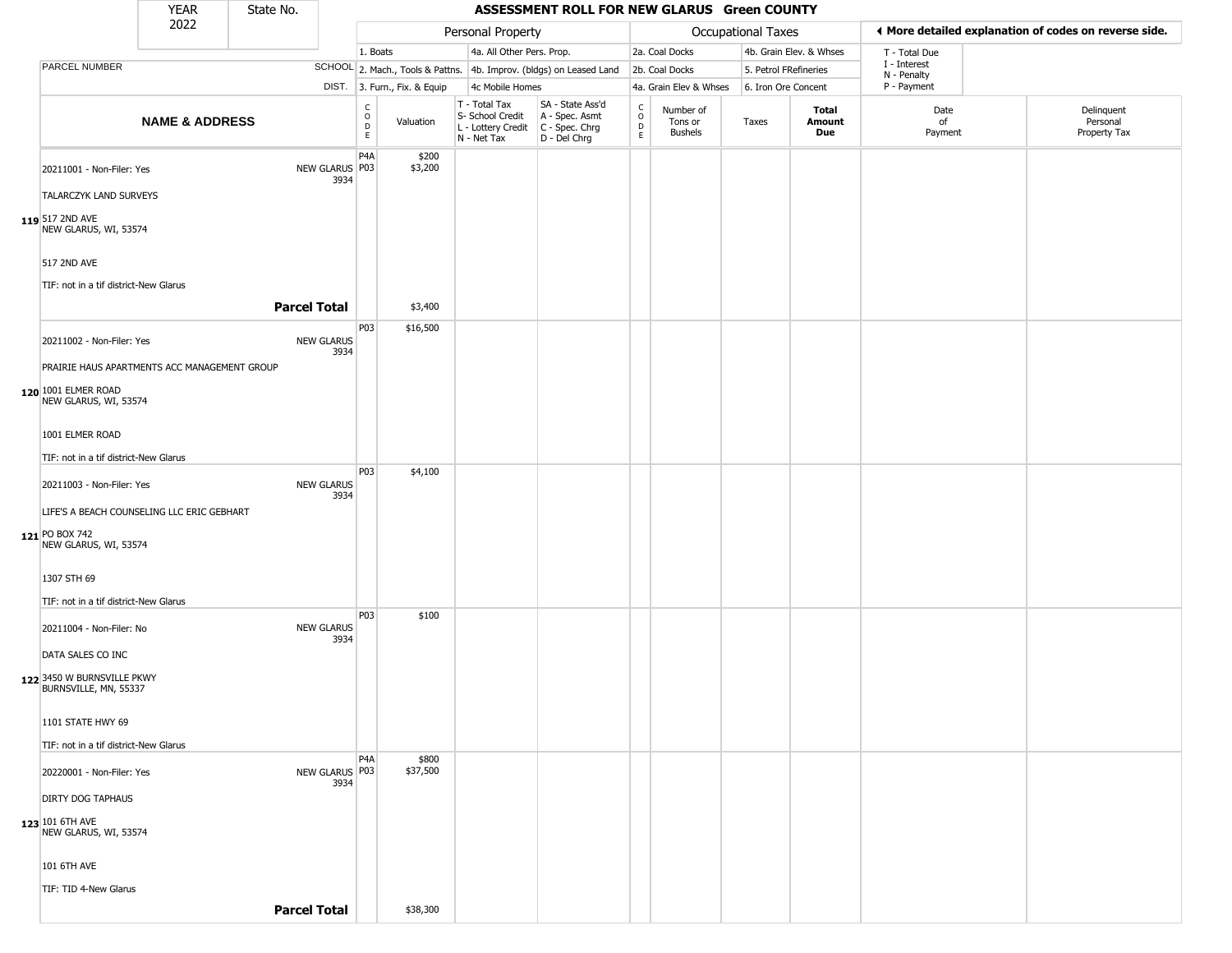| <b>YEAR</b><br>State No. |                                                                           |                           |                     |                           |                                            |                              |                                                                        | ASSESSMENT ROLL FOR NEW GLARUS Green COUNTY                          |                                                |                                 |                       |                         |                             |                                                       |
|--------------------------|---------------------------------------------------------------------------|---------------------------|---------------------|---------------------------|--------------------------------------------|------------------------------|------------------------------------------------------------------------|----------------------------------------------------------------------|------------------------------------------------|---------------------------------|-----------------------|-------------------------|-----------------------------|-------------------------------------------------------|
|                          |                                                                           | 2022                      |                     |                           |                                            |                              | Personal Property                                                      |                                                                      |                                                |                                 | Occupational Taxes    |                         |                             | ◀ More detailed explanation of codes on reverse side. |
|                          |                                                                           |                           |                     |                           | 1. Boats                                   |                              | 4a. All Other Pers. Prop.                                              |                                                                      |                                                | 2a. Coal Docks                  |                       | 4b. Grain Elev. & Whses | T - Total Due               |                                                       |
|                          | PARCEL NUMBER                                                             |                           |                     |                           |                                            |                              |                                                                        | SCHOOL 2. Mach., Tools & Pattns. 4b. Improv. (bldgs) on Leased Land  |                                                | 2b. Coal Docks                  | 5. Petrol FRefineries |                         | I - Interest<br>N - Penalty |                                                       |
|                          |                                                                           |                           |                     |                           |                                            | DIST. 3. Furn., Fix. & Equip | 4c Mobile Homes                                                        |                                                                      |                                                | 4a. Grain Elev & Whses          | 6. Iron Ore Concent   |                         | P - Payment                 |                                                       |
|                          |                                                                           | <b>NAME &amp; ADDRESS</b> |                     |                           | C<br>$\circ$<br>$\mathsf D$<br>$\mathsf E$ | Valuation                    | T - Total Tax<br>S- School Credit<br>L - Lottery Credit<br>N - Net Tax | SA - State Ass'd<br>A - Spec. Asmt<br>C - Spec. Chrg<br>D - Del Chrg | $\begin{matrix} 0 \\ 0 \\ D \end{matrix}$<br>E | Number of<br>Tons or<br>Bushels | Taxes                 | Total<br>Amount<br>Due  | Date<br>of<br>Payment       | Delinquent<br>Personal<br>Property Tax                |
|                          | 20211001 - Non-Filer: Yes<br><b>TALARCZYK LAND SURVEYS</b>                |                           |                     | NEW GLARUS P03<br>3934    | P4A                                        | \$200<br>\$3,200             |                                                                        |                                                                      |                                                |                                 |                       |                         |                             |                                                       |
|                          | 119 517 2ND AVE<br>NEW GLARUS, WI, 53574                                  |                           |                     |                           |                                            |                              |                                                                        |                                                                      |                                                |                                 |                       |                         |                             |                                                       |
|                          | 517 2ND AVE<br>TIF: not in a tif district-New Glarus                      |                           |                     |                           |                                            |                              |                                                                        |                                                                      |                                                |                                 |                       |                         |                             |                                                       |
|                          |                                                                           |                           | <b>Parcel Total</b> |                           |                                            | \$3,400                      |                                                                        |                                                                      |                                                |                                 |                       |                         |                             |                                                       |
|                          | 20211002 - Non-Filer: Yes<br>PRAIRIE HAUS APARTMENTS ACC MANAGEMENT GROUP |                           |                     | <b>NEW GLARUS</b><br>3934 | P03                                        | \$16,500                     |                                                                        |                                                                      |                                                |                                 |                       |                         |                             |                                                       |
|                          | 120 1001 ELMER ROAD<br>NEW GLARUS, WI, 53574                              |                           |                     |                           |                                            |                              |                                                                        |                                                                      |                                                |                                 |                       |                         |                             |                                                       |
|                          | 1001 ELMER ROAD                                                           |                           |                     |                           |                                            |                              |                                                                        |                                                                      |                                                |                                 |                       |                         |                             |                                                       |
|                          | TIF: not in a tif district-New Glarus<br>20211003 - Non-Filer: Yes        |                           |                     | <b>NEW GLARUS</b>         | P03                                        | \$4,100                      |                                                                        |                                                                      |                                                |                                 |                       |                         |                             |                                                       |
|                          | LIFE'S A BEACH COUNSELING LLC ERIC GEBHART                                |                           |                     | 3934                      |                                            |                              |                                                                        |                                                                      |                                                |                                 |                       |                         |                             |                                                       |
|                          | 121 PO BOX 742<br>NEW GLARUS, WI, 53574                                   |                           |                     |                           |                                            |                              |                                                                        |                                                                      |                                                |                                 |                       |                         |                             |                                                       |
|                          | 1307 STH 69<br>TIF: not in a tif district-New Glarus                      |                           |                     |                           |                                            |                              |                                                                        |                                                                      |                                                |                                 |                       |                         |                             |                                                       |
|                          | 20211004 - Non-Filer: No                                                  |                           |                     | <b>NEW GLARUS</b><br>3934 | P03                                        | \$100                        |                                                                        |                                                                      |                                                |                                 |                       |                         |                             |                                                       |
|                          | DATA SALES CO INC<br>122 3450 W BURNSVILLE PKWY                           |                           |                     |                           |                                            |                              |                                                                        |                                                                      |                                                |                                 |                       |                         |                             |                                                       |
|                          | BURNSVILLE, MN, 55337<br>1101 STATE HWY 69                                |                           |                     |                           |                                            |                              |                                                                        |                                                                      |                                                |                                 |                       |                         |                             |                                                       |
|                          | TIF: not in a tif district-New Glarus                                     |                           |                     |                           |                                            |                              |                                                                        |                                                                      |                                                |                                 |                       |                         |                             |                                                       |
|                          | 20220001 - Non-Filer: Yes                                                 |                           |                     | NEW GLARUS P03<br>3934    | P <sub>4</sub> A                           | \$800<br>\$37,500            |                                                                        |                                                                      |                                                |                                 |                       |                         |                             |                                                       |
|                          | <b>DIRTY DOG TAPHAUS</b><br>123 101 6TH AVE                               |                           |                     |                           |                                            |                              |                                                                        |                                                                      |                                                |                                 |                       |                         |                             |                                                       |
|                          | NEW GLARUS, WI, 53574                                                     |                           |                     |                           |                                            |                              |                                                                        |                                                                      |                                                |                                 |                       |                         |                             |                                                       |
|                          | 101 6TH AVE<br>TIF: TID 4-New Glarus                                      |                           |                     |                           |                                            |                              |                                                                        |                                                                      |                                                |                                 |                       |                         |                             |                                                       |
|                          |                                                                           |                           | <b>Parcel Total</b> |                           |                                            | \$38,300                     |                                                                        |                                                                      |                                                |                                 |                       |                         |                             |                                                       |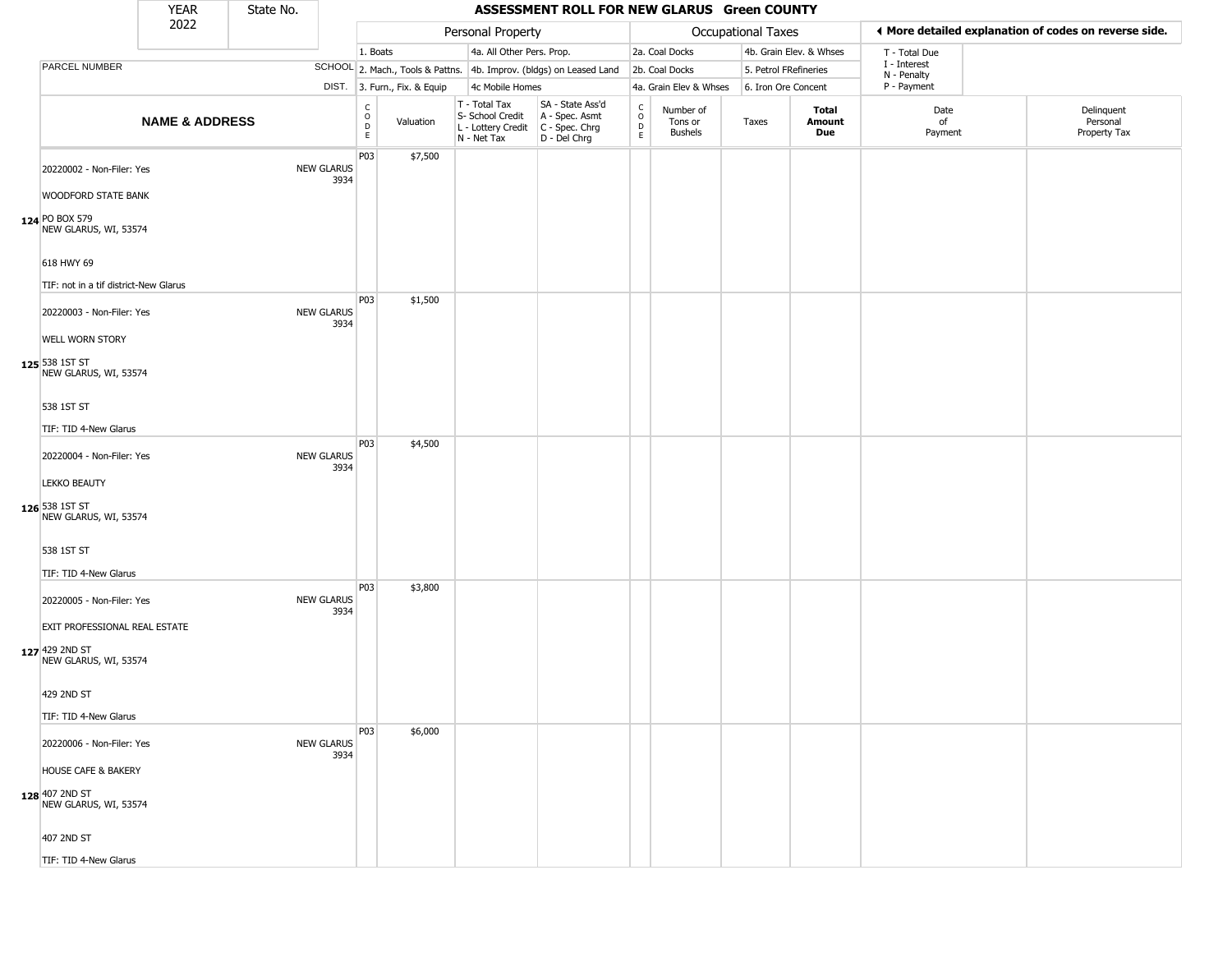|                                                                          | <b>YEAR</b>               | State No. |                           |                                                          |                              |                                                                                         | ASSESSMENT ROLL FOR NEW GLARUS Green COUNTY                         |                                   |                                 |                       |                         |                             |                                                       |
|--------------------------------------------------------------------------|---------------------------|-----------|---------------------------|----------------------------------------------------------|------------------------------|-----------------------------------------------------------------------------------------|---------------------------------------------------------------------|-----------------------------------|---------------------------------|-----------------------|-------------------------|-----------------------------|-------------------------------------------------------|
|                                                                          | 2022                      |           |                           |                                                          |                              | Personal Property                                                                       |                                                                     |                                   |                                 | Occupational Taxes    |                         |                             | ◀ More detailed explanation of codes on reverse side. |
|                                                                          |                           |           |                           | 1. Boats                                                 |                              | 4a. All Other Pers. Prop.                                                               |                                                                     |                                   | 2a. Coal Docks                  |                       | 4b. Grain Elev. & Whses | T - Total Due               |                                                       |
| PARCEL NUMBER                                                            |                           |           |                           |                                                          |                              |                                                                                         | SCHOOL 2. Mach., Tools & Pattns. 4b. Improv. (bldgs) on Leased Land |                                   | 2b. Coal Docks                  | 5. Petrol FRefineries |                         | I - Interest<br>N - Penalty |                                                       |
|                                                                          |                           |           |                           |                                                          | DIST. 3. Furn., Fix. & Equip | 4c Mobile Homes                                                                         |                                                                     |                                   | 4a. Grain Elev & Whses          | 6. Iron Ore Concent   |                         | P - Payment                 |                                                       |
|                                                                          | <b>NAME &amp; ADDRESS</b> |           |                           | $\begin{matrix} 0 \\ 0 \\ D \end{matrix}$<br>$\mathsf E$ | Valuation                    | T - Total Tax<br>S- School Credit<br>L - Lottery Credit   C - Spec. Chrg<br>N - Net Tax | SA - State Ass'd<br>A - Spec. Asmt<br>D - Del Chrg                  | $\mathsf{C}$<br>$\circ$<br>D<br>E | Number of<br>Tons or<br>Bushels | Taxes                 | Total<br>Amount<br>Due  | Date<br>of<br>Payment       | Delinquent<br>Personal<br>Property Tax                |
| 20220002 - Non-Filer: Yes<br><b>WOODFORD STATE BANK</b>                  |                           |           | <b>NEW GLARUS</b><br>3934 | P03                                                      | \$7,500                      |                                                                                         |                                                                     |                                   |                                 |                       |                         |                             |                                                       |
| 124 PO BOX 579<br>NEW GLARUS, WI, 53574                                  |                           |           |                           |                                                          |                              |                                                                                         |                                                                     |                                   |                                 |                       |                         |                             |                                                       |
| 618 HWY 69<br>TIF: not in a tif district-New Glarus                      |                           |           |                           |                                                          |                              |                                                                                         |                                                                     |                                   |                                 |                       |                         |                             |                                                       |
| 20220003 - Non-Filer: Yes<br><b>WELL WORN STORY</b>                      |                           |           | <b>NEW GLARUS</b><br>3934 | P03                                                      | \$1,500                      |                                                                                         |                                                                     |                                   |                                 |                       |                         |                             |                                                       |
| 125 538 1ST ST<br>NEW GLARUS, WI, 53574                                  |                           |           |                           |                                                          |                              |                                                                                         |                                                                     |                                   |                                 |                       |                         |                             |                                                       |
| 538 1ST ST<br>TIF: TID 4-New Glarus                                      |                           |           |                           |                                                          |                              |                                                                                         |                                                                     |                                   |                                 |                       |                         |                             |                                                       |
| 20220004 - Non-Filer: Yes                                                |                           |           | <b>NEW GLARUS</b><br>3934 | P03                                                      | \$4,500                      |                                                                                         |                                                                     |                                   |                                 |                       |                         |                             |                                                       |
| <b>LEKKO BEAUTY</b><br>126 538 1ST ST<br>NEW GLARUS, WI, 53574           |                           |           |                           |                                                          |                              |                                                                                         |                                                                     |                                   |                                 |                       |                         |                             |                                                       |
| 538 1ST ST<br>TIF: TID 4-New Glarus                                      |                           |           |                           |                                                          |                              |                                                                                         |                                                                     |                                   |                                 |                       |                         |                             |                                                       |
| 20220005 - Non-Filer: Yes                                                |                           |           | <b>NEW GLARUS</b><br>3934 | P03                                                      | \$3,800                      |                                                                                         |                                                                     |                                   |                                 |                       |                         |                             |                                                       |
| EXIT PROFESSIONAL REAL ESTATE<br>127 429 2ND ST<br>NEW GLARUS, WI, 53574 |                           |           |                           |                                                          |                              |                                                                                         |                                                                     |                                   |                                 |                       |                         |                             |                                                       |
| 429 2ND ST<br>TIF: TID 4-New Glarus                                      |                           |           |                           |                                                          |                              |                                                                                         |                                                                     |                                   |                                 |                       |                         |                             |                                                       |
| 20220006 - Non-Filer: Yes                                                |                           |           | <b>NEW GLARUS</b><br>3934 | P03                                                      | \$6,000                      |                                                                                         |                                                                     |                                   |                                 |                       |                         |                             |                                                       |
| <b>HOUSE CAFE &amp; BAKERY</b><br>128 407 2ND ST                         |                           |           |                           |                                                          |                              |                                                                                         |                                                                     |                                   |                                 |                       |                         |                             |                                                       |
| NEW GLARUS, WI, 53574<br>407 2ND ST                                      |                           |           |                           |                                                          |                              |                                                                                         |                                                                     |                                   |                                 |                       |                         |                             |                                                       |
| TIF: TID 4-New Glarus                                                    |                           |           |                           |                                                          |                              |                                                                                         |                                                                     |                                   |                                 |                       |                         |                             |                                                       |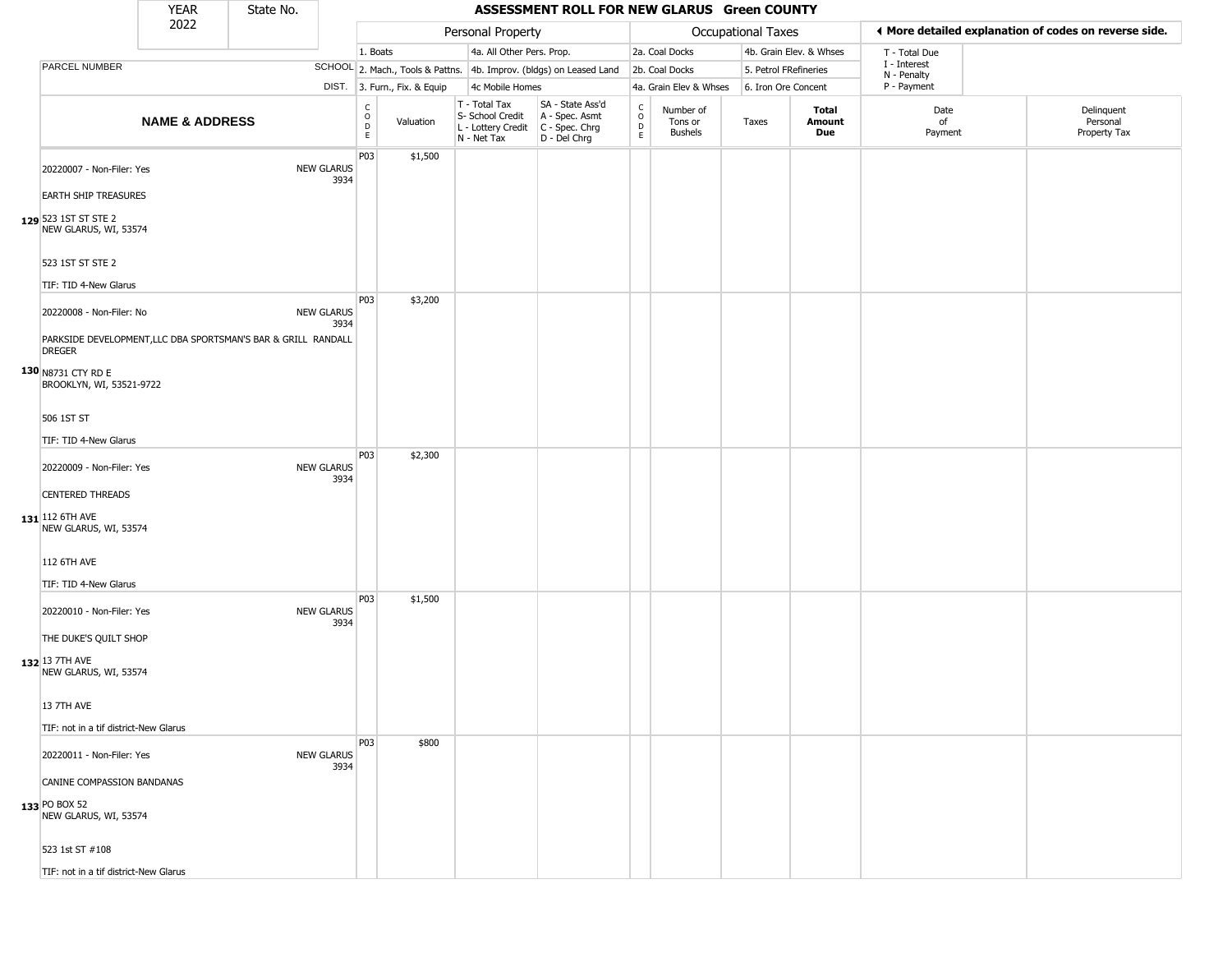|                                                                                                            | <b>YEAR</b>               | State No. |                           |                              |                              |                                                                        | ASSESSMENT ROLL FOR NEW GLARUS Green COUNTY                            |                                                  |                                        |                       |                         |                             |                                                       |
|------------------------------------------------------------------------------------------------------------|---------------------------|-----------|---------------------------|------------------------------|------------------------------|------------------------------------------------------------------------|------------------------------------------------------------------------|--------------------------------------------------|----------------------------------------|-----------------------|-------------------------|-----------------------------|-------------------------------------------------------|
|                                                                                                            | 2022                      |           |                           |                              |                              | Personal Property                                                      |                                                                        |                                                  |                                        | Occupational Taxes    |                         |                             | ◀ More detailed explanation of codes on reverse side. |
|                                                                                                            |                           |           |                           | 1. Boats                     |                              | 4a. All Other Pers. Prop.                                              |                                                                        |                                                  | 2a. Coal Docks                         |                       | 4b. Grain Elev. & Whses | T - Total Due               |                                                       |
| PARCEL NUMBER                                                                                              |                           |           |                           |                              |                              |                                                                        | SCHOOL 2. Mach., Tools & Pattns. 4b. Improv. (bldgs) on Leased Land    |                                                  | 2b. Coal Docks                         | 5. Petrol FRefineries |                         | I - Interest<br>N - Penalty |                                                       |
|                                                                                                            |                           |           |                           |                              | DIST. 3. Furn., Fix. & Equip | 4c Mobile Homes                                                        |                                                                        |                                                  | 4a. Grain Elev & Whses                 | 6. Iron Ore Concent   |                         | P - Payment                 |                                                       |
|                                                                                                            | <b>NAME &amp; ADDRESS</b> |           |                           | $_{\rm o}^{\rm c}$<br>D<br>E | Valuation                    | T - Total Tax<br>S- School Credit<br>L - Lottery Credit<br>N - Net Tax | SA - State Ass'd<br>A - Spec. Asmt<br>$C - Spec. Chrg$<br>D - Del Chrg | $_{\rm o}^{\rm c}$<br>$\mathsf D$<br>$\mathsf E$ | Number of<br>Tons or<br><b>Bushels</b> | Taxes                 | Total<br>Amount<br>Due  | Date<br>of<br>Payment       | Delinquent<br>Personal<br>Property Tax                |
| 20220007 - Non-Filer: Yes<br><b>EARTH SHIP TREASURES</b><br>129 523 1ST ST STE 2<br>NEW GLARUS, WI, 53574  |                           |           | <b>NEW GLARUS</b><br>3934 | P03                          | \$1,500                      |                                                                        |                                                                        |                                                  |                                        |                       |                         |                             |                                                       |
| 523 1ST ST STE 2<br>TIF: TID 4-New Glarus                                                                  |                           |           |                           |                              |                              |                                                                        |                                                                        |                                                  |                                        |                       |                         |                             |                                                       |
| 20220008 - Non-Filer: No<br>PARKSIDE DEVELOPMENT, LLC DBA SPORTSMAN'S BAR & GRILL RANDALL<br><b>DREGER</b> |                           |           | <b>NEW GLARUS</b><br>3934 | P03                          | \$3,200                      |                                                                        |                                                                        |                                                  |                                        |                       |                         |                             |                                                       |
| 130 N8731 CTY RD E<br>BROOKLYN, WI, 53521-9722                                                             |                           |           |                           |                              |                              |                                                                        |                                                                        |                                                  |                                        |                       |                         |                             |                                                       |
| 506 1ST ST                                                                                                 |                           |           |                           |                              |                              |                                                                        |                                                                        |                                                  |                                        |                       |                         |                             |                                                       |
| TIF: TID 4-New Glarus                                                                                      |                           |           |                           |                              |                              |                                                                        |                                                                        |                                                  |                                        |                       |                         |                             |                                                       |
| 20220009 - Non-Filer: Yes<br><b>CENTERED THREADS</b><br>131 12 6TH AVE                                     |                           |           | <b>NEW GLARUS</b><br>3934 | P03                          | \$2,300                      |                                                                        |                                                                        |                                                  |                                        |                       |                         |                             |                                                       |
| NEW GLARUS, WI, 53574<br>112 6TH AVE<br>TIF: TID 4-New Glarus                                              |                           |           |                           |                              |                              |                                                                        |                                                                        |                                                  |                                        |                       |                         |                             |                                                       |
| 20220010 - Non-Filer: Yes<br>THE DUKE'S QUILT SHOP<br>132 13 7TH AVE<br>NEW GLARUS, WI, 53574              |                           |           | <b>NEW GLARUS</b><br>3934 | P03                          | \$1,500                      |                                                                        |                                                                        |                                                  |                                        |                       |                         |                             |                                                       |
| 13 7TH AVE<br>TIF: not in a tif district-New Glarus                                                        |                           |           |                           |                              |                              |                                                                        |                                                                        |                                                  |                                        |                       |                         |                             |                                                       |
| 20220011 - Non-Filer: Yes<br>CANINE COMPASSION BANDANAS<br>133 PO BOX 52<br>NEW GLARUS, WI, 53574          |                           |           | <b>NEW GLARUS</b><br>3934 | P03                          | \$800                        |                                                                        |                                                                        |                                                  |                                        |                       |                         |                             |                                                       |
| 523 1st ST #108<br>TIF: not in a tif district-New Glarus                                                   |                           |           |                           |                              |                              |                                                                        |                                                                        |                                                  |                                        |                       |                         |                             |                                                       |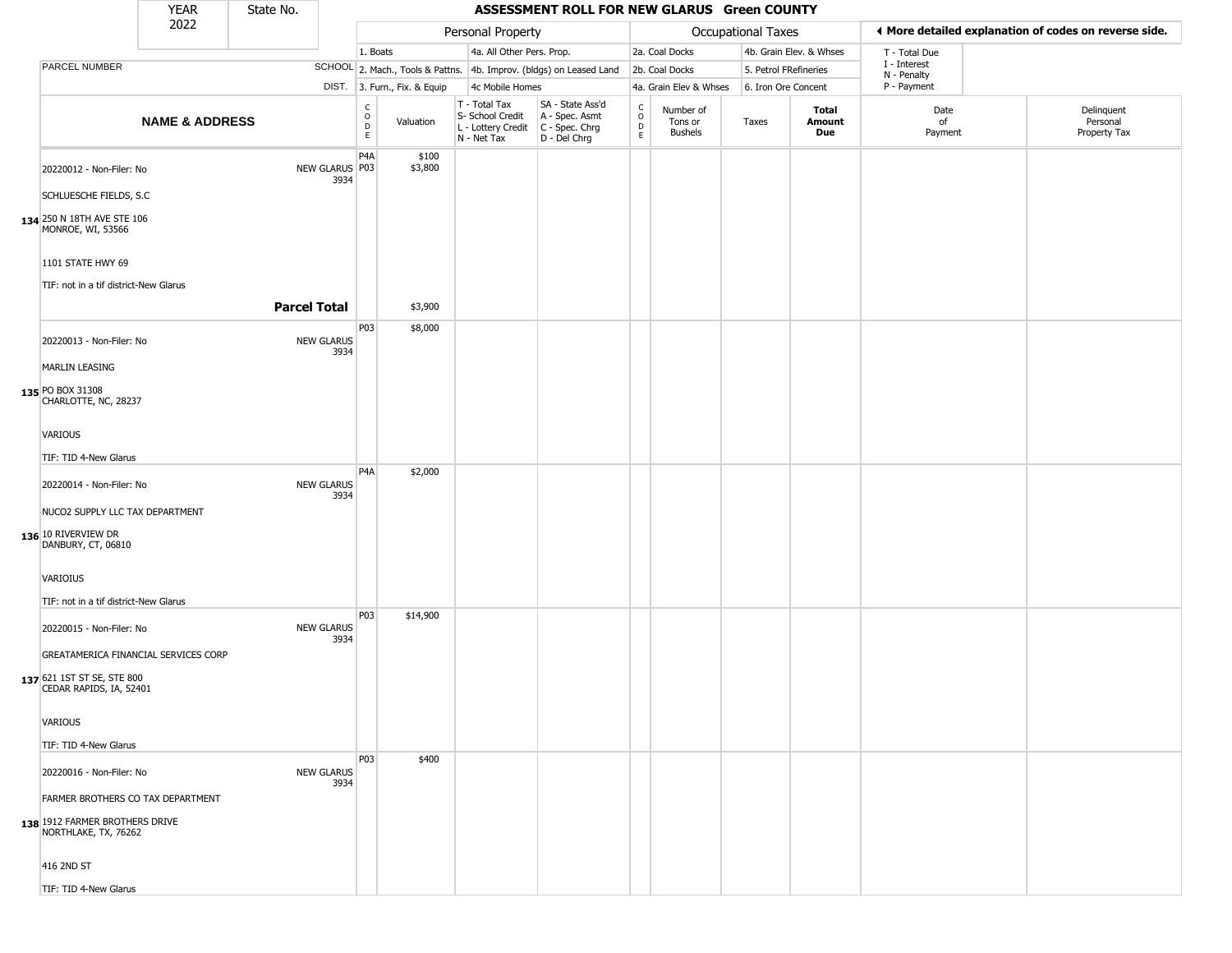| 2022<br>◀ More detailed explanation of codes on reverse side.<br>Personal Property<br>Occupational Taxes<br>4a. All Other Pers. Prop.<br>4b. Grain Elev. & Whses<br>1. Boats<br>2a. Coal Docks<br>T - Total Due<br>I - Interest<br>PARCEL NUMBER<br>SCHOOL 2. Mach., Tools & Pattns. 4b. Improv. (bldgs) on Leased Land<br>2b. Coal Docks<br>5. Petrol FRefineries<br>N - Penalty<br>P - Payment<br>DIST. 3. Furn., Fix. & Equip<br>4c Mobile Homes<br>4a. Grain Elev & Whses<br>6. Iron Ore Concent<br>T - Total Tax<br>SA - State Ass'd<br>C<br>$\int_{0}^{c}$<br>Delinquent<br>Total<br>Date<br>Number of<br>$\circ$<br>A - Spec. Asmt<br>S- School Credit<br><b>NAME &amp; ADDRESS</b><br>Personal<br>Valuation<br>Taxes<br>Amount<br>of<br>Tons or<br>$\mathsf D$<br>$\mathsf D$<br>L - Lottery Credit<br>C - Spec. Chrg<br><b>Bushels</b><br>Due<br>Payment<br>Property Tax<br>$\mathsf E$<br>$\mathsf E$<br>D - Del Chrg<br>N - Net Tax<br>P4A<br>\$100<br>\$3,800<br>NEW GLARUS P03<br>20220012 - Non-Filer: No<br>3934<br>SCHLUESCHE FIELDS, S.C.<br>134 250 N 18TH AVE STE 106<br>MONROE, WI, 53566<br>1101 STATE HWY 69<br>TIF: not in a tif district-New Glarus<br><b>Parcel Total</b><br>\$3,900<br>P03<br>\$8,000<br>20220013 - Non-Filer: No<br><b>NEW GLARUS</b><br>3934<br><b>MARLIN LEASING</b><br>135 PO BOX 31308<br>CHARLOTTE, NC, 28237<br>VARIOUS<br>TIF: TID 4-New Glarus<br>P4A<br>\$2,000<br><b>NEW GLARUS</b><br>20220014 - Non-Filer: No<br>3934<br>NUCO2 SUPPLY LLC TAX DEPARTMENT<br>136 10 RIVERVIEW DR<br>DANBURY, CT, 06810<br>VARIOIUS<br>TIF: not in a tif district-New Glarus<br>P03<br>\$14,900<br><b>NEW GLARUS</b><br>20220015 - Non-Filer: No<br>3934<br>GREATAMERICA FINANCIAL SERVICES CORP<br>137 621 1ST ST SE, STE 800<br>CEDAR RAPIDS, IA, 52401<br>VARIOUS<br>TIF: TID 4-New Glarus<br>P03<br>\$400<br><b>NEW GLARUS</b><br>20220016 - Non-Filer: No<br>3934<br>FARMER BROTHERS CO TAX DEPARTMENT<br>138 1912 FARMER BROTHERS DRIVE<br>NORTHLAKE, TX, 76262<br>416 2ND ST |                       | <b>YEAR</b> | State No. |  |  | ASSESSMENT ROLL FOR NEW GLARUS Green COUNTY |  |  |  |  |
|--------------------------------------------------------------------------------------------------------------------------------------------------------------------------------------------------------------------------------------------------------------------------------------------------------------------------------------------------------------------------------------------------------------------------------------------------------------------------------------------------------------------------------------------------------------------------------------------------------------------------------------------------------------------------------------------------------------------------------------------------------------------------------------------------------------------------------------------------------------------------------------------------------------------------------------------------------------------------------------------------------------------------------------------------------------------------------------------------------------------------------------------------------------------------------------------------------------------------------------------------------------------------------------------------------------------------------------------------------------------------------------------------------------------------------------------------------------------------------------------------------------------------------------------------------------------------------------------------------------------------------------------------------------------------------------------------------------------------------------------------------------------------------------------------------------------------------------------------------------------------------------------------------------------------------------------------------------------------------------------------------------------------|-----------------------|-------------|-----------|--|--|---------------------------------------------|--|--|--|--|
|                                                                                                                                                                                                                                                                                                                                                                                                                                                                                                                                                                                                                                                                                                                                                                                                                                                                                                                                                                                                                                                                                                                                                                                                                                                                                                                                                                                                                                                                                                                                                                                                                                                                                                                                                                                                                                                                                                                                                                                                                          |                       |             |           |  |  |                                             |  |  |  |  |
|                                                                                                                                                                                                                                                                                                                                                                                                                                                                                                                                                                                                                                                                                                                                                                                                                                                                                                                                                                                                                                                                                                                                                                                                                                                                                                                                                                                                                                                                                                                                                                                                                                                                                                                                                                                                                                                                                                                                                                                                                          |                       |             |           |  |  |                                             |  |  |  |  |
|                                                                                                                                                                                                                                                                                                                                                                                                                                                                                                                                                                                                                                                                                                                                                                                                                                                                                                                                                                                                                                                                                                                                                                                                                                                                                                                                                                                                                                                                                                                                                                                                                                                                                                                                                                                                                                                                                                                                                                                                                          |                       |             |           |  |  |                                             |  |  |  |  |
|                                                                                                                                                                                                                                                                                                                                                                                                                                                                                                                                                                                                                                                                                                                                                                                                                                                                                                                                                                                                                                                                                                                                                                                                                                                                                                                                                                                                                                                                                                                                                                                                                                                                                                                                                                                                                                                                                                                                                                                                                          |                       |             |           |  |  |                                             |  |  |  |  |
|                                                                                                                                                                                                                                                                                                                                                                                                                                                                                                                                                                                                                                                                                                                                                                                                                                                                                                                                                                                                                                                                                                                                                                                                                                                                                                                                                                                                                                                                                                                                                                                                                                                                                                                                                                                                                                                                                                                                                                                                                          |                       |             |           |  |  |                                             |  |  |  |  |
|                                                                                                                                                                                                                                                                                                                                                                                                                                                                                                                                                                                                                                                                                                                                                                                                                                                                                                                                                                                                                                                                                                                                                                                                                                                                                                                                                                                                                                                                                                                                                                                                                                                                                                                                                                                                                                                                                                                                                                                                                          |                       |             |           |  |  |                                             |  |  |  |  |
|                                                                                                                                                                                                                                                                                                                                                                                                                                                                                                                                                                                                                                                                                                                                                                                                                                                                                                                                                                                                                                                                                                                                                                                                                                                                                                                                                                                                                                                                                                                                                                                                                                                                                                                                                                                                                                                                                                                                                                                                                          |                       |             |           |  |  |                                             |  |  |  |  |
|                                                                                                                                                                                                                                                                                                                                                                                                                                                                                                                                                                                                                                                                                                                                                                                                                                                                                                                                                                                                                                                                                                                                                                                                                                                                                                                                                                                                                                                                                                                                                                                                                                                                                                                                                                                                                                                                                                                                                                                                                          |                       |             |           |  |  |                                             |  |  |  |  |
|                                                                                                                                                                                                                                                                                                                                                                                                                                                                                                                                                                                                                                                                                                                                                                                                                                                                                                                                                                                                                                                                                                                                                                                                                                                                                                                                                                                                                                                                                                                                                                                                                                                                                                                                                                                                                                                                                                                                                                                                                          |                       |             |           |  |  |                                             |  |  |  |  |
|                                                                                                                                                                                                                                                                                                                                                                                                                                                                                                                                                                                                                                                                                                                                                                                                                                                                                                                                                                                                                                                                                                                                                                                                                                                                                                                                                                                                                                                                                                                                                                                                                                                                                                                                                                                                                                                                                                                                                                                                                          |                       |             |           |  |  |                                             |  |  |  |  |
|                                                                                                                                                                                                                                                                                                                                                                                                                                                                                                                                                                                                                                                                                                                                                                                                                                                                                                                                                                                                                                                                                                                                                                                                                                                                                                                                                                                                                                                                                                                                                                                                                                                                                                                                                                                                                                                                                                                                                                                                                          |                       |             |           |  |  |                                             |  |  |  |  |
|                                                                                                                                                                                                                                                                                                                                                                                                                                                                                                                                                                                                                                                                                                                                                                                                                                                                                                                                                                                                                                                                                                                                                                                                                                                                                                                                                                                                                                                                                                                                                                                                                                                                                                                                                                                                                                                                                                                                                                                                                          |                       |             |           |  |  |                                             |  |  |  |  |
|                                                                                                                                                                                                                                                                                                                                                                                                                                                                                                                                                                                                                                                                                                                                                                                                                                                                                                                                                                                                                                                                                                                                                                                                                                                                                                                                                                                                                                                                                                                                                                                                                                                                                                                                                                                                                                                                                                                                                                                                                          |                       |             |           |  |  |                                             |  |  |  |  |
|                                                                                                                                                                                                                                                                                                                                                                                                                                                                                                                                                                                                                                                                                                                                                                                                                                                                                                                                                                                                                                                                                                                                                                                                                                                                                                                                                                                                                                                                                                                                                                                                                                                                                                                                                                                                                                                                                                                                                                                                                          |                       |             |           |  |  |                                             |  |  |  |  |
|                                                                                                                                                                                                                                                                                                                                                                                                                                                                                                                                                                                                                                                                                                                                                                                                                                                                                                                                                                                                                                                                                                                                                                                                                                                                                                                                                                                                                                                                                                                                                                                                                                                                                                                                                                                                                                                                                                                                                                                                                          |                       |             |           |  |  |                                             |  |  |  |  |
|                                                                                                                                                                                                                                                                                                                                                                                                                                                                                                                                                                                                                                                                                                                                                                                                                                                                                                                                                                                                                                                                                                                                                                                                                                                                                                                                                                                                                                                                                                                                                                                                                                                                                                                                                                                                                                                                                                                                                                                                                          |                       |             |           |  |  |                                             |  |  |  |  |
|                                                                                                                                                                                                                                                                                                                                                                                                                                                                                                                                                                                                                                                                                                                                                                                                                                                                                                                                                                                                                                                                                                                                                                                                                                                                                                                                                                                                                                                                                                                                                                                                                                                                                                                                                                                                                                                                                                                                                                                                                          |                       |             |           |  |  |                                             |  |  |  |  |
|                                                                                                                                                                                                                                                                                                                                                                                                                                                                                                                                                                                                                                                                                                                                                                                                                                                                                                                                                                                                                                                                                                                                                                                                                                                                                                                                                                                                                                                                                                                                                                                                                                                                                                                                                                                                                                                                                                                                                                                                                          |                       |             |           |  |  |                                             |  |  |  |  |
|                                                                                                                                                                                                                                                                                                                                                                                                                                                                                                                                                                                                                                                                                                                                                                                                                                                                                                                                                                                                                                                                                                                                                                                                                                                                                                                                                                                                                                                                                                                                                                                                                                                                                                                                                                                                                                                                                                                                                                                                                          |                       |             |           |  |  |                                             |  |  |  |  |
|                                                                                                                                                                                                                                                                                                                                                                                                                                                                                                                                                                                                                                                                                                                                                                                                                                                                                                                                                                                                                                                                                                                                                                                                                                                                                                                                                                                                                                                                                                                                                                                                                                                                                                                                                                                                                                                                                                                                                                                                                          |                       |             |           |  |  |                                             |  |  |  |  |
|                                                                                                                                                                                                                                                                                                                                                                                                                                                                                                                                                                                                                                                                                                                                                                                                                                                                                                                                                                                                                                                                                                                                                                                                                                                                                                                                                                                                                                                                                                                                                                                                                                                                                                                                                                                                                                                                                                                                                                                                                          |                       |             |           |  |  |                                             |  |  |  |  |
|                                                                                                                                                                                                                                                                                                                                                                                                                                                                                                                                                                                                                                                                                                                                                                                                                                                                                                                                                                                                                                                                                                                                                                                                                                                                                                                                                                                                                                                                                                                                                                                                                                                                                                                                                                                                                                                                                                                                                                                                                          |                       |             |           |  |  |                                             |  |  |  |  |
|                                                                                                                                                                                                                                                                                                                                                                                                                                                                                                                                                                                                                                                                                                                                                                                                                                                                                                                                                                                                                                                                                                                                                                                                                                                                                                                                                                                                                                                                                                                                                                                                                                                                                                                                                                                                                                                                                                                                                                                                                          |                       |             |           |  |  |                                             |  |  |  |  |
|                                                                                                                                                                                                                                                                                                                                                                                                                                                                                                                                                                                                                                                                                                                                                                                                                                                                                                                                                                                                                                                                                                                                                                                                                                                                                                                                                                                                                                                                                                                                                                                                                                                                                                                                                                                                                                                                                                                                                                                                                          | TIF: TID 4-New Glarus |             |           |  |  |                                             |  |  |  |  |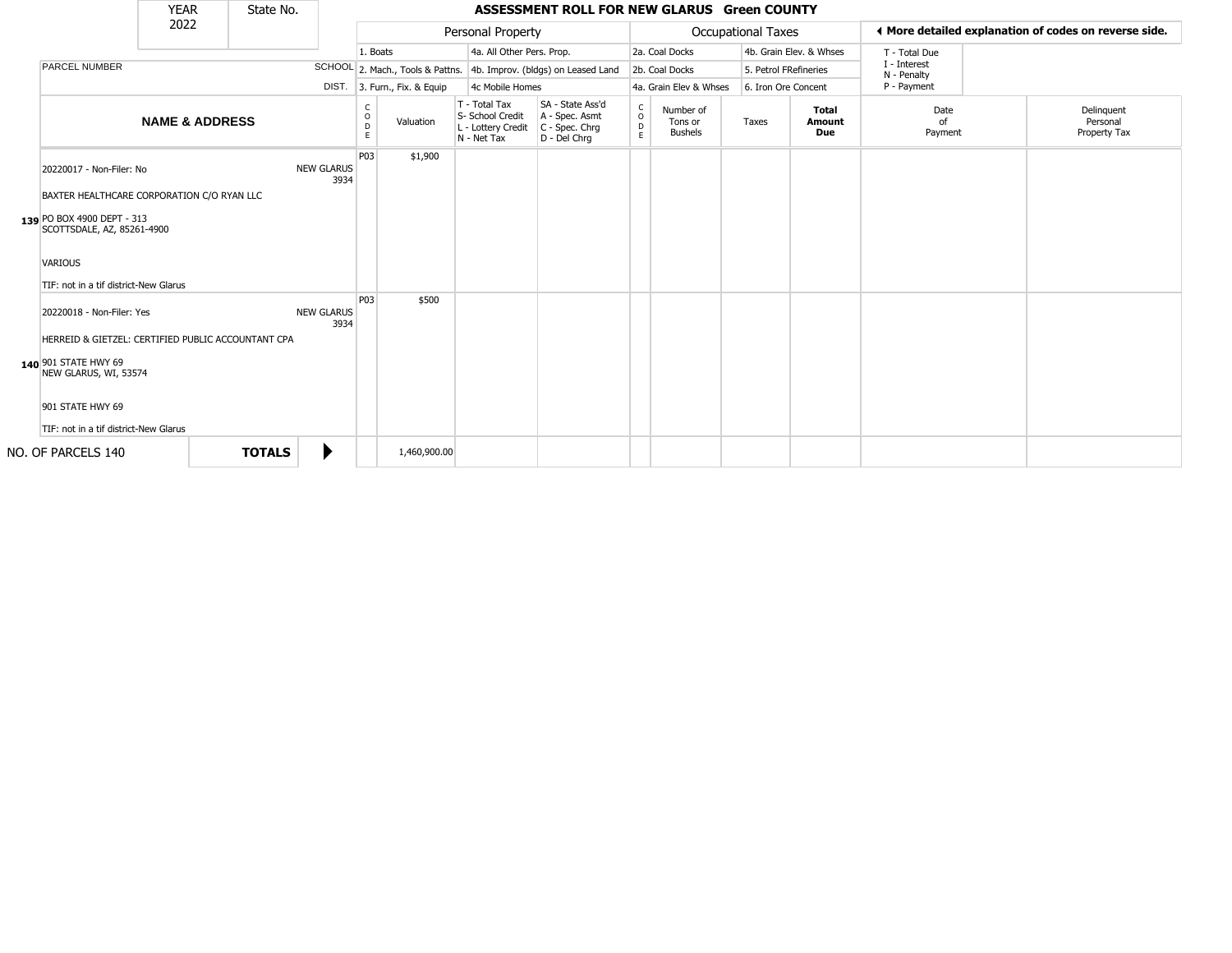|                                                                                                                                                                                                                                        | <b>YEAR</b>               | State No.     |                           |                        |                              |                                                                        | ASSESSMENT ROLL FOR NEW GLARUS Green COUNTY                            |                                   |                                        |                       |                               |                             |                                                       |
|----------------------------------------------------------------------------------------------------------------------------------------------------------------------------------------------------------------------------------------|---------------------------|---------------|---------------------------|------------------------|------------------------------|------------------------------------------------------------------------|------------------------------------------------------------------------|-----------------------------------|----------------------------------------|-----------------------|-------------------------------|-----------------------------|-------------------------------------------------------|
|                                                                                                                                                                                                                                        | 2022                      |               |                           |                        |                              | Personal Property                                                      |                                                                        |                                   |                                        | Occupational Taxes    |                               |                             | ♦ More detailed explanation of codes on reverse side. |
|                                                                                                                                                                                                                                        |                           |               |                           | 1. Boats               |                              | 4a. All Other Pers. Prop.                                              |                                                                        |                                   | 2a. Coal Docks                         |                       | 4b. Grain Elev. & Whses       | T - Total Due               |                                                       |
| PARCEL NUMBER                                                                                                                                                                                                                          |                           |               |                           |                        |                              |                                                                        | SCHOOL 2. Mach., Tools & Pattns. 4b. Improv. (bldgs) on Leased Land    |                                   | 2b. Coal Docks                         | 5. Petrol FRefineries |                               | I - Interest<br>N - Penalty |                                                       |
|                                                                                                                                                                                                                                        |                           |               |                           |                        | DIST. 3. Furn., Fix. & Equip | 4c Mobile Homes                                                        |                                                                        |                                   | 4a. Grain Elev & Whses                 | 6. Iron Ore Concent   |                               | P - Payment                 |                                                       |
|                                                                                                                                                                                                                                        | <b>NAME &amp; ADDRESS</b> |               |                           | C<br>$\circ$<br>D<br>E | Valuation                    | T - Total Tax<br>S- School Credit<br>L - Lottery Credit<br>N - Net Tax | SA - State Ass'd<br>A - Spec. Asmt<br>$C - Spec. Chrg$<br>D - Del Chrq | $\mathsf{C}$<br>$\circ$<br>D<br>E | Number of<br>Tons or<br><b>Bushels</b> | Taxes                 | <b>Total</b><br>Amount<br>Due | Date<br>Ωf<br>Payment       | Delinquent<br>Personal<br>Property Tax                |
| 20220017 - Non-Filer: No<br>BAXTER HEALTHCARE CORPORATION C/O RYAN LLC<br>139 PO BOX 4900 DEPT - 313<br>SCOTTSDALE, AZ, 85261-4900<br><b>VARIOUS</b>                                                                                   |                           |               | <b>NEW GLARUS</b><br>3934 | P03                    | \$1,900                      |                                                                        |                                                                        |                                   |                                        |                       |                               |                             |                                                       |
| TIF: not in a tif district-New Glarus<br>20220018 - Non-Filer: Yes<br>HERREID & GIETZEL: CERTIFIED PUBLIC ACCOUNTANT CPA<br>140 901 STATE HWY 69<br>NEW GLARUS, WI, 53574<br>901 STATE HWY 69<br>TIF: not in a tif district-New Glarus |                           |               | <b>NEW GLARUS</b><br>3934 | P03                    | \$500                        |                                                                        |                                                                        |                                   |                                        |                       |                               |                             |                                                       |
| NO. OF PARCELS 140                                                                                                                                                                                                                     |                           | <b>TOTALS</b> | ▶                         |                        | 1,460,900.00                 |                                                                        |                                                                        |                                   |                                        |                       |                               |                             |                                                       |